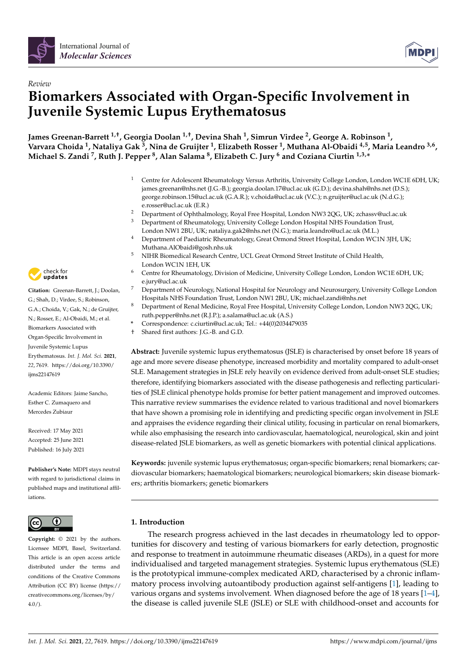

# *Review* **Biomarkers Associated with Organ-Specific Involvement in Juvenile Systemic Lupus Erythematosus**

**James Greenan-Barrett 1,†, Georgia Doolan 1,†, Devina Shah <sup>1</sup> , Simrun Virdee <sup>2</sup> , George A. Robinson <sup>1</sup> , Varvara Choida <sup>1</sup> , Nataliya Gak <sup>3</sup> , Nina de Gruijter <sup>1</sup> , Elizabeth Rosser <sup>1</sup> , Muthana Al-Obaidi 4,5, Maria Leandro 3,6 , Michael S. Zandi <sup>7</sup> , Ruth J. Pepper <sup>8</sup> , Alan Salama <sup>8</sup> , Elizabeth C. Jury <sup>6</sup> and Coziana Ciurtin 1,3,\***

- <sup>1</sup> Centre for Adolescent Rheumatology Versus Arthritis, University College London, London WC1E 6DH, UK; james.greenan@nhs.net (J.G.-B.); georgia.doolan.17@ucl.ac.uk (G.D.); devina.shah@nhs.net (D.S.); george.robinson.15@ucl.ac.uk (G.A.R.); v.choida@ucl.ac.uk (V.C.); n.gruijter@ucl.ac.uk (N.d.G.); e.rosser@ucl.ac.uk (E.R.)
- <sup>2</sup> Department of Ophthalmology, Royal Free Hospital, London NW3 2QG, UK; zchassv@ucl.ac.uk <sup>3</sup> Department of Rheumatology, University College London Hospital NHS Foundation Trust, London NW1 2BU, UK; nataliya.gak2@nhs.net (N.G.); maria.leandro@ucl.ac.uk (M.L.)
- <sup>4</sup> Department of Paediatric Rheumatology, Great Ormond Street Hospital, London WC1N 3JH, UK; Muthana.AlObaidi@gosh.nhs.uk
- <sup>5</sup> NIHR Biomedical Research Centre, UCL Great Ormond Street Institute of Child Health, London WC1N 1EH, UK
- <sup>6</sup> Centre for Rheumatology, Division of Medicine, University College London, London WC1E 6DH, UK; e.jury@ucl.ac.uk
- <sup>7</sup> Department of Neurology, National Hospital for Neurology and Neurosurgery, University College London Hospitals NHS Foundation Trust, London NW1 2BU, UK; michael.zandi@nhs.net
- <sup>8</sup> Department of Renal Medicine, Royal Free Hospital, University College London, London NW3 2QG, UK; ruth.pepper@nhs.net (R.J.P.); a.salama@ucl.ac.uk (A.S.)
- **\*** Correspondence: c.ciurtin@ucl.ac.uk; Tel.: +44(0)2034479035
- † Shared first authors: J.G.-B. and G.D.

**Abstract:** Juvenile systemic lupus erythematosus (JSLE) is characterised by onset before 18 years of age and more severe disease phenotype, increased morbidity and mortality compared to adult-onset SLE. Management strategies in JSLE rely heavily on evidence derived from adult-onset SLE studies; therefore, identifying biomarkers associated with the disease pathogenesis and reflecting particularities of JSLE clinical phenotype holds promise for better patient management and improved outcomes. This narrative review summarises the evidence related to various traditional and novel biomarkers that have shown a promising role in identifying and predicting specific organ involvement in JSLE and appraises the evidence regarding their clinical utility, focusing in particular on renal biomarkers, while also emphasising the research into cardiovascular, haematological, neurological, skin and joint disease-related JSLE biomarkers, as well as genetic biomarkers with potential clinical applications.

**Keywords:** juvenile systemic lupus erythematosus; organ-specific biomarkers; renal biomarkers; cardiovascular biomarkers; haematological biomarkers; neurological biomarkers; skin disease biomarkers; arthritis biomarkers; genetic biomarkers

# **1. Introduction**

The research progress achieved in the last decades in rheumatology led to opportunities for discovery and testing of various biomarkers for early detection, prognostic and response to treatment in autoimmune rheumatic diseases (ARDs), in a quest for more individualised and targeted management strategies. Systemic lupus erythematous (SLE) is the prototypical immune-complex medicated ARD, characterised by a chronic inflammatory process involving autoantibody production against self-antigens [\[1\]](#page-33-0), leading to various organs and systems involvement. When diagnosed before the age of 18 years [\[1–](#page-33-0)[4\]](#page-33-1), the disease is called juvenile SLE (JSLE) or SLE with childhood-onset and accounts for



**Citation:** Greenan-Barrett, J.; Doolan, G.; Shah, D.; Virdee, S.; Robinson, G.A.; Choida, V.; Gak, N.; de Gruijter, N.; Rosser, E.; Al-Obaidi, M.; et al. Biomarkers Associated with Organ-Specific Involvement in Juvenile Systemic Lupus Erythematosus. *Int. J. Mol. Sci.* **2021**, *22*, 7619. [https://doi.org/10.3390/](https://doi.org/10.3390/ijms22147619) [ijms22147619](https://doi.org/10.3390/ijms22147619)

Academic Editors: Jaime Sancho, Esther C. Zumaquero and Mercedes Zubiaur

Received: 17 May 2021 Accepted: 25 June 2021 Published: 16 July 2021

**Publisher's Note:** MDPI stays neutral with regard to jurisdictional claims in published maps and institutional affiliations.



**Copyright:** © 2021 by the authors. Licensee MDPI, Basel, Switzerland. This article is an open access article distributed under the terms and conditions of the Creative Commons Attribution (CC BY) license (https:/[/](https://creativecommons.org/licenses/by/4.0/) [creativecommons.org/licenses/by/](https://creativecommons.org/licenses/by/4.0/)  $4.0/$ ).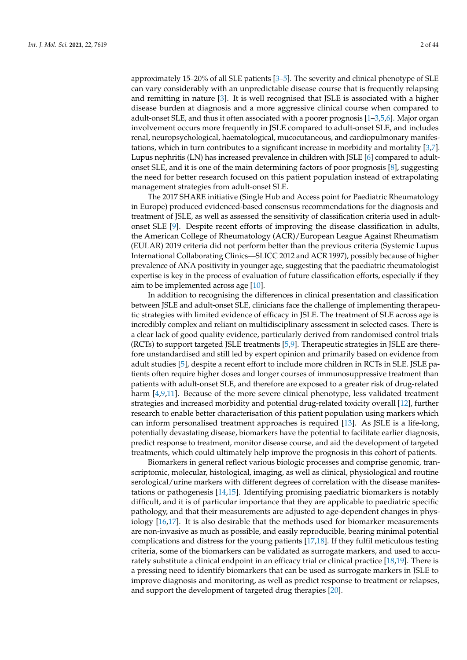approximately 15–20% of all SLE patients [\[3](#page-33-2)[–5\]](#page-33-3). The severity and clinical phenotype of SLE can vary considerably with an unpredictable disease course that is frequently relapsing and remitting in nature [\[3\]](#page-33-2). It is well recognised that JSLE is associated with a higher disease burden at diagnosis and a more aggressive clinical course when compared to adult-onset SLE, and thus it often associated with a poorer prognosis  $[1-3,5,6]$  $[1-3,5,6]$  $[1-3,5,6]$  $[1-3,5,6]$ . Major organ involvement occurs more frequently in JSLE compared to adult-onset SLE, and includes renal, neuropsychological, haematological, mucocutaneous, and cardiopulmonary manifestations, which in turn contributes to a significant increase in morbidity and mortality [\[3](#page-33-2)[,7\]](#page-33-5). Lupus nephritis (LN) has increased prevalence in children with JSLE [\[6\]](#page-33-4) compared to adultonset SLE, and it is one of the main determining factors of poor prognosis [\[8\]](#page-33-6), suggesting the need for better research focused on this patient population instead of extrapolating management strategies from adult-onset SLE.

The 2017 SHARE initiative (Single Hub and Access point for Paediatric Rheumatology in Europe) produced evidenced-based consensus recommendations for the diagnosis and treatment of JSLE, as well as assessed the sensitivity of classification criteria used in adultonset SLE [\[9\]](#page-33-7). Despite recent efforts of improving the disease classification in adults, the American College of Rheumatology (ACR)/European League Against Rheumatism (EULAR) 2019 criteria did not perform better than the previous criteria (Systemic Lupus International Collaborating Clinics—SLICC 2012 and ACR 1997), possibly because of higher prevalence of ANA positivity in younger age, suggesting that the paediatric rheumatologist expertise is key in the process of evaluation of future classification efforts, especially if they aim to be implemented across age [\[10\]](#page-33-8).

In addition to recognising the differences in clinical presentation and classification between JSLE and adult-onset SLE, clinicians face the challenge of implementing therapeutic strategies with limited evidence of efficacy in JSLE. The treatment of SLE across age is incredibly complex and reliant on multidisciplinary assessment in selected cases. There is a clear lack of good quality evidence, particularly derived from randomised control trials (RCTs) to support targeted JSLE treatments [\[5,](#page-33-3)[9\]](#page-33-7). Therapeutic strategies in JSLE are therefore unstandardised and still led by expert opinion and primarily based on evidence from adult studies [\[5\]](#page-33-3), despite a recent effort to include more children in RCTs in SLE. JSLE patients often require higher doses and longer courses of immunosuppressive treatment than patients with adult-onset SLE, and therefore are exposed to a greater risk of drug-related harm [\[4](#page-33-1)[,9](#page-33-7)[,11\]](#page-33-9). Because of the more severe clinical phenotype, less validated treatment strategies and increased morbidity and potential drug-related toxicity overall [\[12\]](#page-33-10), further research to enable better characterisation of this patient population using markers which can inform personalised treatment approaches is required [\[13\]](#page-33-11). As JSLE is a life-long, potentially devastating disease, biomarkers have the potential to facilitate earlier diagnosis, predict response to treatment, monitor disease course, and aid the development of targeted treatments, which could ultimately help improve the prognosis in this cohort of patients.

Biomarkers in general reflect various biologic processes and comprise genomic, transcriptomic, molecular, histological, imaging, as well as clinical, physiological and routine serological/urine markers with different degrees of correlation with the disease manifestations or pathogenesis [\[14,](#page-33-12)[15\]](#page-33-13). Identifying promising paediatric biomarkers is notably difficult, and it is of particular importance that they are applicable to paediatric specific pathology, and that their measurements are adjusted to age-dependent changes in physiology [\[16,](#page-33-14)[17\]](#page-33-15). It is also desirable that the methods used for biomarker measurements are non-invasive as much as possible, and easily reproducible, bearing minimal potential complications and distress for the young patients [\[17](#page-33-15)[,18\]](#page-33-16). If they fulfil meticulous testing criteria, some of the biomarkers can be validated as surrogate markers, and used to accurately substitute a clinical endpoint in an efficacy trial or clinical practice [\[18](#page-33-16)[,19\]](#page-33-17). There is a pressing need to identify biomarkers that can be used as surrogate markers in JSLE to improve diagnosis and monitoring, as well as predict response to treatment or relapses, and support the development of targeted drug therapies [\[20\]](#page-33-18).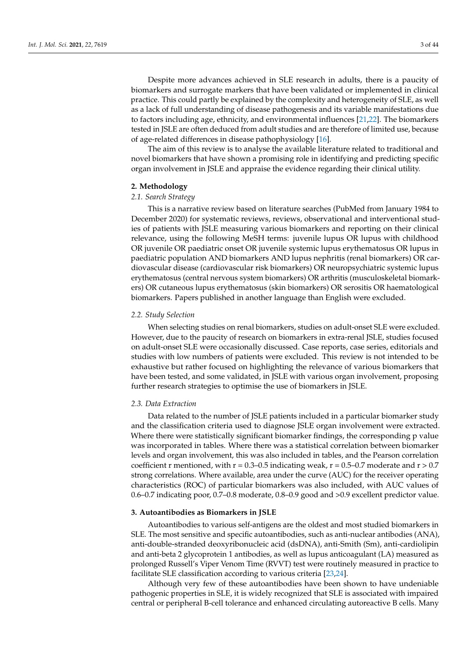Despite more advances achieved in SLE research in adults, there is a paucity of biomarkers and surrogate markers that have been validated or implemented in clinical practice. This could partly be explained by the complexity and heterogeneity of SLE, as well as a lack of full understanding of disease pathogenesis and its variable manifestations due to factors including age, ethnicity, and environmental influences [\[21](#page-33-19)[,22\]](#page-33-20). The biomarkers tested in JSLE are often deduced from adult studies and are therefore of limited use, because of age-related differences in disease pathophysiology [\[16\]](#page-33-14).

The aim of this review is to analyse the available literature related to traditional and novel biomarkers that have shown a promising role in identifying and predicting specific organ involvement in JSLE and appraise the evidence regarding their clinical utility.

### **2. Methodology**

### *2.1. Search Strategy*

This is a narrative review based on literature searches (PubMed from January 1984 to December 2020) for systematic reviews, reviews, observational and interventional studies of patients with JSLE measuring various biomarkers and reporting on their clinical relevance, using the following MeSH terms: juvenile lupus OR lupus with childhood OR juvenile OR paediatric onset OR juvenile systemic lupus erythematosus OR lupus in paediatric population AND biomarkers AND lupus nephritis (renal biomarkers) OR cardiovascular disease (cardiovascular risk biomarkers) OR neuropsychiatric systemic lupus erythematosus (central nervous system biomarkers) OR arthritis (musculoskeletal biomarkers) OR cutaneous lupus erythematosus (skin biomarkers) OR serositis OR haematological biomarkers. Papers published in another language than English were excluded.

### *2.2. Study Selection*

When selecting studies on renal biomarkers, studies on adult-onset SLE were excluded. However, due to the paucity of research on biomarkers in extra-renal JSLE, studies focused on adult-onset SLE were occasionally discussed. Case reports, case series, editorials and studies with low numbers of patients were excluded. This review is not intended to be exhaustive but rather focused on highlighting the relevance of various biomarkers that have been tested, and some validated, in JSLE with various organ involvement, proposing further research strategies to optimise the use of biomarkers in JSLE.

### *2.3. Data Extraction*

Data related to the number of JSLE patients included in a particular biomarker study and the classification criteria used to diagnose JSLE organ involvement were extracted. Where there were statistically significant biomarker findings, the corresponding p value was incorporated in tables. Where there was a statistical correlation between biomarker levels and organ involvement, this was also included in tables, and the Pearson correlation coefficient r mentioned, with  $r = 0.3 - 0.5$  indicating weak,  $r = 0.5 - 0.7$  moderate and  $r > 0.7$ strong correlations. Where available, area under the curve (AUC) for the receiver operating characteristics (ROC) of particular biomarkers was also included, with AUC values of 0.6–0.7 indicating poor, 0.7–0.8 moderate, 0.8–0.9 good and >0.9 excellent predictor value.

### **3. Autoantibodies as Biomarkers in JSLE**

Autoantibodies to various self-antigens are the oldest and most studied biomarkers in SLE. The most sensitive and specific autoantibodies, such as anti-nuclear antibodies (ANA), anti-double-stranded deoxyribonucleic acid (dsDNA), anti-Smith (Sm), anti-cardiolipin and anti-beta 2 glycoprotein 1 antibodies, as well as lupus anticoagulant (LA) measured as prolonged Russell's Viper Venom Time (RVVT) test were routinely measured in practice to facilitate SLE classification according to various criteria [\[23,](#page-33-21)[24\]](#page-33-22).

Although very few of these autoantibodies have been shown to have undeniable pathogenic properties in SLE, it is widely recognized that SLE is associated with impaired central or peripheral B-cell tolerance and enhanced circulating autoreactive B cells. Many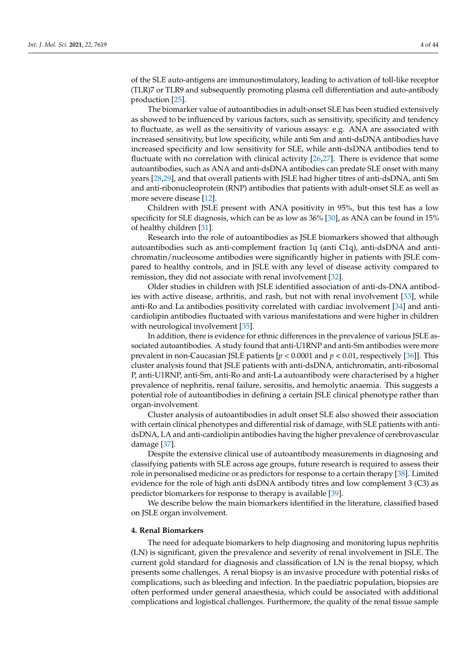of the SLE auto-antigens are immunostimulatory, leading to activation of toll-like receptor (TLR)7 or TLR9 and subsequently promoting plasma cell differentiation and auto-antibody production [\[25\]](#page-33-23).

The biomarker value of autoantibodies in adult-onset SLE has been studied extensively as showed to be influenced by various factors, such as sensitivity, specificity and tendency to fluctuate, as well as the sensitivity of various assays: e.g. ANA are associated with increased sensitivity, but low specificity, while anti Sm and anti-dsDNA antibodies have increased specificity and low sensitivity for SLE, while anti-dsDNA antibodies tend to fluctuate with no correlation with clinical activity [\[26](#page-33-24)[,27\]](#page-34-0). There is evidence that some autoantibodies, such as ANA and anti-dsDNA antibodies can predate SLE onset with many years [\[28](#page-34-1)[,29\]](#page-34-2), and that overall patients with JSLE had higher titres of anti-dsDNA, anti Sm and anti-ribonucleoprotein (RNP) antibodies that patients with adult-onset SLE as well as more severe disease [\[12\]](#page-33-10).

Children with JSLE present with ANA positivity in 95%, but this test has a low specificity for SLE diagnosis, which can be as low as 36% [\[30\]](#page-34-3), as ANA can be found in 15% of healthy children [\[31\]](#page-34-4).

Research into the role of autoantibodies as JSLE biomarkers showed that although autoantibodies such as anti-complement fraction 1q (anti C1q), anti-dsDNA and antichromatin/nucleosome antibodies were significantly higher in patients with JSLE compared to healthy controls, and in JSLE with any level of disease activity compared to remission, they did not associate with renal involvement [\[32\]](#page-34-5).

Older studies in children with JSLE identified association of anti-ds-DNA antibodies with active disease, arthritis, and rash, but not with renal involvement [\[33\]](#page-34-6), while anti-Ro and La antibodies positivity correlated with cardiac involvement [\[34\]](#page-34-7) and anticardiolipin antibodies fluctuated with various manifestations and were higher in children with neurological involvement [\[35\]](#page-34-8).

In addition, there is evidence for ethnic differences in the prevalence of various JSLE associated autoantibodies. A study found that anti-U1RNP and anti-Sm antibodies were more prevalent in non-Caucasian JSLE patients [*p* < 0.0001 and *p* < 0.01, respectively [\[36\]](#page-34-9)]. This cluster analysis found that JSLE patients with anti-dsDNA, antichromatin, anti-ribosomal P, anti-U1RNP, anti-Sm, anti-Ro and anti-La autoantibody were characterised by a higher prevalence of nephritis, renal failure, serositis, and hemolytic anaemia. This suggests a potential role of autoantibodies in defining a certain JSLE clinical phenotype rather than organ-involvement.

Cluster analysis of autoantibodies in adult onset SLE also showed their association with certain clinical phenotypes and differential risk of damage, with SLE patients with antidsDNA, LA and anti-cardiolipin antibodies having the higher prevalence of cerebrovascular damage [\[37\]](#page-34-10).

Despite the extensive clinical use of autoantibody measurements in diagnosing and classifying patients with SLE across age groups, future research is required to assess their role in personalised medicine or as predictors for response to a certain therapy [\[38\]](#page-34-11). Limited evidence for the role of high anti dsDNA antibody titres and low complement 3 (C3) as predictor biomarkers for response to therapy is available [\[39\]](#page-34-12).

We describe below the main biomarkers identified in the literature, classified based on JSLE organ involvement.

### **4. Renal Biomarkers**

The need for adequate biomarkers to help diagnosing and monitoring lupus nephritis (LN) is significant, given the prevalence and severity of renal involvement in JSLE. The current gold standard for diagnosis and classification of LN is the renal biopsy, which presents some challenges. A renal biopsy is an invasive procedure with potential risks of complications, such as bleeding and infection. In the paediatric population, biopsies are often performed under general anaesthesia, which could be associated with additional complications and logistical challenges. Furthermore, the quality of the renal tissue sample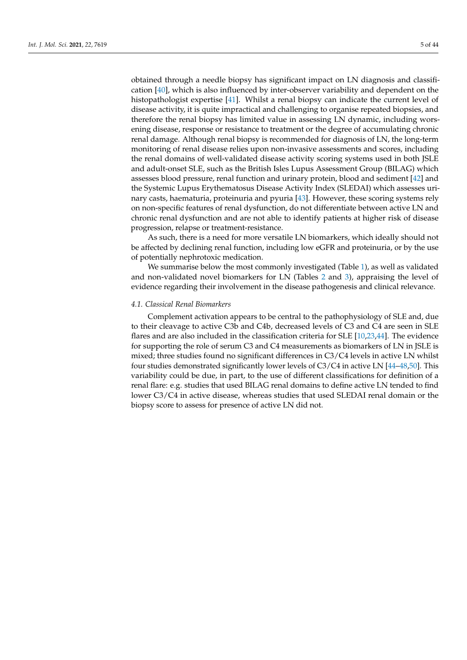obtained through a needle biopsy has significant impact on LN diagnosis and classification [\[40\]](#page-34-13), which is also influenced by inter-observer variability and dependent on the histopathologist expertise [\[41\]](#page-34-14). Whilst a renal biopsy can indicate the current level of disease activity, it is quite impractical and challenging to organise repeated biopsies, and therefore the renal biopsy has limited value in assessing LN dynamic, including worsening disease, response or resistance to treatment or the degree of accumulating chronic renal damage. Although renal biopsy is recommended for diagnosis of LN, the long-term monitoring of renal disease relies upon non-invasive assessments and scores, including the renal domains of well-validated disease activity scoring systems used in both JSLE and adult-onset SLE, such as the British Isles Lupus Assessment Group (BILAG) which assesses blood pressure, renal function and urinary protein, blood and sediment [\[42\]](#page-34-15) and the Systemic Lupus Erythematosus Disease Activity Index (SLEDAI) which assesses urinary casts, haematuria, proteinuria and pyuria [\[43\]](#page-34-16). However, these scoring systems rely on non-specific features of renal dysfunction, do not differentiate between active LN and chronic renal dysfunction and are not able to identify patients at higher risk of disease progression, relapse or treatment-resistance.

As such, there is a need for more versatile LN biomarkers, which ideally should not be affected by declining renal function, including low eGFR and proteinuria, or by the use of potentially nephrotoxic medication.

We summarise below the most commonly investigated (Table [1\)](#page-7-0), as well as validated and non-validated novel biomarkers for LN (Tables [2](#page-12-0) and [3\)](#page-17-0), appraising the level of evidence regarding their involvement in the disease pathogenesis and clinical relevance.

### *4.1. Classical Renal Biomarkers*

Complement activation appears to be central to the pathophysiology of SLE and, due to their cleavage to active C3b and C4b, decreased levels of C3 and C4 are seen in SLE flares and are also included in the classification criteria for SLE [\[10](#page-33-8)[,23](#page-33-21)[,44\]](#page-34-17). The evidence for supporting the role of serum C3 and C4 measurements as biomarkers of LN in JSLE is mixed; three studies found no significant differences in C3/C4 levels in active LN whilst four studies demonstrated significantly lower levels of C3/C4 in active LN [\[44–](#page-34-17)[48](#page-34-18)[,50\]](#page-34-19). This variability could be due, in part, to the use of different classifications for definition of a renal flare: e.g. studies that used BILAG renal domains to define active LN tended to find lower C3/C4 in active disease, whereas studies that used SLEDAI renal domain or the biopsy score to assess for presence of active LN did not.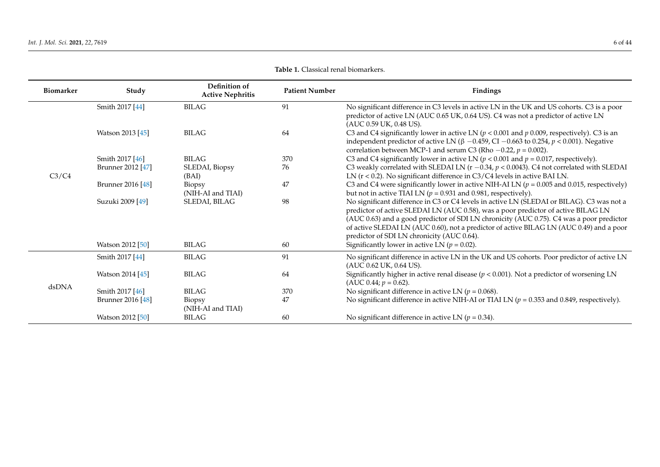| <b>Biomarker</b> | Study             | Definition of<br><b>Active Nephritis</b> | <b>Patient Number</b> | Findings                                                                                                                                                                                                                                                                                                                                                                                                             |
|------------------|-------------------|------------------------------------------|-----------------------|----------------------------------------------------------------------------------------------------------------------------------------------------------------------------------------------------------------------------------------------------------------------------------------------------------------------------------------------------------------------------------------------------------------------|
|                  | Smith 2017 [44]   | <b>BILAG</b>                             | 91                    | No significant difference in C3 levels in active LN in the UK and US cohorts. C3 is a poor<br>predictor of active LN (AUC 0.65 UK, 0.64 US). C4 was not a predictor of active LN<br>(AUC 0.59 UK, 0.48 US).                                                                                                                                                                                                          |
|                  | Watson 2013 [45]  | <b>BILAG</b>                             | 64                    | C3 and C4 significantly lower in active LN ( $p < 0.001$ and $p 0.009$ , respectively). C3 is an<br>independent predictor of active LN ( $\beta$ -0.459, CI -0.663 to 0.254, $p < 0.001$ ). Negative<br>correlation between MCP-1 and serum C3 (Rho $-0.22$ , $p = 0.002$ ).                                                                                                                                         |
|                  | Smith 2017 [46]   | <b>BILAG</b>                             | 370                   | C3 and C4 significantly lower in active LN ( $p < 0.001$ and $p = 0.017$ , respectively).                                                                                                                                                                                                                                                                                                                            |
| C3/C4            | Brunner 2012 [47] | SLEDAI, Biopsy<br>(BAI)                  | 76                    | C3 weakly correlated with SLEDAI LN ( $r - 0.34$ , $p < 0.0043$ ). C4 not correlated with SLEDAI<br>LN (r < 0.2). No significant difference in C3/C4 levels in active BAI LN.                                                                                                                                                                                                                                        |
|                  | Brunner 2016 [48] | Biopsy<br>(NIH-AI and TIAI)              | 47                    | C3 and C4 were significantly lower in active NIH-AI LN ( $p = 0.005$ and 0.015, respectively)<br>but not in active TIAI LN ( $p = 0.931$ and 0.981, respectively).                                                                                                                                                                                                                                                   |
|                  | Suzuki 2009 [49]  | SLEDAI, BILAG                            | 98                    | No significant difference in C3 or C4 levels in active LN (SLEDAI or BILAG). C3 was not a<br>predictor of active SLEDAI LN (AUC 0.58), was a poor predictor of active BILAG LN<br>(AUC 0.63) and a good predictor of SDI LN chronicity (AUC 0.75). C4 was a poor predictor<br>of active SLEDAI LN (AUC 0.60), not a predictor of active BILAG LN (AUC 0.49) and a poor<br>predictor of SDI LN chronicity (AUC 0.64). |
|                  | Watson 2012 [50]  | <b>BILAG</b>                             | 60                    | Significantly lower in active LN ( $p = 0.02$ ).                                                                                                                                                                                                                                                                                                                                                                     |
|                  | Smith 2017 [44]   | <b>BILAG</b>                             | 91                    | No significant difference in active LN in the UK and US cohorts. Poor predictor of active LN<br>(AUC 0.62 UK, 0.64 US).                                                                                                                                                                                                                                                                                              |
|                  | Watson 2014 [45]  | <b>BILAG</b>                             | 64                    | Significantly higher in active renal disease ( $p < 0.001$ ). Not a predictor of worsening LN<br>(AUC 0.44; $p = 0.62$ ).                                                                                                                                                                                                                                                                                            |
| dsDNA            | Smith 2017 [46]   | <b>BILAG</b>                             | 370                   | No significant difference in active LN ( $p = 0.068$ ).                                                                                                                                                                                                                                                                                                                                                              |
|                  | Brunner 2016 [48] | Biopsy<br>(NIH-AI and TIAI)              | 47                    | No significant difference in active NIH-AI or TIAI LN ( $p = 0.353$ and 0.849, respectively).                                                                                                                                                                                                                                                                                                                        |
|                  | Watson 2012 [50]  | <b>BILAG</b>                             | 60                    | No significant difference in active LN ( $p = 0.34$ ).                                                                                                                                                                                                                                                                                                                                                               |

**Table 1.** Classical renal biomarkers.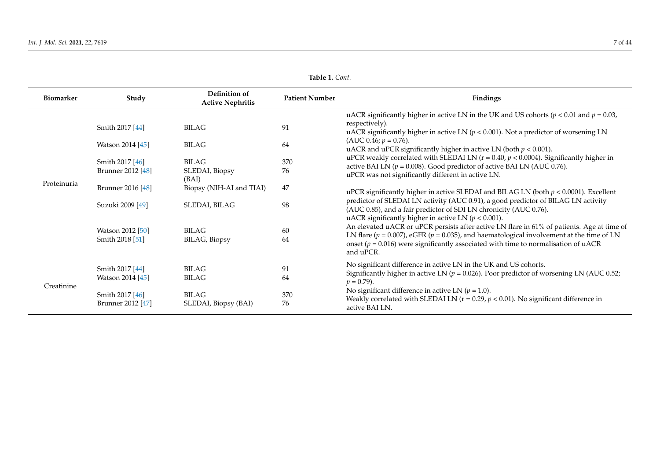| <b>Biomarker</b> | Study                                | Definition of<br><b>Active Nephritis</b> | <b>Patient Number</b> | Findings                                                                                                                                                                                                                                                                                                                                                         |
|------------------|--------------------------------------|------------------------------------------|-----------------------|------------------------------------------------------------------------------------------------------------------------------------------------------------------------------------------------------------------------------------------------------------------------------------------------------------------------------------------------------------------|
|                  | Smith 2017 [44]                      | <b>BILAG</b>                             | 91                    | uACR significantly higher in active LN in the UK and US cohorts ( $p < 0.01$ and $p = 0.03$ ,<br>respectively).                                                                                                                                                                                                                                                  |
| Proteinuria      | Watson 2014 [45]                     | <b>BILAG</b>                             | 64                    | uACR significantly higher in active LN ( $p < 0.001$ ). Not a predictor of worsening LN<br>(AUC 0.46; $p = 0.76$ ).<br>uACR and uPCR significantly higher in active LN (both $p < 0.001$ ).                                                                                                                                                                      |
|                  | Smith 2017 [46]<br>Brunner 2012 [48] | <b>BILAG</b><br>SLEDAI, Biopsy           | 370<br>76             | uPCR weakly correlated with SLEDAI LN ( $r = 0.40$ , $p < 0.0004$ ). Significantly higher in<br>active BAI LN ( $p = 0.008$ ). Good predictor of active BAI LN (AUC 0.76).<br>uPCR was not significantly different in active LN.                                                                                                                                 |
|                  | Brunner 2016 [48]                    | (BAI)<br>Biopsy (NIH-AI and TIAI)        | 47                    | uPCR significantly higher in active SLEDAI and BILAG LN (both $p < 0.0001$ ). Excellent                                                                                                                                                                                                                                                                          |
|                  | Suzuki 2009 [49]                     | SLEDAI, BILAG                            | 98                    | predictor of SLEDAI LN activity (AUC 0.91), a good predictor of BILAG LN activity<br>(AUC 0.85), and a fair predictor of SDI LN chronicity (AUC 0.76).                                                                                                                                                                                                           |
|                  | Watson 2012 [50]<br>Smith 2018 [51]  | <b>BILAG</b><br><b>BILAG</b> , Biopsy    | 60<br>64              | uACR significantly higher in active LN ( $p < 0.001$ ).<br>An elevated uACR or uPCR persists after active LN flare in 61% of patients. Age at time of<br>LN flare ( $p = 0.007$ ), eGFR ( $p = 0.035$ ), and haematological involvement at the time of LN<br>onset ( $p = 0.016$ ) were significantly associated with time to normalisation of uACR<br>and uPCR. |
| Creatinine       | Smith 2017 [44]<br>Watson 2014 [45]  | <b>BILAG</b><br><b>BILAG</b>             | 91<br>64              | No significant difference in active LN in the UK and US cohorts.<br>Significantly higher in active LN ( $p = 0.026$ ). Poor predictor of worsening LN (AUC 0.52;<br>$p = 0.79$ .                                                                                                                                                                                 |
|                  | Smith 2017 [46]<br>Brunner 2012 [47] | <b>BILAG</b><br>SLEDAI, Biopsy (BAI)     | 370<br>76             | No significant difference in active LN ( $p = 1.0$ ).<br>Weakly correlated with SLEDAI LN ( $r = 0.29$ , $p < 0.01$ ). No significant difference in<br>active BAI LN.                                                                                                                                                                                            |

**Table 1.** *Cont.*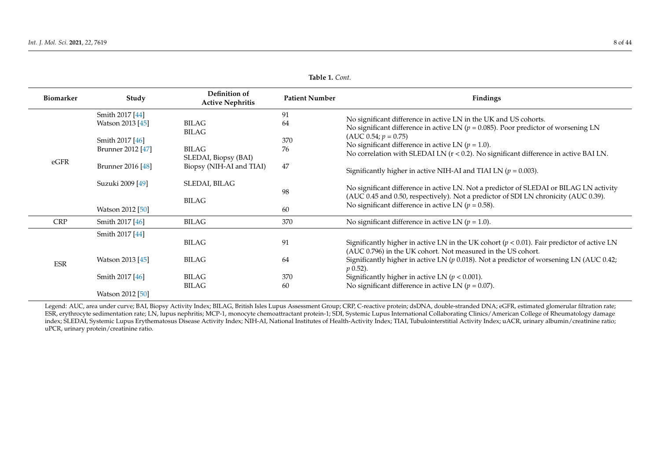| <b>Biomarker</b> | Study                                                                       | Definition of<br><b>Active Nephritis</b>               | <b>Patient Number</b> | <b>Findings</b>                                                                                                                                                                                                                                                                                                                                                                             |
|------------------|-----------------------------------------------------------------------------|--------------------------------------------------------|-----------------------|---------------------------------------------------------------------------------------------------------------------------------------------------------------------------------------------------------------------------------------------------------------------------------------------------------------------------------------------------------------------------------------------|
| eGFR             | Smith 2017 [44]<br>Watson 2013 [45]<br>Smith 2017 [46]<br>Brunner 2012 [47] | BILAG<br><b>BILAG</b><br>BILAG<br>SLEDAI, Biopsy (BAI) | 91<br>64<br>370<br>76 | No significant difference in active LN in the UK and US cohorts.<br>No significant difference in active LN ( $p = 0.085$ ). Poor predictor of worsening LN<br>$(AUC 0.54; p = 0.75)$<br>No significant difference in active LN ( $p = 1.0$ ).<br>No correlation with SLEDAI LN $(r < 0.2)$ . No significant difference in active BAI LN.                                                    |
|                  | Brunner 2016 [48]                                                           | Biopsy (NIH-AI and TIAI)                               | 47                    | Significantly higher in active NIH-AI and TIAI LN ( $p = 0.003$ ).                                                                                                                                                                                                                                                                                                                          |
|                  | Suzuki 2009 [49]<br>Watson 2012 [50]                                        | SLEDAI, BILAG<br>BILAG                                 | 98<br>60              | No significant difference in active LN. Not a predictor of SLEDAI or BILAG LN activity<br>(AUC 0.45 and 0.50, respectively). Not a predictor of SDI LN chronicity (AUC 0.39).<br>No significant difference in active LN ( $p = 0.58$ ).                                                                                                                                                     |
| <b>CRP</b>       | Smith 2017 [46]                                                             | BILAG                                                  | 370                   | No significant difference in active LN ( $p = 1.0$ ).                                                                                                                                                                                                                                                                                                                                       |
| <b>ESR</b>       | Smith 2017 [44]<br>Watson 2013 [45]<br>Smith 2017 [46]                      | <b>BILAG</b><br>BILAG<br>BILAG<br>BILAG                | 91<br>64<br>370<br>60 | Significantly higher in active LN in the UK cohort ( $p < 0.01$ ). Fair predictor of active LN<br>(AUC 0.796) in the UK cohort. Not measured in the US cohort.<br>Significantly higher in active LN ( $p$ 0.018). Not a predictor of worsening LN (AUC 0.42;<br>$p(0.52)$ .<br>Significantly higher in active LN ( $p < 0.001$ ).<br>No significant difference in active LN ( $p = 0.07$ ). |
|                  | Watson 2012 [50]                                                            |                                                        |                       |                                                                                                                                                                                                                                                                                                                                                                                             |

**Table 1.** *Cont.*

<span id="page-7-0"></span>Legend: AUC, area under curve; BAI, Biopsy Activity Index; BILAG, British Isles Lupus Assessment Group; CRP, C-reactive protein; dsDNA, double-stranded DNA; eGFR, estimated glomerular filtration rate; ESR, erythrocyte sedimentation rate; LN, lupus nephritis; MCP-1, monocyte chemoattractant protein-1; SDI, Systemic Lupus International Collaborating Clinics/American College of Rheumatology damage index; SLEDAI, Systemic Lupus Erythematosus Disease Activity Index; NIH-AI, National Institutes of Health-Activity Index; TIAI, Tubulointerstitial Activity Index; uACR, urinary albumin/creatinine ratio; uPCR, urinary protein/creatinine ratio.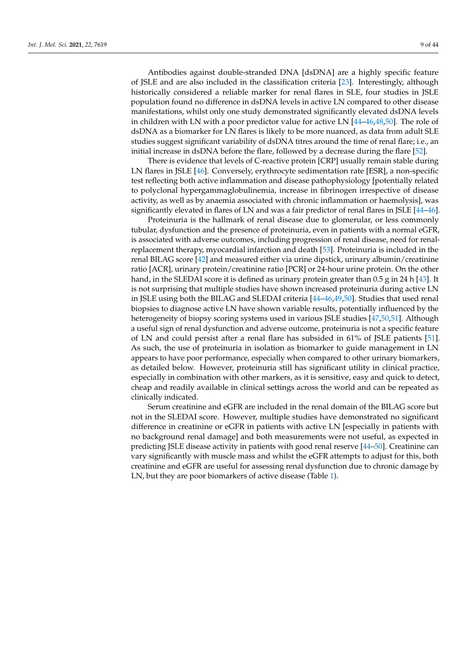Antibodies against double-stranded DNA [dsDNA] are a highly specific feature of JSLE and are also included in the classification criteria [\[23\]](#page-33-21). Interestingly, although historically considered a reliable marker for renal flares in SLE, four studies in JSLE population found no difference in dsDNA levels in active LN compared to other disease manifestations, whilst only one study demonstrated significantly elevated dsDNA levels in children with LN with a poor predictor value for active LN  $[44–46,48,50]$  $[44–46,48,50]$  $[44–46,48,50]$  $[44–46,48,50]$ . The role of dsDNA as a biomarker for LN flares is likely to be more nuanced, as data from adult SLE studies suggest significant variability of dsDNA titres around the time of renal flare; i.e., an initial increase in dsDNA before the flare, followed by a decrease during the flare [\[52\]](#page-35-0).

There is evidence that levels of C-reactive protein [CRP] usually remain stable during LN flares in JSLE [\[46\]](#page-34-28). Conversely, erythrocyte sedimentation rate [ESR], a non-specific test reflecting both active inflammation and disease pathophysiology [potentially related to polyclonal hypergammaglobulinemia, increase in fibrinogen irrespective of disease activity, as well as by anaemia associated with chronic inflammation or haemolysis], was significantly elevated in flares of LN and was a fair predictor of renal flares in JSLE [\[44](#page-34-17)[–46\]](#page-34-28).

Proteinuria is the hallmark of renal disease due to glomerular, or less commonly tubular, dysfunction and the presence of proteinuria, even in patients with a normal eGFR, is associated with adverse outcomes, including progression of renal disease, need for renalreplacement therapy, myocardial infarction and death [\[53\]](#page-35-1). Proteinuria is included in the renal BILAG score [\[42\]](#page-34-15) and measured either via urine dipstick, urinary albumin/creatinine ratio [ACR], urinary protein/creatinine ratio [PCR] or 24-hour urine protein. On the other hand, in the SLEDAI score it is defined as urinary protein greater than 0.5 g in 24 h [\[43\]](#page-34-16). It is not surprising that multiple studies have shown increased proteinuria during active LN in JSLE using both the BILAG and SLEDAI criteria [\[44–](#page-34-17)[46,](#page-34-28)[49,](#page-34-29)[50\]](#page-34-19). Studies that used renal biopsies to diagnose active LN have shown variable results, potentially influenced by the heterogeneity of biopsy scoring systems used in various JSLE studies [\[47,](#page-34-30)[50](#page-34-19)[,51\]](#page-34-31). Although a useful sign of renal dysfunction and adverse outcome, proteinuria is not a specific feature of LN and could persist after a renal flare has subsided in 61% of JSLE patients [\[51\]](#page-34-31). As such, the use of proteinuria in isolation as biomarker to guide management in LN appears to have poor performance, especially when compared to other urinary biomarkers, as detailed below. However, proteinuria still has significant utility in clinical practice, especially in combination with other markers, as it is sensitive, easy and quick to detect, cheap and readily available in clinical settings across the world and can be repeated as clinically indicated.

Serum creatinine and eGFR are included in the renal domain of the BILAG score but not in the SLEDAI score. However, multiple studies have demonstrated no significant difference in creatinine or eGFR in patients with active LN [especially in patients with no background renal damage] and both measurements were not useful, as expected in predicting JSLE disease activity in patients with good renal reserve [\[44–](#page-34-17)[50\]](#page-34-19). Creatinine can vary significantly with muscle mass and whilst the eGFR attempts to adjust for this, both creatinine and eGFR are useful for assessing renal dysfunction due to chronic damage by LN, but they are poor biomarkers of active disease (Table [1\)](#page-7-0).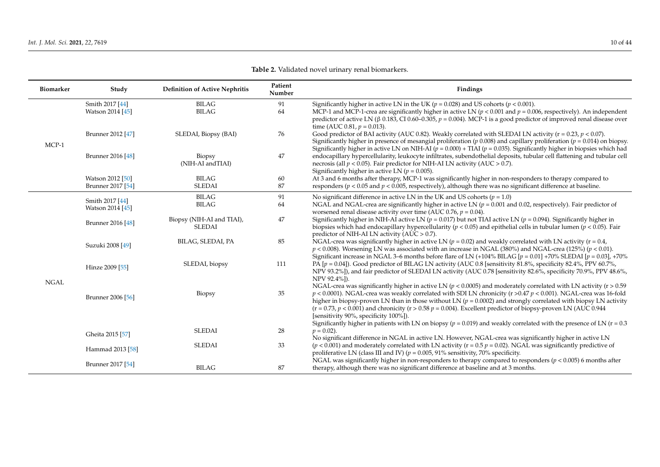| Biomarker   | Study             | <b>Definition of Active Nephritis</b>      | Patient<br>Number | Findings                                                                                                                                                                                                                                                                                                                                                                                                                                                                                                                                  |
|-------------|-------------------|--------------------------------------------|-------------------|-------------------------------------------------------------------------------------------------------------------------------------------------------------------------------------------------------------------------------------------------------------------------------------------------------------------------------------------------------------------------------------------------------------------------------------------------------------------------------------------------------------------------------------------|
|             | Smith 2017 [44]   | <b>BILAG</b>                               | 91                | Significantly higher in active LN in the UK ( $p = 0.028$ ) and US cohorts ( $p < 0.001$ ).                                                                                                                                                                                                                                                                                                                                                                                                                                               |
|             | Watson 2014 [45]  | <b>BILAG</b>                               | 64                | MCP-1 and MCP-1-crea are significantly higher in active LN ( $p < 0.001$ and $p = 0.006$ , respectively). An independent<br>predictor of active LN ( $\beta$ 0.183, CI 0.60–0.305, $p = 0.004$ ). MCP-1 is a good predictor of improved renal disease over<br>time (AUC 0.81, $p = 0.013$ ).                                                                                                                                                                                                                                              |
| MCP-1       | Brunner 2012 [47] | SLEDAI, Biopsy (BAI)                       | 76                | Good predictor of BAI activity (AUC 0.82). Weakly correlated with SLEDAI LN activity ( $r = 0.23$ , $p < 0.07$ ).<br>Significantly higher in presence of mesangial proliferation ( $p$ 0.008) and capillary proliferation ( $p = 0.014$ ) on biopsy.<br>Significantly higher in active LN on NIH-AI ( $p = 0.000$ ) + TIAI ( $p = 0.035$ ). Significantly higher in biopsies which had                                                                                                                                                    |
|             | Brunner 2016 [48] | Biopsy<br>(NIH-AI and TIAI)                | 47                | endocapillary hypercellularity, leukocyte infiltrates, subendothelial deposits, tubular cell flattening and tubular cell<br>necrosis (all $p < 0.05$ ). Fair predictor for NIH-AI LN activity (AUC > 0.7).<br>Significantly higher in active LN ( $p = 0.005$ ).                                                                                                                                                                                                                                                                          |
|             | Watson 2012 [50]  | <b>BILAG</b>                               | 60                | At 3 and 6 months after therapy, MCP-1 was significantly higher in non-responders to therapy compared to                                                                                                                                                                                                                                                                                                                                                                                                                                  |
|             | Brunner 2017 [54] | <b>SLEDAI</b>                              | 87                | responders ( $p < 0.05$ and $p < 0.005$ , respectively), although there was no significant difference at baseline.                                                                                                                                                                                                                                                                                                                                                                                                                        |
|             | Smith 2017 [44]   | <b>BILAG</b>                               | 91                | No significant difference in active LN in the UK and US cohorts ( $p = 1.0$ )                                                                                                                                                                                                                                                                                                                                                                                                                                                             |
|             | Watson 2014 [45]  | <b>BILAG</b>                               | 64                | NGAL and NGAL-crea are significantly higher in active LN ( $p = 0.001$ and 0.02, respectively). Fair predictor of<br>worsened renal disease activity over time (AUC 0.76, $p = 0.04$ ).                                                                                                                                                                                                                                                                                                                                                   |
|             | Brunner 2016 [48] | Biopsy (NIH-AI and TIAI),<br><b>SLEDAI</b> | 47                | Significantly higher in NIH-AI active LN ( $p = 0.017$ ) but not TIAI active LN ( $p = 0.094$ ). Significantly higher in<br>biopsies which had endocapillary hypercellularity ( $p < 0.05$ ) and epithelial cells in tubular lumen ( $p < 0.05$ ). Fair<br>predictor of NIH-AI LN activity (AUC $> 0.7$ ).                                                                                                                                                                                                                                |
|             | Suzuki 2008 [49]  | BILAG, SLEDAI, PA                          | 85                | NGAL-crea was significantly higher in active LN ( $p = 0.02$ ) and weakly correlated with LN activity ( $r = 0.4$ )<br>$p < 0.008$ ). Worsening LN was associated with an increase in NGAL (380%) and NGAL-crea (125%) ( $p < 0.01$ ).<br>Significant increase in NGAL 3-6 months before flare of LN (+104% BILAG [ $p = 0.01$ ] +70% SLEDAI [ $p = 0.03$ ], +70%                                                                                                                                                                         |
|             | Hinze 2009 [55]   | SLEDAI, biopsy                             | 111               | PA [p = 0.04]). Good predictor of BILAG LN activity (AUC 0.8 [sensitivity 81.8%, specificity 82.4%, PPV 60.7%,<br>NPV 93.2%]), and fair predictor of SLEDAI LN activity (AUC 0.78 [sensitivity 82.6%, specificity 70.9%, PPV 48.6%,<br>NPV 92.4%]).                                                                                                                                                                                                                                                                                       |
| <b>NGAL</b> | Brunner 2006 [56] | Biopsy                                     | 35                | NGAL-crea was significantly higher in active LN ( $p < 0.0005$ ) and moderately correlated with LN activity ( $r > 0.59$ )<br>$p < 0.0001$ ). NGAL-crea was weakly correlated with SDI LN chronicity (r >0.47 $p < 0.001$ ). NGAL-crea was 16-fold<br>higher in biopsy-proven LN than in those without LN ( $p = 0.0002$ ) and strongly correlated with biopsy LN activity<br>$(r = 0.73, p < 0.001)$ and chronicity $(r > 0.58 p = 0.004)$ . Excellent predictor of biopsy-proven LN (AUC 0.944<br>[sensitivity 90%, specificity 100%]). |
|             | Gheita 2015 [57]  | <b>SLEDAI</b>                              | 28                | Significantly higher in patients with LN on biopsy ( $p = 0.019$ ) and weakly correlated with the presence of LN ( $r = 0.3$ )<br>$p = 0.02$ ).                                                                                                                                                                                                                                                                                                                                                                                           |
|             |                   |                                            |                   | No significant difference in NGAL in active LN. However, NGAL-crea was significantly higher in active LN                                                                                                                                                                                                                                                                                                                                                                                                                                  |
|             | Hammad 2013 [58]  | <b>SLEDAI</b>                              | 33                | $(p < 0.001)$ and moderately correlated with LN activity ( $r = 0.5$ $p = 0.02$ ). NGAL was significantly predictive of<br>proliferative LN (class III and IV) ( $p = 0.005$ , 91% sensitivity, 70% specificity.                                                                                                                                                                                                                                                                                                                          |
|             | Brunner 2017 [54] | <b>BILAG</b>                               | 87                | NGAL was significantly higher in non-responders to therapy compared to responders ( $p < 0.005$ ) 6 months after<br>therapy, although there was no significant difference at baseline and at 3 months.                                                                                                                                                                                                                                                                                                                                    |

**Table 2.** Validated novel urinary renal biomarkers.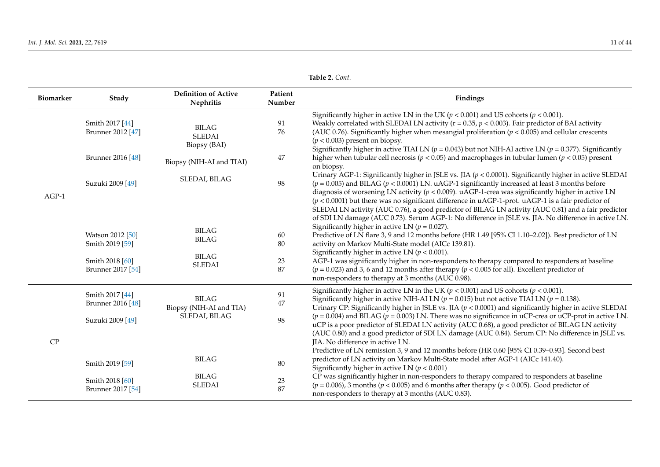| Biomarker | Study                                                                       | <b>Definition of Active</b><br><b>Nephritis</b>          | Patient<br>Number    | Findings                                                                                                                                                                                                                                                                                                                                                                                                                                                                                                                                                                                                                                                                 |
|-----------|-----------------------------------------------------------------------------|----------------------------------------------------------|----------------------|--------------------------------------------------------------------------------------------------------------------------------------------------------------------------------------------------------------------------------------------------------------------------------------------------------------------------------------------------------------------------------------------------------------------------------------------------------------------------------------------------------------------------------------------------------------------------------------------------------------------------------------------------------------------------|
|           | Smith 2017 [44]<br>Brunner 2012 [47]                                        | <b>BILAG</b><br><b>SLEDAI</b><br>Biopsy (BAI)            | 91<br>76             | Significantly higher in active LN in the UK ( $p < 0.001$ ) and US cohorts ( $p < 0.001$ ).<br>Weakly correlated with SLEDAI LN activity ( $r = 0.35$ , $p < 0.003$ ). Fair predictor of BAI activity<br>(AUC 0.76). Significantly higher when mesangial proliferation ( $p < 0.005$ ) and cellular crescents<br>$(p < 0.003)$ present on biopsy.<br>Significantly higher in active TIAI LN ( $p = 0.043$ ) but not NIH-AI active LN ( $p = 0.377$ ). Significantly                                                                                                                                                                                                      |
|           | Brunner 2016 [48]                                                           | Biopsy (NIH-AI and TIAI)                                 | 47                   | higher when tubular cell necrosis ( $p < 0.05$ ) and macrophages in tubular lumen ( $p < 0.05$ ) present<br>on biopsy.                                                                                                                                                                                                                                                                                                                                                                                                                                                                                                                                                   |
| $AGP-1$   | Suzuki 2009 [49]                                                            | SLEDAI, BILAG                                            | 98                   | Urinary AGP-1: Significantly higher in JSLE vs. JIA ( $p < 0.0001$ ). Significantly higher in active SLEDAI<br>$(p = 0.005)$ and BILAG ( $p < 0.0001$ ) LN. uAGP-1 significantly increased at least 3 months before<br>diagnosis of worsening LN activity ( $p < 0.009$ ). uAGP-1-crea was significantly higher in active LN<br>$(p < 0.0001)$ but there was no significant difference in uAGP-1-prot. uAGP-1 is a fair predictor of<br>SLEDAI LN activity (AUC 0.76), a good predictor of BILAG LN activity (AUC 0.81) and a fair predictor<br>of SDI LN damage (AUC 0.73). Serum AGP-1: No difference in JSLE vs. JIA. No difference in active LN.                     |
|           | Watson 2012 [50]<br>Smith 2019 [59]<br>Smith 2018 [60]<br>Brunner 2017 [54] | <b>BILAG</b><br><b>BILAG</b><br>BILAG<br><b>SLEDAI</b>   | 60<br>80<br>23<br>87 | Significantly higher in active LN ( $p = 0.027$ ).<br>Predictive of LN flare 3, 9 and 12 months before (HR 1.49 [95% CI 1.10-2.02]). Best predictor of LN<br>activity on Markov Multi-State model (AICc 139.81).<br>Significantly higher in active LN ( $p < 0.001$ ).<br>AGP-1 was significantly higher in non-responders to therapy compared to responders at baseline<br>$(p = 0.023)$ and 3, 6 and 12 months after therapy ( $p < 0.005$ for all). Excellent predictor of<br>non-responders to therapy at 3 months (AUC 0.98).                                                                                                                                       |
| CP        | Smith 2017 [44]<br>Brunner 2016 [48]<br>Suzuki 2009 [49]                    | <b>BILAG</b><br>Biopsy (NIH-AI and TIA)<br>SLEDAI, BILAG | 91<br>47<br>98       | Significantly higher in active LN in the UK ( $p < 0.001$ ) and US cohorts ( $p < 0.001$ ).<br>Significantly higher in active NIH-AI LN ( $p = 0.015$ ) but not active TIAI LN ( $p = 0.138$ ).<br>Urinary CP: Significantly higher in JSLE vs. JIA ( $p < 0.0001$ ) and significantly higher in active SLEDAI<br>$(p = 0.004)$ and BILAG ( $p = 0.003$ ) LN. There was no significance in uCP-crea or uCP-prot in active LN.<br>uCP is a poor predictor of SLEDAI LN activity (AUC 0.68), a good predictor of BILAG LN activity<br>(AUC 0.80) and a good predictor of SDI LN damage (AUC 0.84). Serum CP: No difference in JSLE vs.<br>JIA. No difference in active LN. |
|           | Smith 2019 [59]<br>Smith 2018 [60]<br>Brunner 2017 [54]                     | <b>BILAG</b><br><b>BILAG</b><br><b>SLEDAI</b>            | $80\,$<br>23<br>87   | Predictive of LN remission 3, 9 and 12 months before (HR 0.60 [95% CI 0.39-0.93]. Second best<br>predictor of LN activity on Markov Multi-State model after AGP-1 (AICc 141.40).<br>Significantly higher in active LN ( $p < 0.001$ )<br>CP was significantly higher in non-responders to therapy compared to responders at baseline<br>$(p = 0.006)$ , 3 months $(p < 0.005)$ and 6 months after therapy $(p < 0.005)$ . Good predictor of<br>non-responders to therapy at 3 months (AUC 0.83).                                                                                                                                                                         |

**Table 2.** *Cont.*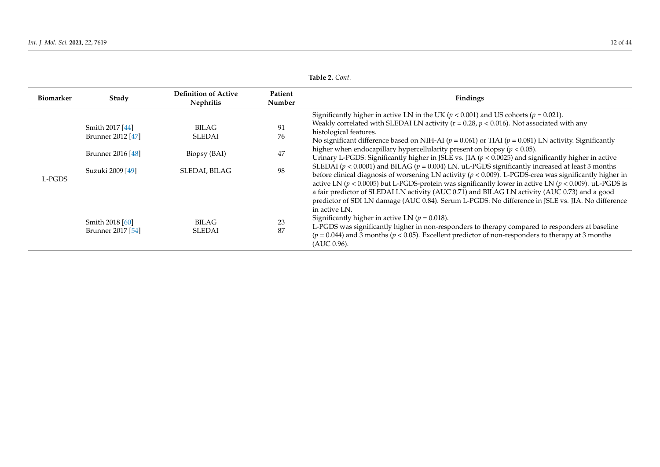| <b>Biomarker</b> | Study                                                                                                                 | <b>Definition of Active</b><br><b>Nephritis</b>                                     | Patient<br>Number                | Findings                                                                                                                                                                                                                                                                                                                                                                                                                                                                                                                                                                                                                                                                                                                                                                                                                                                                                                                                                                                                                                                                                                                                                                                                                                                                                                                                                                                  |
|------------------|-----------------------------------------------------------------------------------------------------------------------|-------------------------------------------------------------------------------------|----------------------------------|-------------------------------------------------------------------------------------------------------------------------------------------------------------------------------------------------------------------------------------------------------------------------------------------------------------------------------------------------------------------------------------------------------------------------------------------------------------------------------------------------------------------------------------------------------------------------------------------------------------------------------------------------------------------------------------------------------------------------------------------------------------------------------------------------------------------------------------------------------------------------------------------------------------------------------------------------------------------------------------------------------------------------------------------------------------------------------------------------------------------------------------------------------------------------------------------------------------------------------------------------------------------------------------------------------------------------------------------------------------------------------------------|
| L-PGDS           | Smith 2017 [44]<br>Brunner 2012 [47]<br>Brunner 2016 [48]<br>Suzuki 2009 [49]<br>Smith 2018 [60]<br>Brunner 2017 [54] | BILAG.<br><b>SLEDAI</b><br>Biopsy (BAI)<br>SLEDAI, BILAG<br>BILAG.<br><b>SLEDAI</b> | 91<br>76<br>47<br>98<br>23<br>87 | Significantly higher in active LN in the UK ( $p < 0.001$ ) and US cohorts ( $p = 0.021$ ).<br>Weakly correlated with SLEDAI LN activity ( $r = 0.28$ , $p < 0.016$ ). Not associated with any<br>histological features.<br>No significant difference based on NIH-AI ( $p = 0.061$ ) or TIAI ( $p = 0.081$ ) LN activity. Significantly<br>higher when endocapillary hypercellularity present on biopsy ( $p < 0.05$ ).<br>Urinary L-PGDS: Significantly higher in JSLE vs. JIA ( $p < 0.0025$ ) and significantly higher in active<br>SLEDAI ( $p < 0.0001$ ) and BILAG ( $p = 0.004$ ) LN. uL-PGDS significantly increased at least 3 months<br>before clinical diagnosis of worsening LN activity $(p < 0.009)$ . L-PGDS-crea was significantly higher in<br>active LN ( $p < 0.0005$ ) but L-PGDS-protein was significantly lower in active LN ( $p < 0.009$ ). uL-PGDS is<br>a fair predictor of SLEDAI LN activity (AUC 0.71) and BILAG LN activity (AUC 0.73) and a good<br>predictor of SDI LN damage (AUC 0.84). Serum L-PGDS: No difference in JSLE vs. JIA. No difference<br>in active LN.<br>Significantly higher in active LN ( $p = 0.018$ ).<br>L-PGDS was significantly higher in non-responders to therapy compared to responders at baseline<br>$(p = 0.044)$ and 3 months ( $p < 0.05$ ). Excellent predictor of non-responders to therapy at 3 months<br>(AUC 0.96). |

**Table 2.** *Cont.*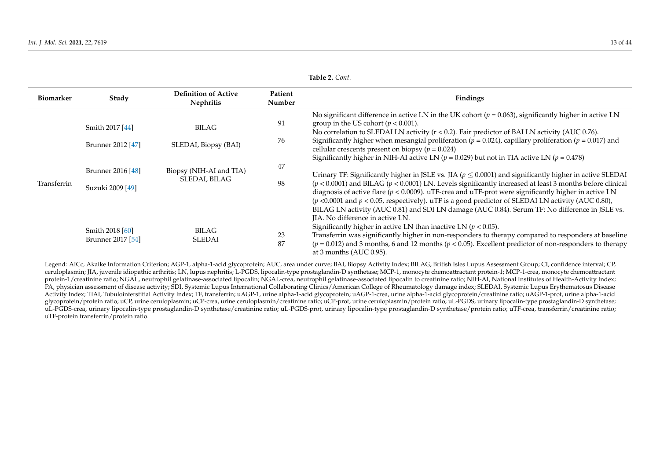| <b>Biomarker</b> | Study                                 | <b>Definition of Active</b><br><b>Nephritis</b> | Patient<br>Number | Findings                                                                                                                                                                                                                                                                                                                                                                                                                                                                                                                                                                                   |
|------------------|---------------------------------------|-------------------------------------------------|-------------------|--------------------------------------------------------------------------------------------------------------------------------------------------------------------------------------------------------------------------------------------------------------------------------------------------------------------------------------------------------------------------------------------------------------------------------------------------------------------------------------------------------------------------------------------------------------------------------------------|
|                  | Smith 2017 [44]<br>Brunner 2012 [47]  | BILAG<br>SLEDAI, Biopsy (BAI)                   | 91<br>76          | No significant difference in active LN in the UK cohort ( $p = 0.063$ ), significantly higher in active LN<br>group in the US cohort ( $p < 0.001$ ).<br>No correlation to SLEDAI LN activity ( $r < 0.2$ ). Fair predictor of BAI LN activity (AUC 0.76).<br>Significantly higher when mesangial proliferation ( $p = 0.024$ ), capillary proliferation ( $p = 0.017$ ) and<br>cellular crescents present on biopsy ( $p = 0.024$ )<br>Significantly higher in NIH-AI active LN ( $p = 0.029$ ) but not in TIA active LN ( $p = 0.478$ )                                                  |
| Transferrin      | Brunner 2016 [48]<br>Suzuki 2009 [49] | Biopsy (NIH-AI and TIA)<br>SLEDAI, BILAG        | 47<br>98          | Urinary TF: Significantly higher in JSLE vs. JIA ( $p \leq 0.0001$ ) and significantly higher in active SLEDAI<br>$(p < 0.0001)$ and BILAG $(p < 0.0001)$ LN. Levels significantly increased at least 3 months before clinical<br>diagnosis of active flare ( $p < 0.0009$ ). uTF-crea and uTF-prot were significantly higher in active LN<br>( $p$ <0.0001 and $p$ < 0.05, respectively). uTF is a good predictor of SLEDAI LN activity (AUC 0.80),<br>BILAG LN activity (AUC 0.81) and SDI LN damage (AUC 0.84). Serum TF: No difference in JSLE vs.<br>JIA. No difference in active LN. |
|                  | Smith 2018 [60]<br>Brunner 2017 [54]  | <b>BILAG</b><br>SLEDAI                          | 23<br>87          | Significantly higher in active LN than inactive LN ( $p < 0.05$ ).<br>Transferrin was significantly higher in non-responders to therapy compared to responders at baseline<br>$(p = 0.012)$ and 3 months, 6 and 12 months ( $p < 0.05$ ). Excellent predictor of non-responders to therapy<br>at 3 months (AUC 0.95).                                                                                                                                                                                                                                                                      |

**Table 2.** *Cont.*

<span id="page-12-0"></span>Legend: AICc, Akaike Information Criterion; AGP-1, alpha-1-acid glycoprotein; AUC, area under curve; BAI, Biopsy Activity Index; BILAG, British Isles Lupus Assessment Group; CI, confidence interval; CP, ceruloplasmin; JIA, juvenile idiopathic arthritis; LN, lupus nephritis; L-PGDS, lipocalin-type prostaglandin-D synthetase; MCP-1, monocyte chemoattractant protein-1; MCP-1-crea, monocyte chemoattractant protein-1/creatinine ratio; NGAL, neutrophil gelatinase-associated lipocalin; NGAL-crea, neutrophil gelatinase-associated lipocalin to creatinine ratio; NIH-AI, National Institutes of Health-Activity Index; PA, physician assessment of disease activity; SDI, Systemic Lupus International Collaborating Clinics/American College of Rheumatology damage index; SLEDAI, Systemic Lupus Erythematosus Disease Activity Index; TIAI, Tubulointerstitial Activity Index; TF, transferrin; uAGP-1, urine alpha-1-acid glycoprotein; uAGP-1-crea, urine alpha-1-acid glycoprotein/creatinine ratio; uAGP-1-prot, urine alpha-1-acid glycoprotein glycoprotein/protein ratio; uCP, urine ceruloplasmin; uCP-crea, urine ceruloplasmin/creatinine ratio; uCP-prot, urine ceruloplasmin/protein ratio; uL-PGDS, urinary lipocalin-type prostaglandin-D synthetase; uL-PGDS-crea, urinary lipocalin-type prostaglandin-D synthetase/creatinine ratio; uL-PGDS-prot, urinary lipocalin-type prostaglandin-D synthetase/protein ratio; uTF-crea, transferrin/creatinine ratio; uTF-protein transferrin/protein ratio.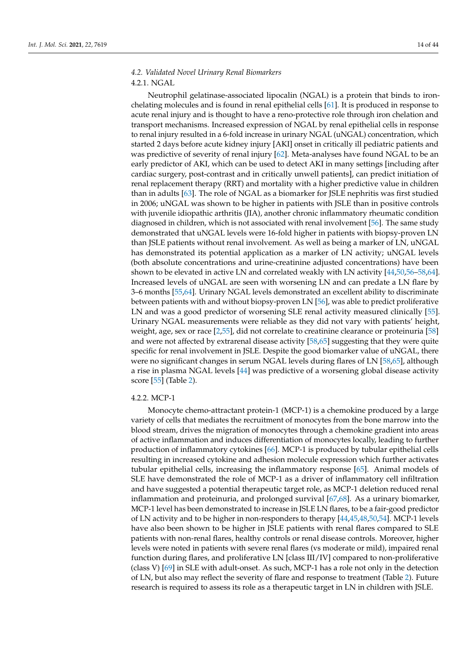# *4.2. Validated Novel Urinary Renal Biomarkers*

### 4.2.1. NGAL

Neutrophil gelatinase-associated lipocalin (NGAL) is a protein that binds to ironchelating molecules and is found in renal epithelial cells [\[61\]](#page-35-9). It is produced in response to acute renal injury and is thought to have a reno-protective role through iron chelation and transport mechanisms. Increased expression of NGAL by renal epithelial cells in response to renal injury resulted in a 6-fold increase in urinary NGAL (uNGAL) concentration, which started 2 days before acute kidney injury [AKI] onset in critically ill pediatric patients and was predictive of severity of renal injury [\[62\]](#page-35-10). Meta-analyses have found NGAL to be an early predictor of AKI, which can be used to detect AKI in many settings [including after cardiac surgery, post-contrast and in critically unwell patients], can predict initiation of renal replacement therapy (RRT) and mortality with a higher predictive value in children than in adults [\[63\]](#page-35-11). The role of NGAL as a biomarker for JSLE nephritis was first studied in 2006; uNGAL was shown to be higher in patients with JSLE than in positive controls with juvenile idiopathic arthritis (JIA), another chronic inflammatory rheumatic condition diagnosed in children, which is not associated with renal involvement [\[56\]](#page-35-12). The same study demonstrated that uNGAL levels were 16-fold higher in patients with biopsy-proven LN than JSLE patients without renal involvement. As well as being a marker of LN, uNGAL has demonstrated its potential application as a marker of LN activity; uNGAL levels (both absolute concentrations and urine-creatinine adjusted concentrations) have been shown to be elevated in active LN and correlated weakly with LN activity [\[44,](#page-34-17)[50,](#page-34-19)[56–](#page-35-12)[58](#page-35-13)[,64\]](#page-35-14). Increased levels of uNGAL are seen with worsening LN and can predate a LN flare by 3–6 months [\[55,](#page-35-15)[64\]](#page-35-14). Urinary NGAL levels demonstrated an excellent ability to discriminate between patients with and without biopsy-proven LN [\[56\]](#page-35-12), was able to predict proliferative LN and was a good predictor of worsening SLE renal activity measured clinically [\[55\]](#page-35-15). Urinary NGAL measurements were reliable as they did not vary with patients' height, weight, age, sex or race [\[2,](#page-33-25)[55\]](#page-35-15), did not correlate to creatinine clearance or proteinuria [\[58\]](#page-35-13) and were not affected by extrarenal disease activity [\[58,](#page-35-13)[65\]](#page-35-16) suggesting that they were quite specific for renal involvement in JSLE. Despite the good biomarker value of uNGAL, there were no significant changes in serum NGAL levels during flares of LN [\[58](#page-35-13)[,65\]](#page-35-16), although a rise in plasma NGAL levels [\[44\]](#page-34-17) was predictive of a worsening global disease activity score [\[55\]](#page-35-15) (Table [2\)](#page-12-0).

### 4.2.2. MCP-1

Monocyte chemo-attractant protein-1 (MCP-1) is a chemokine produced by a large variety of cells that mediates the recruitment of monocytes from the bone marrow into the blood stream, drives the migration of monocytes through a chemokine gradient into areas of active inflammation and induces differentiation of monocytes locally, leading to further production of inflammatory cytokines [\[66\]](#page-35-17). MCP-1 is produced by tubular epithelial cells resulting in increased cytokine and adhesion molecule expression which further activates tubular epithelial cells, increasing the inflammatory response [\[65\]](#page-35-16). Animal models of SLE have demonstrated the role of MCP-1 as a driver of inflammatory cell infiltration and have suggested a potential therapeutic target role, as MCP-1 deletion reduced renal inflammation and proteinuria, and prolonged survival [\[67](#page-35-18)[,68\]](#page-35-19). As a urinary biomarker, MCP-1 level has been demonstrated to increase in JSLE LN flares, to be a fair-good predictor of LN activity and to be higher in non-responders to therapy [\[44,](#page-34-17)[45](#page-34-32)[,48](#page-34-18)[,50](#page-34-19)[,54\]](#page-35-20). MCP-1 levels have also been shown to be higher in JSLE patients with renal flares compared to SLE patients with non-renal flares, healthy controls or renal disease controls. Moreover, higher levels were noted in patients with severe renal flares (vs moderate or mild), impaired renal function during flares, and proliferative LN [class III/IV] compared to non-proliferative (class V) [\[69\]](#page-35-21) in SLE with adult-onset. As such, MCP-1 has a role not only in the detection of LN, but also may reflect the severity of flare and response to treatment (Table [2\)](#page-12-0). Future research is required to assess its role as a therapeutic target in LN in children with JSLE.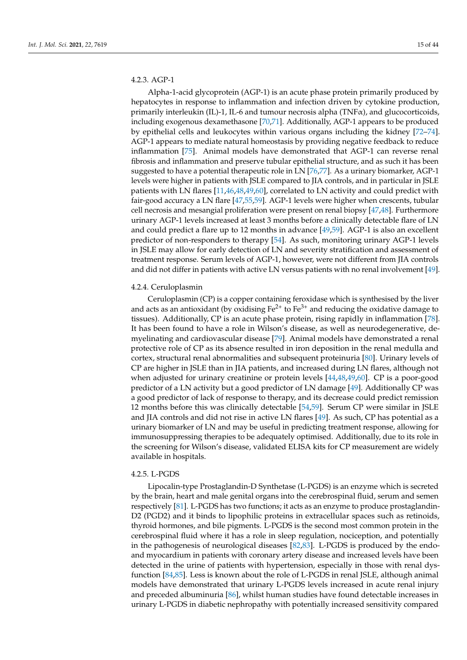## 4.2.3. AGP-1

Alpha-1-acid glycoprotein (AGP-1) is an acute phase protein primarily produced by hepatocytes in response to inflammation and infection driven by cytokine production, primarily interleukin (IL)-1, IL-6 and tumour necrosis alpha (TNFα), and glucocorticoids, including exogenous dexamethasone [\[70,](#page-35-22)[71\]](#page-35-23). Additionally, AGP-1 appears to be produced by epithelial cells and leukocytes within various organs including the kidney [\[72](#page-35-24)[–74\]](#page-35-25). AGP-1 appears to mediate natural homeostasis by providing negative feedback to reduce inflammation [\[75\]](#page-36-0). Animal models have demonstrated that AGP-1 can reverse renal fibrosis and inflammation and preserve tubular epithelial structure, and as such it has been suggested to have a potential therapeutic role in LN [\[76](#page-36-1)[,77\]](#page-36-2). As a urinary biomarker, AGP-1 levels were higher in patients with JSLE compared to JIA controls, and in particular in JSLE patients with LN flares [\[11](#page-33-9)[,46](#page-34-28)[,48](#page-34-18)[,49](#page-34-29)[,60\]](#page-35-26), correlated to LN activity and could predict with fair-good accuracy a LN flare [\[47](#page-34-30)[,55](#page-35-15)[,59\]](#page-35-27). AGP-1 levels were higher when crescents, tubular cell necrosis and mesangial proliferation were present on renal biopsy [\[47,](#page-34-30)[48\]](#page-34-18). Furthermore urinary AGP-1 levels increased at least 3 months before a clinically detectable flare of LN and could predict a flare up to 12 months in advance [\[49,](#page-34-29)[59\]](#page-35-27). AGP-1 is also an excellent predictor of non-responders to therapy [\[54\]](#page-35-20). As such, monitoring urinary AGP-1 levels in JSLE may allow for early detection of LN and severity stratification and assessment of treatment response. Serum levels of AGP-1, however, were not different from JIA controls and did not differ in patients with active LN versus patients with no renal involvement [\[49\]](#page-34-29).

### 4.2.4. Ceruloplasmin

Ceruloplasmin (CP) is a copper containing feroxidase which is synthesised by the liver and acts as an antioxidant (by oxidising  $Fe^{2+}$  to  $Fe^{3+}$  and reducing the oxidative damage to tissues). Additionally, CP is an acute phase protein, rising rapidly in inflammation [\[78\]](#page-36-3). It has been found to have a role in Wilson's disease, as well as neurodegenerative, demyelinating and cardiovascular disease [\[79\]](#page-36-4). Animal models have demonstrated a renal protective role of CP as its absence resulted in iron deposition in the renal medulla and cortex, structural renal abnormalities and subsequent proteinuria [\[80\]](#page-36-5). Urinary levels of CP are higher in JSLE than in JIA patients, and increased during LN flares, although not when adjusted for urinary creatinine or protein levels [\[44,](#page-34-17)[48,](#page-34-18)[49,](#page-34-29)[60\]](#page-35-26). CP is a poor-good predictor of a LN activity but a good predictor of LN damage [\[49\]](#page-34-29). Additionally CP was a good predictor of lack of response to therapy, and its decrease could predict remission 12 months before this was clinically detectable [\[54,](#page-35-20)[59\]](#page-35-27). Serum CP were similar in JSLE and JIA controls and did not rise in active LN flares [\[49\]](#page-34-29). As such, CP has potential as a urinary biomarker of LN and may be useful in predicting treatment response, allowing for immunosuppressing therapies to be adequately optimised. Additionally, due to its role in the screening for Wilson's disease, validated ELISA kits for CP measurement are widely available in hospitals.

### 4.2.5. L-PGDS

Lipocalin-type Prostaglandin-D Synthetase (L-PGDS) is an enzyme which is secreted by the brain, heart and male genital organs into the cerebrospinal fluid, serum and semen respectively [\[81\]](#page-36-6). L-PGDS has two functions; it acts as an enzyme to produce prostaglandin-D2 (PGD2) and it binds to lipophilic proteins in extracellular spaces such as retinoids, thyroid hormones, and bile pigments. L-PGDS is the second most common protein in the cerebrospinal fluid where it has a role in sleep regulation, nociception, and potentially in the pathogenesis of neurological diseases [\[82,](#page-36-7)[83\]](#page-36-8). L-PGDS is produced by the endoand myocardium in patients with coronary artery disease and increased levels have been detected in the urine of patients with hypertension, especially in those with renal dysfunction [\[84,](#page-36-9)[85\]](#page-36-10). Less is known about the role of L-PGDS in renal JSLE, although animal models have demonstrated that urinary L-PGDS levels increased in acute renal injury and preceded albuminuria [\[86\]](#page-36-11), whilst human studies have found detectable increases in urinary L-PGDS in diabetic nephropathy with potentially increased sensitivity compared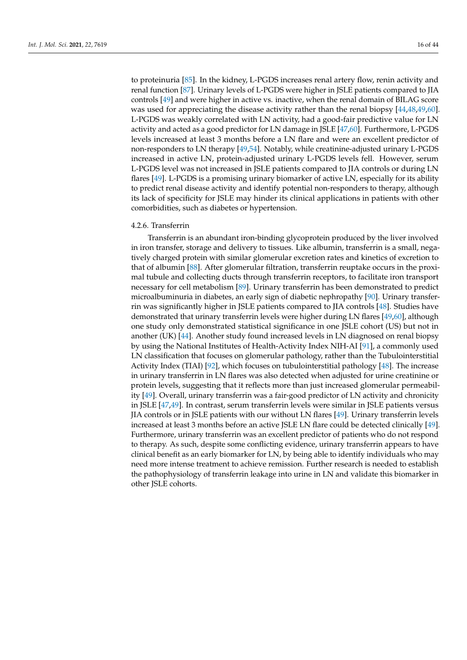to proteinuria [\[85\]](#page-36-10). In the kidney, L-PGDS increases renal artery flow, renin activity and renal function [\[87\]](#page-36-12). Urinary levels of L-PGDS were higher in JSLE patients compared to JIA controls [\[49\]](#page-34-29) and were higher in active vs. inactive, when the renal domain of BILAG score was used for appreciating the disease activity rather than the renal biopsy [\[44,](#page-34-17)[48,](#page-34-18)[49,](#page-34-29)[60\]](#page-35-26). L-PGDS was weakly correlated with LN activity, had a good-fair predictive value for LN activity and acted as a good predictor for LN damage in JSLE [\[47](#page-34-30)[,60\]](#page-35-26). Furthermore, L-PGDS levels increased at least 3 months before a LN flare and were an excellent predictor of non-responders to LN therapy [\[49](#page-34-29)[,54\]](#page-35-20). Notably, while creatinine-adjusted urinary L-PGDS increased in active LN, protein-adjusted urinary L-PGDS levels fell. However, serum L-PGDS level was not increased in JSLE patients compared to JIA controls or during LN flares [\[49\]](#page-34-29). L-PGDS is a promising urinary biomarker of active LN, especially for its ability to predict renal disease activity and identify potential non-responders to therapy, although its lack of specificity for JSLE may hinder its clinical applications in patients with other comorbidities, such as diabetes or hypertension.

### 4.2.6. Transferrin

Transferrin is an abundant iron-binding glycoprotein produced by the liver involved in iron transfer, storage and delivery to tissues. Like albumin, transferrin is a small, negatively charged protein with similar glomerular excretion rates and kinetics of excretion to that of albumin [\[88\]](#page-36-13). After glomerular filtration, transferrin reuptake occurs in the proximal tubule and collecting ducts through transferrin receptors, to facilitate iron transport necessary for cell metabolism [\[89\]](#page-36-14). Urinary transferrin has been demonstrated to predict microalbuminuria in diabetes, an early sign of diabetic nephropathy [\[90\]](#page-36-15). Urinary transferrin was significantly higher in JSLE patients compared to JIA controls [\[48\]](#page-34-18). Studies have demonstrated that urinary transferrin levels were higher during LN flares [\[49](#page-34-29)[,60\]](#page-35-26), although one study only demonstrated statistical significance in one JSLE cohort (US) but not in another (UK) [\[44\]](#page-34-17). Another study found increased levels in LN diagnosed on renal biopsy by using the National Institutes of Health-Activity Index NIH-AI [\[91\]](#page-36-16), a commonly used LN classification that focuses on glomerular pathology, rather than the Tubulointerstitial Activity Index (TIAI) [\[92\]](#page-36-17), which focuses on tubulointerstitial pathology [\[48\]](#page-34-18). The increase in urinary transferrin in LN flares was also detected when adjusted for urine creatinine or protein levels, suggesting that it reflects more than just increased glomerular permeability [\[49\]](#page-34-29). Overall, urinary transferrin was a fair-good predictor of LN activity and chronicity in JSLE [\[47,](#page-34-30)[49\]](#page-34-29). In contrast, serum transferrin levels were similar in JSLE patients versus JIA controls or in JSLE patients with our without LN flares [\[49\]](#page-34-29). Urinary transferrin levels increased at least 3 months before an active JSLE LN flare could be detected clinically [\[49\]](#page-34-29). Furthermore, urinary transferrin was an excellent predictor of patients who do not respond to therapy. As such, despite some conflicting evidence, urinary transferrin appears to have clinical benefit as an early biomarker for LN, by being able to identify individuals who may need more intense treatment to achieve remission. Further research is needed to establish the pathophysiology of transferrin leakage into urine in LN and validate this biomarker in other JSLE cohorts.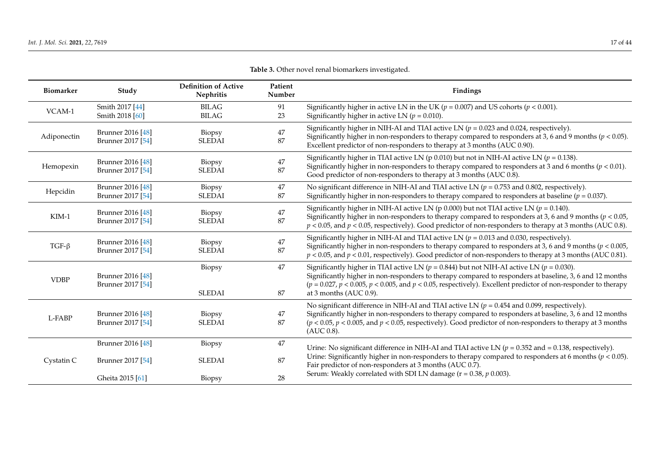| <b>Biomarker</b> | Study                                  | <b>Definition of Active</b><br>Nephritis | Patient<br>Number | Findings                                                                                                                                                                                                                                                                                                                                                         |
|------------------|----------------------------------------|------------------------------------------|-------------------|------------------------------------------------------------------------------------------------------------------------------------------------------------------------------------------------------------------------------------------------------------------------------------------------------------------------------------------------------------------|
| VCAM-1           | Smith 2017 [44]<br>Smith 2018 [60]     | <b>BILAG</b><br><b>BILAG</b>             | 91<br>23          | Significantly higher in active LN in the UK ( $p = 0.007$ ) and US cohorts ( $p < 0.001$ ).<br>Significantly higher in active LN ( $p = 0.010$ ).                                                                                                                                                                                                                |
| Adiponectin      | Brunner 2016 [48]<br>Brunner 2017 [54] | Biopsy<br><b>SLEDAI</b>                  | 47<br>87          | Significantly higher in NIH-AI and TIAI active LN ( $p = 0.023$ and 0.024, respectively).<br>Significantly higher in non-responders to therapy compared to responders at 3, 6 and 9 months ( $p < 0.05$ ).<br>Excellent predictor of non-responders to therapy at 3 months (AUC 0.90).                                                                           |
| Hemopexin        | Brunner 2016 [48]<br>Brunner 2017 [54] | Biopsy<br><b>SLEDAI</b>                  | 47<br>87          | Significantly higher in TIAI active LN (p 0.010) but not in NIH-AI active LN ( $p = 0.138$ ).<br>Significantly higher in non-responders to therapy compared to responders at 3 and 6 months ( $p < 0.01$ ).<br>Good predictor of non-responders to therapy at 3 months (AUC 0.8).                                                                                |
| Hepcidin         | Brunner 2016 [48]<br>Brunner 2017 [54] | Biopsy<br><b>SLEDAI</b>                  | 47<br>87          | No significant difference in NIH-AI and TIAI active LN ( $p = 0.753$ and 0.802, respectively).<br>Significantly higher in non-responders to therapy compared to responders at baseline ( $p = 0.037$ ).                                                                                                                                                          |
| $KIM-1$          | Brunner 2016 [48]<br>Brunner 2017 [54] | Biopsy<br><b>SLEDAI</b>                  | 47<br>87          | Significantly higher in NIH-AI active LN (p 0.000) but not TIAI active LN ( $p = 0.140$ ).<br>Significantly higher in non-responders to therapy compared to responders at 3, 6 and 9 months ( $p < 0.05$ ,<br>$p < 0.05$ , and $p < 0.05$ , respectively). Good predictor of non-responders to therapy at 3 months (AUC 0.8).                                    |
| TGF- $\beta$     | Brunner 2016 [48]<br>Brunner 2017 [54] | Biopsy<br><b>SLEDAI</b>                  | 47<br>87          | Significantly higher in NIH-AI and TIAI active LN $(p = 0.013$ and 0.030, respectively).<br>Significantly higher in non-responders to therapy compared to responders at 3, 6 and 9 months ( $p < 0.005$ ,<br>$p < 0.05$ , and $p < 0.01$ , respectively). Good predictor of non-responders to therapy at 3 months (AUC 0.81).                                    |
| <b>VDBP</b>      | Brunner 2016 [48]<br>Brunner 2017 [54] | Biopsy<br><b>SLEDAI</b>                  | 47<br>87          | Significantly higher in TIAI active LN ( $p = 0.844$ ) but not NIH-AI active LN ( $p = 0.030$ ).<br>Significantly higher in non-responders to therapy compared to responders at baseline, 3, 6 and 12 months<br>$(p = 0.027, p < 0.005, p < 0.005,$ and $p < 0.05$ , respectively). Excellent predictor of non-responder to therapy<br>at 3 months (AUC $0.9$ ). |
| L-FABP           | Brunner 2016 [48]<br>Brunner 2017 [54] | Biopsy<br><b>SLEDAI</b>                  | 47<br>87          | No significant difference in NIH-AI and TIAI active LN ( $p = 0.454$ and 0.099, respectively).<br>Significantly higher in non-responders to therapy compared to responders at baseline, 3, 6 and 12 months<br>$(p < 0.05, p < 0.005,$ and $p < 0.05$ , respectively). Good predictor of non-responders to therapy at 3 months<br>(AUC 0.8).                      |
| Cystatin C       | Brunner 2016 [48]<br>Brunner 2017 [54] | Biopsy<br><b>SLEDAI</b>                  | 47<br>87          | Urine: No significant difference in NIH-AI and TIAI active LN ( $p = 0.352$ and $= 0.138$ , respectively).<br>Urine: Significantly higher in non-responders to therapy compared to responders at 6 months ( $p < 0.05$ ).<br>Fair predictor of non-responders at 3 months (AUC 0.7).                                                                             |
|                  | Gheita 2015 [61]                       | Biopsy                                   | 28                | Serum: Weakly correlated with SDI LN damage ( $r = 0.38$ , $p = 0.003$ ).                                                                                                                                                                                                                                                                                        |

# **Table 3.** Other novel renal biomarkers investigated.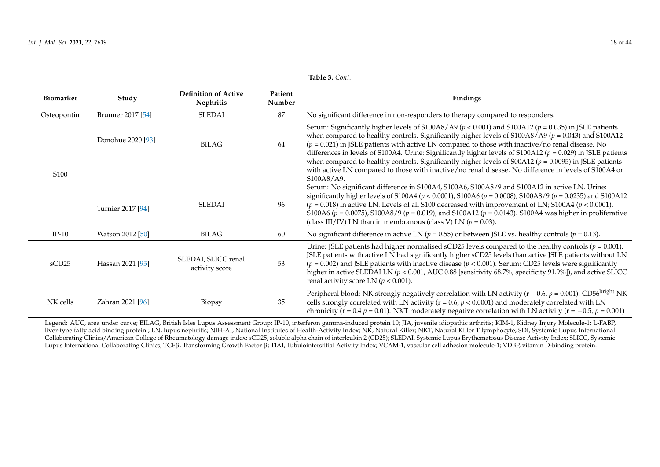| <b>Biomarker</b>  | Study                                  | <b>Definition of Active</b><br>Nephritis | Patient<br>Number | Findings                                                                                                                                                                                                                                                                                                                                                                                                                                                                                                                                                                                                                                                                                                                                                                                                                                                                                                                                                                                                                                                                                                                                                                    |
|-------------------|----------------------------------------|------------------------------------------|-------------------|-----------------------------------------------------------------------------------------------------------------------------------------------------------------------------------------------------------------------------------------------------------------------------------------------------------------------------------------------------------------------------------------------------------------------------------------------------------------------------------------------------------------------------------------------------------------------------------------------------------------------------------------------------------------------------------------------------------------------------------------------------------------------------------------------------------------------------------------------------------------------------------------------------------------------------------------------------------------------------------------------------------------------------------------------------------------------------------------------------------------------------------------------------------------------------|
| Osteopontin       | Brunner 2017 [54]                      | <b>SLEDAI</b>                            | 87                | No significant difference in non-responders to therapy compared to responders.                                                                                                                                                                                                                                                                                                                                                                                                                                                                                                                                                                                                                                                                                                                                                                                                                                                                                                                                                                                                                                                                                              |
| S <sub>100</sub>  | Donohue 2020 [93]<br>Turnier 2017 [94] | <b>BILAG</b><br><b>SLEDAI</b>            | 64<br>96          | Serum: Significantly higher levels of S100A8/A9 ( $p < 0.001$ ) and S100A12 ( $p = 0.035$ ) in JSLE patients<br>when compared to healthy controls. Significantly higher levels of $\frac{5100A8}{A9}$ ( $p = 0.043$ ) and $\frac{5100A12}{B}$<br>$(p = 0.021)$ in JSLE patients with active LN compared to those with inactive/no renal disease. No<br>differences in levels of S100A4. Urine: Significantly higher levels of S100A12 ( $p = 0.029$ ) in JSLE patients<br>when compared to healthy controls. Significantly higher levels of $S00A12$ ( $p = 0.0095$ ) in JSLE patients<br>with active LN compared to those with inactive/no renal disease. No difference in levels of S100A4 or<br>S100A8/A9.<br>Serum: No significant difference in S100A4, S100A6, S100A8/9 and S100A12 in active LN. Urine:<br>significantly higher levels of S100A4 ( $p < 0.0001$ ), S100A6 ( $p = 0.0008$ ), S100A8/9 ( $p = 0.0235$ ) and S100A12<br>$(p = 0.018)$ in active LN. Levels of all S100 decreased with improvement of LN; S100A4 $(p < 0.0001)$ ,<br>S100A6 ( $p = 0.0075$ ), S100A8/9 ( $p = 0.019$ ), and S100A12 ( $p = 0.0143$ ). S100A4 was higher in proliferative |
|                   |                                        |                                          |                   | (class III/IV) LN than in membranous (class V) LN ( $p = 0.03$ ).                                                                                                                                                                                                                                                                                                                                                                                                                                                                                                                                                                                                                                                                                                                                                                                                                                                                                                                                                                                                                                                                                                           |
| $IP-10$           | Watson 2012 [50]                       | BILAG                                    | 60                | No significant difference in active LN ( $p = 0.55$ ) or between JSLE vs. healthy controls ( $p = 0.13$ ).                                                                                                                                                                                                                                                                                                                                                                                                                                                                                                                                                                                                                                                                                                                                                                                                                                                                                                                                                                                                                                                                  |
| sCD <sub>25</sub> | Hassan 2021 [95]                       | SLEDAI, SLICC renal<br>activity score    | 53                | Urine: JSLE patients had higher normalised sCD25 levels compared to the healthy controls ( $p = 0.001$ ).<br>JSLE patients with active LN had significantly higher sCD25 levels than active JSLE patients without LN<br>$(p = 0.002)$ and JSLE patients with inactive disease $(p < 0.001)$ . Serum: CD25 levels were significantly<br>higher in active SLEDAI LN ( $p < 0.001$ , AUC 0.88 [sensitivity 68.7%, specificity 91.9%]), and active SLICC<br>renal activity score LN ( $p < 0.001$ ).                                                                                                                                                                                                                                                                                                                                                                                                                                                                                                                                                                                                                                                                            |
| NK cells          | Zahran 2021 [96]                       | Biopsy                                   | 35                | Peripheral blood: NK strongly negatively correlation with LN activity ( $r - 0.6$ , $p = 0.001$ ). CD56 <sup>bright</sup> NK<br>cells strongly correlated with LN activity ( $r = 0.6$ , $p < 0.0001$ ) and moderately correlated with LN<br>chronicity (r = 0.4 $p$ = 0.01). NKT moderately negative correlation with LN activity (r = -0.5, $p$ = 0.001)                                                                                                                                                                                                                                                                                                                                                                                                                                                                                                                                                                                                                                                                                                                                                                                                                  |

<span id="page-17-0"></span>Legend: AUC, area under curve; BILAG, British Isles Lupus Assessment Group; IP-10, interferon gamma-induced protein 10; JIA, juvenile idiopathic arthritis; KIM-1, Kidney Injury Molecule-1; L-FABP, liver-type fatty acid binding protein ; LN, lupus nephritis; NIH-AI, National Institutes of Health-Activity Index; NK, Natural Killer; NKT, Natural Killer T lymphocyte; SDI, Systemic Lupus International Collaborating Clinics/American College of Rheumatology damage index; sCD25, soluble alpha chain of interleukin 2 (CD25); SLEDAI, Systemic Lupus Erythematosus Disease Activity Index; SLICC, Systemic Lupus International Collaborating Clinics; TGFβ, Transforming Growth Factor β; TIAI, Tubulointerstitial Activity Index; VCAM-1, vascular cell adhesion molecule-1; VDBP, vitamin D-binding protein.

**Table 3.** *Cont.*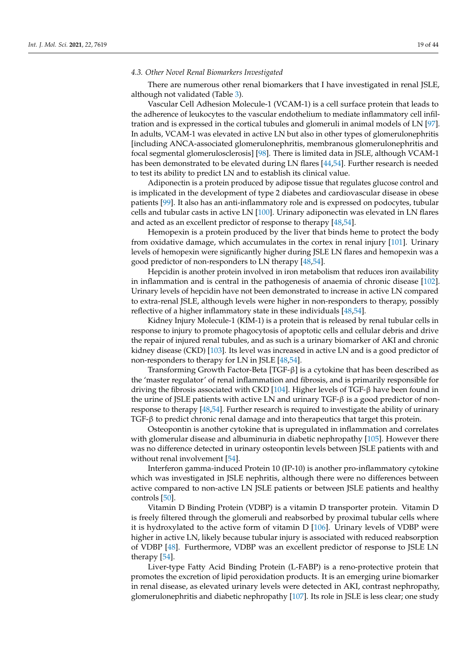### *4.3. Other Novel Renal Biomarkers Investigated*

There are numerous other renal biomarkers that I have investigated in renal JSLE, although not validated (Table [3\)](#page-17-0).

Vascular Cell Adhesion Molecule-1 (VCAM-1) is a cell surface protein that leads to the adherence of leukocytes to the vascular endothelium to mediate inflammatory cell infiltration and is expressed in the cortical tubules and glomeruli in animal models of LN [\[97\]](#page-36-22). In adults, VCAM-1 was elevated in active LN but also in other types of glomerulonephritis [including ANCA-associated glomerulonephritis, membranous glomerulonephritis and focal segmental glomerulosclerosis] [\[98\]](#page-36-23). There is limited data in JSLE, although VCAM-1 has been demonstrated to be elevated during LN flares [\[44](#page-34-17)[,54\]](#page-35-20). Further research is needed to test its ability to predict LN and to establish its clinical value.

Adiponectin is a protein produced by adipose tissue that regulates glucose control and is implicated in the development of type 2 diabetes and cardiovascular disease in obese patients [\[99\]](#page-37-0). It also has an anti-inflammatory role and is expressed on podocytes, tubular cells and tubular casts in active LN [\[100\]](#page-37-1). Urinary adiponectin was elevated in LN flares and acted as an excellent predictor of response to therapy [\[48](#page-34-18)[,54\]](#page-35-20).

Hemopexin is a protein produced by the liver that binds heme to protect the body from oxidative damage, which accumulates in the cortex in renal injury [\[101\]](#page-37-2). Urinary levels of hemopexin were significantly higher during JSLE LN flares and hemopexin was a good predictor of non-responders to LN therapy [\[48](#page-34-18)[,54\]](#page-35-20).

Hepcidin is another protein involved in iron metabolism that reduces iron availability in inflammation and is central in the pathogenesis of anaemia of chronic disease [\[102\]](#page-37-3). Urinary levels of hepcidin have not been demonstrated to increase in active LN compared to extra-renal JSLE, although levels were higher in non-responders to therapy, possibly reflective of a higher inflammatory state in these individuals [\[48,](#page-34-18)[54\]](#page-35-20).

Kidney Injury Molecule-1 (KIM-1) is a protein that is released by renal tubular cells in response to injury to promote phagocytosis of apoptotic cells and cellular debris and drive the repair of injured renal tubules, and as such is a urinary biomarker of AKI and chronic kidney disease (CKD) [\[103\]](#page-37-4). Its level was increased in active LN and is a good predictor of non-responders to therapy for LN in JSLE [\[48](#page-34-18)[,54\]](#page-35-20).

Transforming Growth Factor-Beta [TGF-β] is a cytokine that has been described as the 'master regulator' of renal inflammation and fibrosis, and is primarily responsible for driving the fibrosis associated with CKD [\[104\]](#page-37-5). Higher levels of TGF-β have been found in the urine of JSLE patients with active LN and urinary  $TGF-\beta$  is a good predictor of nonresponse to therapy [\[48,](#page-34-18)[54\]](#page-35-20). Further research is required to investigate the ability of urinary TGF-β to predict chronic renal damage and into therapeutics that target this protein.

Osteopontin is another cytokine that is upregulated in inflammation and correlates with glomerular disease and albuminuria in diabetic nephropathy [\[105\]](#page-37-6). However there was no difference detected in urinary osteopontin levels between JSLE patients with and without renal involvement [\[54\]](#page-35-20).

Interferon gamma-induced Protein 10 (IP-10) is another pro-inflammatory cytokine which was investigated in JSLE nephritis, although there were no differences between active compared to non-active LN JSLE patients or between JSLE patients and healthy controls [\[50\]](#page-34-19).

Vitamin D Binding Protein (VDBP) is a vitamin D transporter protein. Vitamin D is freely filtered through the glomeruli and reabsorbed by proximal tubular cells where it is hydroxylated to the active form of vitamin  $D$  [\[106\]](#page-37-7). Urinary levels of VDBP were higher in active LN, likely because tubular injury is associated with reduced reabsorption of VDBP [\[48\]](#page-34-18). Furthermore, VDBP was an excellent predictor of response to JSLE LN therapy [\[54\]](#page-35-20).

Liver-type Fatty Acid Binding Protein (L-FABP) is a reno-protective protein that promotes the excretion of lipid peroxidation products. It is an emerging urine biomarker in renal disease, as elevated urinary levels were detected in AKI, contrast nephropathy, glomerulonephritis and diabetic nephropathy [\[107\]](#page-37-8). Its role in JSLE is less clear; one study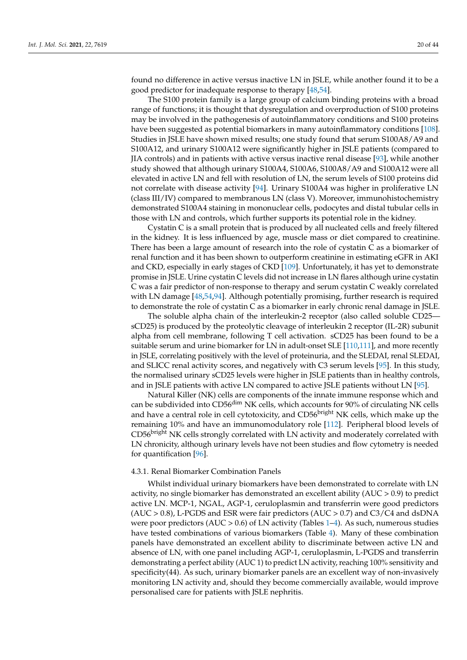found no difference in active versus inactive LN in JSLE, while another found it to be a good predictor for inadequate response to therapy [\[48](#page-34-18)[,54\]](#page-35-20).

The S100 protein family is a large group of calcium binding proteins with a broad range of functions; it is thought that dysregulation and overproduction of S100 proteins may be involved in the pathogenesis of autoinflammatory conditions and S100 proteins have been suggested as potential biomarkers in many autoinflammatory conditions [\[108\]](#page-37-9). Studies in JSLE have shown mixed results; one study found that serum S100A8/A9 and S100A12, and urinary S100A12 were significantly higher in JSLE patients (compared to JIA controls) and in patients with active versus inactive renal disease [\[93\]](#page-36-24), while another study showed that although urinary S100A4, S100A6, S100A8/A9 and S100A12 were all elevated in active LN and fell with resolution of LN, the serum levels of S100 proteins did not correlate with disease activity [\[94\]](#page-36-25). Urinary S100A4 was higher in proliferative LN (class III/IV) compared to membranous LN (class V). Moreover, immunohistochemistry demonstrated S100A4 staining in mononuclear cells, podocytes and distal tubular cells in those with LN and controls, which further supports its potential role in the kidney.

Cystatin C is a small protein that is produced by all nucleated cells and freely filtered in the kidney. It is less influenced by age, muscle mass or diet compared to creatinine. There has been a large amount of research into the role of cystatin C as a biomarker of renal function and it has been shown to outperform creatinine in estimating eGFR in AKI and CKD, especially in early stages of CKD [\[109\]](#page-37-10). Unfortunately, it has yet to demonstrate promise in JSLE. Urine cystatin C levels did not increase in LN flares although urine cystatin C was a fair predictor of non-response to therapy and serum cystatin C weakly correlated with LN damage [\[48,](#page-34-18)[54](#page-35-20)[,94\]](#page-36-25). Although potentially promising, further research is required to demonstrate the role of cystatin C as a biomarker in early chronic renal damage in JSLE.

The soluble alpha chain of the interleukin-2 receptor (also called soluble CD25 sCD25) is produced by the proteolytic cleavage of interleukin 2 receptor (IL-2R) subunit alpha from cell membrane, following T cell activation. sCD25 has been found to be a suitable serum and urine biomarker for LN in adult-onset SLE [\[110](#page-37-11)[,111\]](#page-37-12), and more recently in JSLE, correlating positively with the level of proteinuria, and the SLEDAI, renal SLEDAI, and SLICC renal activity scores, and negatively with C3 serum levels [\[95\]](#page-36-26). In this study, the normalised urinary sCD25 levels were higher in JSLE patients than in healthy controls, and in JSLE patients with active LN compared to active JSLE patients without LN [\[95\]](#page-36-26).

Natural Killer (NK) cells are components of the innate immune response which and can be subdivided into CD56dim NK cells, which accounts for 90% of circulating NK cells and have a central role in cell cytotoxicity, and CD56<sup>bright</sup> NK cells, which make up the remaining 10% and have an immunomodulatory role [\[112\]](#page-37-13). Peripheral blood levels of CD56<sup>bright</sup> NK cells strongly correlated with LN activity and moderately correlated with LN chronicity, although urinary levels have not been studies and flow cytometry is needed for quantification [\[96\]](#page-36-27).

### 4.3.1. Renal Biomarker Combination Panels

Whilst individual urinary biomarkers have been demonstrated to correlate with LN activity, no single biomarker has demonstrated an excellent ability  $(AUC > 0.9)$  to predict active LN. MCP-1, NGAL, AGP-1, ceruloplasmin and transferrin were good predictors  $(AUC > 0.8)$ , L-PGDS and ESR were fair predictors  $(AUC > 0.7)$  and  $C3/C4$  and dsDNA were poor predictors (AUC  $> 0.6$ ) of LN activity (Tables [1–](#page-7-0)[4\)](#page-20-0). As such, numerous studies have tested combinations of various biomarkers (Table [4\)](#page-20-0). Many of these combination panels have demonstrated an excellent ability to discriminate between active LN and absence of LN, with one panel including AGP-1, ceruloplasmin, L-PGDS and transferrin demonstrating a perfect ability (AUC 1) to predict LN activity, reaching 100% sensitivity and specificity(44). As such, urinary biomarker panels are an excellent way of non-invasively monitoring LN activity and, should they become commercially available, would improve personalised care for patients with JSLE nephritis.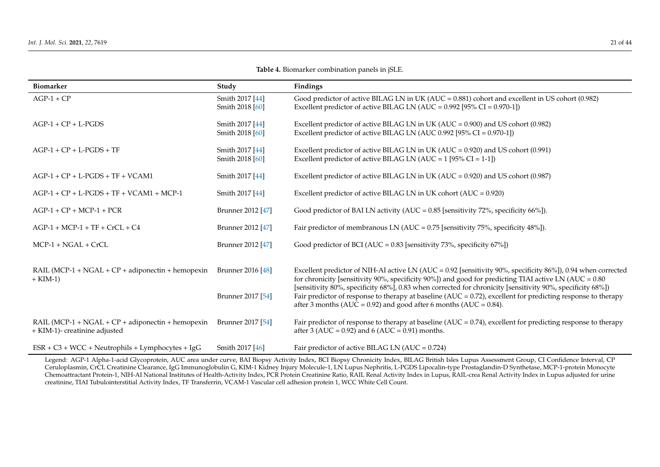| <b>Biomarker</b>                                                                       | Study                                  | Findings                                                                                                                                                                                                                                                                                                                                                                                                                                                                                                                             |
|----------------------------------------------------------------------------------------|----------------------------------------|--------------------------------------------------------------------------------------------------------------------------------------------------------------------------------------------------------------------------------------------------------------------------------------------------------------------------------------------------------------------------------------------------------------------------------------------------------------------------------------------------------------------------------------|
| $AGP-1 + CP$                                                                           | Smith 2017 [44]<br>Smith 2018 [60]     | Good predictor of active BILAG LN in UK (AUC = 0.881) cohort and excellent in US cohort (0.982)<br>Excellent predictor of active BILAG LN (AUC = $0.992$ [95% CI = $0.970-1$ ])                                                                                                                                                                                                                                                                                                                                                      |
| $AGP-1 + CP + L-PGDS$                                                                  | Smith 2017 [44]<br>Smith 2018 [60]     | Excellent predictor of active BILAG LN in UK ( $AUC = 0.900$ ) and US cohort (0.982)<br>Excellent predictor of active BILAG LN (AUC 0.992 [95% CI = $0.970-1$ ])                                                                                                                                                                                                                                                                                                                                                                     |
| $AGP-1 + CP + L-PGDS + TF$                                                             | Smith 2017 [44]<br>Smith 2018 [60]     | Excellent predictor of active BILAG LN in UK ( $AUC = 0.920$ ) and US cohort (0.991)<br>Excellent predictor of active BILAG LN (AUC = $1$ [95% CI = 1-1])                                                                                                                                                                                                                                                                                                                                                                            |
| $AGP-1 + CP + L-PGDS + TF + VCAM1$                                                     | Smith 2017 [44]                        | Excellent predictor of active BILAG LN in UK (AUC = $0.920$ ) and US cohort (0.987)                                                                                                                                                                                                                                                                                                                                                                                                                                                  |
| $AGP-1 + CP + L-PGDS + TF + VCAM1 + MCP-1$                                             | Smith 2017 [44]                        | Excellent predictor of active BILAG LN in UK cohort $(AUC = 0.920)$                                                                                                                                                                                                                                                                                                                                                                                                                                                                  |
| $AGP-1 + CP + MCP-1 + PCR$                                                             | Brunner 2012 [47]                      | Good predictor of BAI LN activity (AUC = $0.85$ [sensitivity 72%, specificity 66%]).                                                                                                                                                                                                                                                                                                                                                                                                                                                 |
| $AGP-1 + MCP-1 + TF + CrCL + C4$                                                       | Brunner 2012 [47]                      | Fair predictor of membranous LN (AUC = $0.75$ [sensitivity 75%, specificity 48%]).                                                                                                                                                                                                                                                                                                                                                                                                                                                   |
| $MCP-1 + NGAL + CrCL$                                                                  | Brunner 2012 [47]                      | Good predictor of BCI (AUC = $0.83$ [sensitivity 73%, specificity 67%])                                                                                                                                                                                                                                                                                                                                                                                                                                                              |
| RAIL (MCP-1 + $NGAL$ + $CP$ + adiponectin + hemopexin<br>$+$ KIM-1)                    | Brunner 2016 [48]<br>Brunner 2017 [54] | Excellent predictor of NIH-AI active LN (AUC = $0.92$ [sensitivity 90%, specificity 86%]), 0.94 when corrected<br>for chronicity [sensitivity 90%, specificity 90%]) and good for predicting TIAI active LN (AUC = 0.80<br>[sensitivity 80%, specificity 68%], 0.83 when corrected for chronicity [sensitivity 90%, specificity 68%])<br>Fair predictor of response to therapy at baseline ( $AUC = 0.72$ ), excellent for predicting response to therapy<br>after 3 months (AUC = $0.92$ ) and good after 6 months (AUC = $0.84$ ). |
| RAIL (MCP-1 + $NGAL$ + $CP$ + adiponectin + hemopexin<br>+ KIM-1)- creatinine adjusted | Brunner 2017 [54]                      | Fair predictor of response to therapy at baseline ( $AUC = 0.74$ ), excellent for predicting response to therapy<br>after 3 (AUC = $0.92$ ) and 6 (AUC = $0.91$ ) months.                                                                                                                                                                                                                                                                                                                                                            |
| $ESR + C3 + WCC + Neutrophils + Lymphocytes + IgG$                                     | Smith 2017 [46]                        | Fair predictor of active BILAG LN (AUC = $0.724$ )                                                                                                                                                                                                                                                                                                                                                                                                                                                                                   |

**Table 4.** Biomarker combination panels in jSLE.

<span id="page-20-0"></span>Legend: AGP-1 Alpha-1-acid Glycoprotein, AUC area under curve, BAI Biopsy Activity Index, BCI Biopsy Chronicity Index, BILAG British Isles Lupus Assessment Group, CI Confidence Interval, CP Ceruloplasmin, CrCL Creatinine Clearance, IgG Immunoglobulin G, KIM-1 Kidney Injury Molecule-1, LN Lupus Nephritis, L-PGDS Lipocalin-type Prostaglandin-D Synthetase, MCP-1-protein Monocyte Chemoattractant Protein-1, NIH-AI National Institutes of Health-Activity Index, PCR Protein Creatinine Ratio, RAIL Renal Activity Index in Lupus, RAIL-crea Renal Activity Index in Lupus adjusted for urine creatinine, TIAI Tubulointerstitial Activity Index, TF Transferrin, VCAM-1 Vascular cell adhesion protein 1, WCC White Cell Count.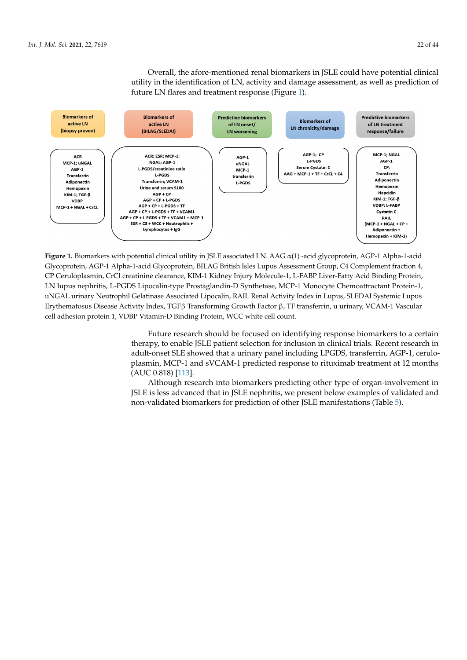Overall, the afore-mentioned renal biomarkers in JSLE could have potential clinical utility in the identification of LN, activity and damage assessment, as well as prediction of future LN flares and treatment response (Figure [1\)](#page-21-0).

<span id="page-21-0"></span>

**Figure 1.** Biomarkers with potential clinical utility in JSLE associated LN. AAG  $\alpha(1)$  -acid glycoprotein, AGP-1 Alpha-1-acid Glycoprotein, AGP-1 Alpha-1-acid Glycoprotein, BILAG British Isles Lupus Assessment Group, C4 Complement fraction 4, CP Ceruloplasmin, CrCl creatinine clearance, KIM-1 Kidney Injury Molecule-1, L-FABP Liver-Fatty Acid Binding Protein, LN lupus nephritis, L-PGDS Lipocalin-type Prostaglandin-D Synthetase, MCP-1 Monocyte Chemoattractant Protein-1, uNGAL urinary Neutrophil Gelatinase Associated Lipocalin, RAIL Renal Activity Index in Lupus, SLEDAI Systemic Lupus Erythematosus Disease Activity Index, TGFβ Transforming Growth Factor β, TF transferrin, u urinary, VCAM-1 Vascular cell adhesion protein 1, VDBP Vitamin-D Binding Protein, WCC white cell count.

> Future research should be focused on identifying response biomarkers to a certain Future research should be focused on identifying response biomarkers to a certain therapy, to enable JSLE patient selection for inclusion in clinical trials. Recent research in therapy, to enable JSLE patient selection for inclusion in clinical trials. Recent research in adult-onset SLE showed that a urinary panel including LPGDS, transferrin, AGP-1, ceruloloplasmin, MCP-1 and sVCAM-1 predicted response to rituximab treatment at 12 months plasmin, MCP-1 and sVCAM-1 predicted response to rituximab treatment at 12 months (AUC 0.818) [113]. (AUC 0.818) [\[113\]](#page-37-14).

> Although research into biomarkers predicting other type of organ-involvement in Although research into biomarkers predicting other type of organ-involvement in JSLE is less advanced that in JSLE nephritis, we present below examples of validated and JSLE is less advanced that in JSLE nephritis, we present below examples of validated and non-validated biomarkers for prediction of other JSLE manifestations (Table [5\)](#page-23-0). non-validated biomarkers for prediction of other JSLE manifestations (Table 5).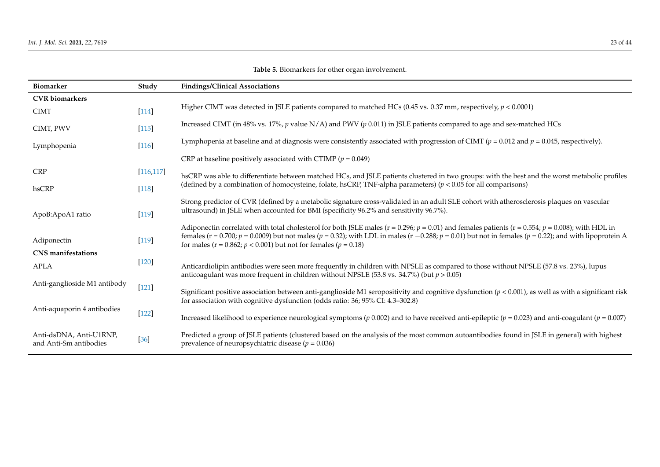| <b>Biomarker</b>                                  | Study      | <b>Findings/Clinical Associations</b>                                                                                                                                                                                                                                                                                                                                                                  |
|---------------------------------------------------|------------|--------------------------------------------------------------------------------------------------------------------------------------------------------------------------------------------------------------------------------------------------------------------------------------------------------------------------------------------------------------------------------------------------------|
| <b>CVR</b> biomarkers                             |            |                                                                                                                                                                                                                                                                                                                                                                                                        |
| <b>CIMT</b>                                       | $[114]$    | Higher CIMT was detected in JSLE patients compared to matched HCs (0.45 vs. 0.37 mm, respectively, $p < 0.0001$ )                                                                                                                                                                                                                                                                                      |
| CIMT, PWV                                         | $[115]$    | Increased CIMT (in 48% vs. 17%, p value N/A) and PWV (p 0.011) in JSLE patients compared to age and sex-matched HCs                                                                                                                                                                                                                                                                                    |
| Lymphopenia                                       | $[116]$    | Lymphopenia at baseline and at diagnosis were consistently associated with progression of CIMT ( $p = 0.012$ and $p = 0.045$ , respectively).                                                                                                                                                                                                                                                          |
|                                                   |            | CRP at baseline positively associated with CTIMP ( $p = 0.049$ )                                                                                                                                                                                                                                                                                                                                       |
| <b>CRP</b>                                        | [116, 117] | hsCRP was able to differentiate between matched HCs, and JSLE patients clustered in two groups: with the best and the worst metabolic profiles                                                                                                                                                                                                                                                         |
| hsCRP                                             | $[118]$    | (defined by a combination of homocysteine, folate, hsCRP, TNF-alpha parameters) ( $p < 0.05$ for all comparisons)                                                                                                                                                                                                                                                                                      |
| ApoB:ApoA1 ratio                                  | $[119]$    | Strong predictor of CVR (defined by a metabolic signature cross-validated in an adult SLE cohort with atherosclerosis plaques on vascular<br>ultrasound) in JSLE when accounted for BMI (specificity 96.2% and sensitivity 96.7%).                                                                                                                                                                     |
| Adiponectin                                       | $[119]$    | Adiponectin correlated with total cholesterol for both JSLE males ( $r = 0.296$ ; $p = 0.01$ ) and females patients ( $r = 0.554$ ; $p = 0.008$ ); with HDL in<br>females (r = 0.700; p = 0.0009) but not males (p = 0.32); with LDL in males (r -0.288; p = 0.01) but not in females (p = 0.22); and with lipoprotein A<br>for males ( $r = 0.862$ ; $p < 0.001$ ) but not for females ( $p = 0.18$ ) |
| <b>CNS</b> manifestations                         |            |                                                                                                                                                                                                                                                                                                                                                                                                        |
| <b>APLA</b>                                       | $[120]$    | Anticardiolipin antibodies were seen more frequently in children with NPSLE as compared to those without NPSLE (57.8 vs. 23%), lupus<br>anticoagulant was more frequent in children without NPSLE (53.8 vs. 34.7%) (but $p > 0.05$ )                                                                                                                                                                   |
| Anti-ganglioside M1 antibody                      | [121]      | Significant positive association between anti-ganglioside M1 seropositivity and cognitive dysfunction ( $p < 0.001$ ), as well as with a significant risk                                                                                                                                                                                                                                              |
|                                                   |            | for association with cognitive dysfunction (odds ratio: 36; 95% CI: 4.3-302.8)                                                                                                                                                                                                                                                                                                                         |
| Anti-aquaporin 4 antibodies                       | $[122]$    | Increased likelihood to experience neurological symptoms ( $p$ 0.002) and to have received anti-epileptic ( $p = 0.023$ ) and anti-coagulant ( $p = 0.007$ )                                                                                                                                                                                                                                           |
| Anti-dsDNA, Anti-U1RNP,<br>and Anti-Sm antibodies | $[36]$     | Predicted a group of JSLE patients (clustered based on the analysis of the most common autoantibodies found in JSLE in general) with highest<br>prevalence of neuropsychiatric disease ( $p = 0.036$ )                                                                                                                                                                                                 |

**Table 5.** Biomarkers for other organ involvement.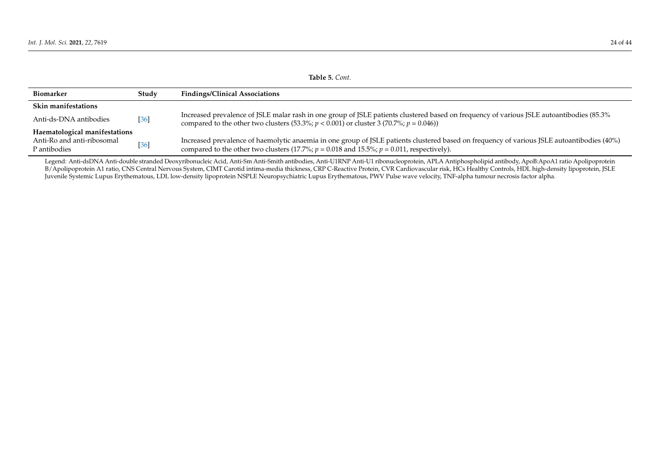|                                            | Table 5. Cont. |                                                                                                                                                                                                                                              |  |  |  |  |
|--------------------------------------------|----------------|----------------------------------------------------------------------------------------------------------------------------------------------------------------------------------------------------------------------------------------------|--|--|--|--|
| Biomarker                                  | Studv          | <b>Findings/Clinical Associations</b>                                                                                                                                                                                                        |  |  |  |  |
| <b>Skin manifestations</b>                 |                |                                                                                                                                                                                                                                              |  |  |  |  |
| Anti-ds-DNA antibodies                     | $[36]$         | Increased prevalence of JSLE malar rash in one group of JSLE patients clustered based on frequency of various JSLE autoantibodies (85.3%<br>compared to the other two clusters (53.3%; $p < 0.001$ ) or cluster 3 (70.7%; $p = 0.046$ ))     |  |  |  |  |
| Haematological manifestations              |                |                                                                                                                                                                                                                                              |  |  |  |  |
| Anti-Ro and anti-ribosomal<br>P antibodies | $[36]$         | Increased prevalence of haemolytic anaemia in one group of JSLE patients clustered based on frequency of various JSLE autoantibodies (40%)<br>compared to the other two clusters (17.7%; $p = 0.018$ and 15.5%; $p = 0.011$ , respectively). |  |  |  |  |

<span id="page-23-0"></span>Legend: Anti-dsDNA Anti-double stranded Deoxyribonucleic Acid, Anti-Sm Anti-Smith antibodies, Anti-U1RNP Anti-U1 ribonucleoprotein, APLA Antiphospholipid antibody, ApoB:ApoA1 ratio Apolipoprotein B/Apolipoprotein A1 ratio, CNS Central Nervous System, CIMT Carotid intima-media thickness, CRP C-Reactive Protein, CVR Cardiovascular risk, HCs Healthy Controls, HDL high-density lipoprotein, JSLE Juvenile Systemic Lupus Erythematous, LDL low-density lipoprotein NSPLE Neuropsychiatric Lupus Erythematous, PWV Pulse wave velocity, TNF-alpha tumour necrosis factor alpha.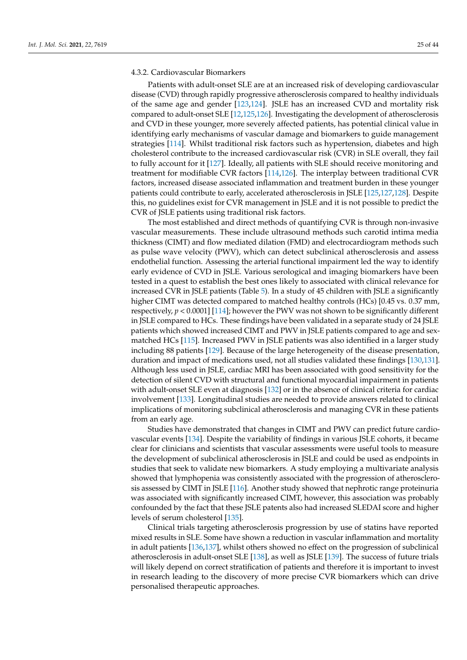### 4.3.2. Cardiovascular Biomarkers

Patients with adult-onset SLE are at an increased risk of developing cardiovascular disease (CVD) through rapidly progressive atherosclerosis compared to healthy individuals of the same age and gender [\[123,](#page-38-0)[124\]](#page-38-1). JSLE has an increased CVD and mortality risk compared to adult-onset SLE [\[12](#page-33-10)[,125,](#page-38-2)[126\]](#page-38-3). Investigating the development of atherosclerosis and CVD in these younger, more severely affected patients, has potential clinical value in identifying early mechanisms of vascular damage and biomarkers to guide management strategies [\[114\]](#page-37-24). Whilst traditional risk factors such as hypertension, diabetes and high cholesterol contribute to the increased cardiovascular risk (CVR) in SLE overall, they fail to fully account for it [\[127\]](#page-38-4). Ideally, all patients with SLE should receive monitoring and treatment for modifiable CVR factors [\[114,](#page-37-24)[126\]](#page-38-3). The interplay between traditional CVR factors, increased disease associated inflammation and treatment burden in these younger patients could contribute to early, accelerated atherosclerosis in JSLE [\[125,](#page-38-2)[127,](#page-38-4)[128\]](#page-38-5). Despite this, no guidelines exist for CVR management in JSLE and it is not possible to predict the CVR of JSLE patients using traditional risk factors.

The most established and direct methods of quantifying CVR is through non-invasive vascular measurements. These include ultrasound methods such carotid intima media thickness (CIMT) and flow mediated dilation (FMD) and electrocardiogram methods such as pulse wave velocity (PWV), which can detect subclinical atherosclerosis and assess endothelial function. Assessing the arterial functional impairment led the way to identify early evidence of CVD in JSLE. Various serological and imaging biomarkers have been tested in a quest to establish the best ones likely to associated with clinical relevance for increased CVR in JSLE patients (Table [5\)](#page-23-0). In a study of 45 children with JSLE a significantly higher CIMT was detected compared to matched healthy controls (HCs) [0.45 vs. 0.37 mm, respectively, *p* < 0.0001] [\[114\]](#page-37-24); however the PWV was not shown to be significantly different in JSLE compared to HCs. These findings have been validated in a separate study of 24 JSLE patients which showed increased CIMT and PWV in JSLE patients compared to age and sexmatched HCs [\[115\]](#page-37-25). Increased PWV in JSLE patients was also identified in a larger study including 88 patients [\[129\]](#page-38-6). Because of the large heterogeneity of the disease presentation, duration and impact of medications used, not all studies validated these findings [\[130](#page-38-7)[,131\]](#page-38-8). Although less used in JSLE, cardiac MRI has been associated with good sensitivity for the detection of silent CVD with structural and functional myocardial impairment in patients with adult-onset SLE even at diagnosis [\[132\]](#page-38-9) or in the absence of clinical criteria for cardiac involvement [\[133\]](#page-38-10). Longitudinal studies are needed to provide answers related to clinical implications of monitoring subclinical atherosclerosis and managing CVR in these patients from an early age.

Studies have demonstrated that changes in CIMT and PWV can predict future cardiovascular events [\[134\]](#page-38-11). Despite the variability of findings in various JSLE cohorts, it became clear for clinicians and scientists that vascular assessments were useful tools to measure the development of subclinical atherosclerosis in JSLE and could be used as endpoints in studies that seek to validate new biomarkers. A study employing a multivariate analysis showed that lymphopenia was consistently associated with the progression of atherosclerosis assessed by CIMT in JSLE [\[116\]](#page-37-26). Another study showed that nephrotic range proteinuria was associated with significantly increased CIMT, however, this association was probably confounded by the fact that these JSLE patents also had increased SLEDAI score and higher levels of serum cholesterol [\[135\]](#page-38-12).

Clinical trials targeting atherosclerosis progression by use of statins have reported mixed results in SLE. Some have shown a reduction in vascular inflammation and mortality in adult patients [\[136](#page-38-13)[,137\]](#page-38-14), whilst others showed no effect on the progression of subclinical atherosclerosis in adult-onset SLE [\[138\]](#page-38-15), as well as JSLE [\[139\]](#page-38-16). The success of future trials will likely depend on correct stratification of patients and therefore it is important to invest in research leading to the discovery of more precise CVR biomarkers which can drive personalised therapeutic approaches.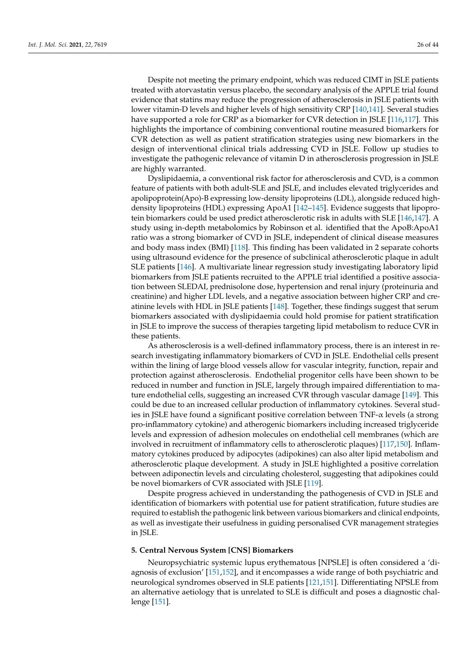Despite not meeting the primary endpoint, which was reduced CIMT in JSLE patients treated with atorvastatin versus placebo, the secondary analysis of the APPLE trial found evidence that statins may reduce the progression of atherosclerosis in JSLE patients with lower vitamin-D levels and higher levels of high sensitivity CRP [\[140,](#page-38-17)[141\]](#page-38-18). Several studies have supported a role for CRP as a biomarker for CVR detection in JSLE [\[116](#page-37-26)[,117\]](#page-37-27). This highlights the importance of combining conventional routine measured biomarkers for CVR detection as well as patient stratification strategies using new biomarkers in the design of interventional clinical trials addressing CVD in JSLE. Follow up studies to investigate the pathogenic relevance of vitamin D in atherosclerosis progression in JSLE are highly warranted.

Dyslipidaemia, a conventional risk factor for atherosclerosis and CVD, is a common feature of patients with both adult-SLE and JSLE, and includes elevated triglycerides and apolipoprotein(Apo)-B expressing low-density lipoproteins (LDL), alongside reduced highdensity lipoproteins (HDL) expressing ApoA1 [\[142–](#page-38-19)[145\]](#page-39-0). Evidence suggests that lipoprotein biomarkers could be used predict atherosclerotic risk in adults with SLE [\[146,](#page-39-1)[147\]](#page-39-2). A study using in-depth metabolomics by Robinson et al. identified that the ApoB:ApoA1 ratio was a strong biomarker of CVD in JSLE, independent of clinical disease measures and body mass index (BMI) [\[118\]](#page-37-28). This finding has been validated in 2 separate cohorts using ultrasound evidence for the presence of subclinical atherosclerotic plaque in adult SLE patients [\[146\]](#page-39-1). A multivariate linear regression study investigating laboratory lipid biomarkers from JSLE patients recruited to the APPLE trial identified a positive association between SLEDAI, prednisolone dose, hypertension and renal injury (proteinuria and creatinine) and higher LDL levels, and a negative association between higher CRP and creatinine levels with HDL in JSLE patients [\[148\]](#page-39-3). Together, these findings suggest that serum biomarkers associated with dyslipidaemia could hold promise for patient stratification in JSLE to improve the success of therapies targeting lipid metabolism to reduce CVR in these patients.

As atherosclerosis is a well-defined inflammatory process, there is an interest in research investigating inflammatory biomarkers of CVD in JSLE. Endothelial cells present within the lining of large blood vessels allow for vascular integrity, function, repair and protection against atherosclerosis. Endothelial progenitor cells have been shown to be reduced in number and function in JSLE, largely through impaired differentiation to mature endothelial cells, suggesting an increased CVR through vascular damage [\[149\]](#page-39-4). This could be due to an increased cellular production of inflammatory cytokines. Several studies in JSLE have found a significant positive correlation between TNF-α levels (a strong pro-inflammatory cytokine) and atherogenic biomarkers including increased triglyceride levels and expression of adhesion molecules on endothelial cell membranes (which are involved in recruitment of inflammatory cells to atherosclerotic plaques) [\[117,](#page-37-27)[150\]](#page-39-5). Inflammatory cytokines produced by adipocytes (adipokines) can also alter lipid metabolism and atherosclerotic plaque development. A study in JSLE highlighted a positive correlation between adiponectin levels and circulating cholesterol, suggesting that adipokines could be novel biomarkers of CVR associated with JSLE [\[119\]](#page-37-29).

Despite progress achieved in understanding the pathogenesis of CVD in JSLE and identification of biomarkers with potential use for patient stratification, future studies are required to establish the pathogenic link between various biomarkers and clinical endpoints, as well as investigate their usefulness in guiding personalised CVR management strategies in JSLE.

### **5. Central Nervous System [CNS] Biomarkers**

Neuropsychiatric systemic lupus erythematous [NPSLE] is often considered a 'diagnosis of exclusion' [\[151,](#page-39-6)[152\]](#page-39-7), and it encompasses a wide range of both psychiatric and neurological syndromes observed in SLE patients [\[121](#page-37-30)[,151\]](#page-39-6). Differentiating NPSLE from an alternative aetiology that is unrelated to SLE is difficult and poses a diagnostic challenge [\[151\]](#page-39-6).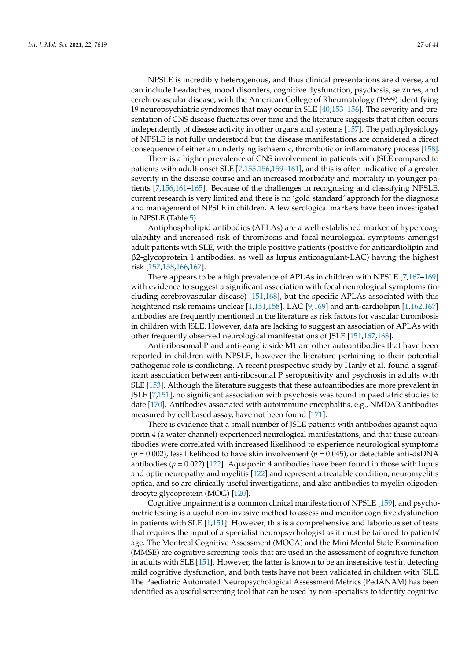NPSLE is incredibly heterogenous, and thus clinical presentations are diverse, and can include headaches, mood disorders, cognitive dysfunction, psychosis, seizures, and cerebrovascular disease, with the American College of Rheumatology (1999) identifying 19 neuropsychiatric syndromes that may occur in SLE [\[40](#page-34-13)[,153–](#page-39-8)[156\]](#page-39-9). The severity and presentation of CNS disease fluctuates over time and the literature suggests that it often occurs independently of disease activity in other organs and systems [\[157\]](#page-39-10). The pathophysiology of NPSLE is not fully understood but the disease manifestations are considered a direct consequence of either an underlying ischaemic, thrombotic or inflammatory process [\[158\]](#page-39-11).

There is a higher prevalence of CNS involvement in patients with JSLE compared to patients with adult-onset SLE [\[7,](#page-33-5)[155,](#page-39-12)[156](#page-39-9)[,159](#page-39-13)[–161\]](#page-39-14), and this is often indicative of a greater severity in the disease course and an increased morbidity and mortality in younger patients [\[7](#page-33-5)[,156](#page-39-9)[,161](#page-39-14)[–165\]](#page-39-15). Because of the challenges in recognising and classifying NPSLE, current research is very limited and there is no 'gold standard' approach for the diagnosis and management of NPSLE in children. A few serological markers have been investigated in NPSLE (Table [5\)](#page-23-0).

Antiphospholipid antibodies (APLAs) are a well-established marker of hypercoagulability and increased risk of thrombosis and focal neurological symptoms amongst adult patients with SLE, with the triple positive patients (positive for anticardiolipin and β2-glycoprotein 1 antibodies, as well as lupus anticoagulant-LAC) having the highest risk [\[157,](#page-39-10)[158,](#page-39-11)[166](#page-39-16)[,167\]](#page-39-17).

There appears to be a high prevalence of APLAs in children with NPSLE [\[7,](#page-33-5)[167](#page-39-17)[–169\]](#page-40-0) with evidence to suggest a significant association with focal neurological symptoms (including cerebrovascular disease) [\[151,](#page-39-6)[168\]](#page-39-18), but the specific APLAs associated with this heightened risk remains unclear [\[1](#page-33-0)[,151](#page-39-6)[,158\]](#page-39-11). LAC [\[9](#page-33-7)[,169\]](#page-40-0) and anti-cardiolipin [\[1](#page-33-0)[,162](#page-39-19)[,167\]](#page-39-17) antibodies are frequently mentioned in the literature as risk factors for vascular thrombosis in children with JSLE. However, data are lacking to suggest an association of APLAs with other frequently observed neurological manifestations of JSLE [\[151,](#page-39-6)[167,](#page-39-17)[168\]](#page-39-18).

Anti-ribosomal P and anti-ganglioside M1 are other autoantibodies that have been reported in children with NPSLE, however the literature pertaining to their potential pathogenic role is conflicting. A recent prospective study by Hanly et al. found a significant association between anti-ribosomal P seropositivity and psychosis in adults with SLE [\[153\]](#page-39-8). Although the literature suggests that these autoantibodies are more prevalent in JSLE [\[7](#page-33-5)[,151\]](#page-39-6), no significant association with psychosis was found in paediatric studies to date [\[170\]](#page-40-1). Antibodies associated with autoimmune encephalitis, e.g., NMDAR antibodies measured by cell based assay, have not been found [\[171\]](#page-40-2).

There is evidence that a small number of JSLE patients with antibodies against aquaporin 4 (a water channel) experienced neurological manifestations, and that these autoantibodies were correlated with increased likelihood to experience neurological symptoms (*p* = 0.002), less likelihood to have skin involvement (*p* = 0.045), or detectable anti-dsDNA antibodies ( $p = 0.022$ ) [\[122\]](#page-37-31). Aquaporin 4 antibodies have been found in those with lupus and optic neuropathy and myelitis [\[122\]](#page-37-31) and represent a treatable condition, neuromyelitis optica, and so are clinically useful investigations, and also antibodies to myelin oligodendrocyte glycoprotein (MOG) [\[120\]](#page-37-32).

Cognitive impairment is a common clinical manifestation of NPSLE [\[159\]](#page-39-13), and psychometric testing is a useful non-invasive method to assess and monitor cognitive dysfunction in patients with SLE [\[1](#page-33-0)[,151\]](#page-39-6). However, this is a comprehensive and laborious set of tests that requires the input of a specialist neuropsychologist as it must be tailored to patients' age. The Montreal Cognitive Assessment (MOCA) and the Mini Mental State Examination (MMSE) are cognitive screening tools that are used in the assessment of cognitive function in adults with SLE [\[151\]](#page-39-6). However, the latter is known to be an insensitive test in detecting mild cognitive dysfunction, and both tests have not been validated in children with JSLE. The Paediatric Automated Neuropsychological Assessment Metrics (PedANAM) has been identified as a useful screening tool that can be used by non-specialists to identify cognitive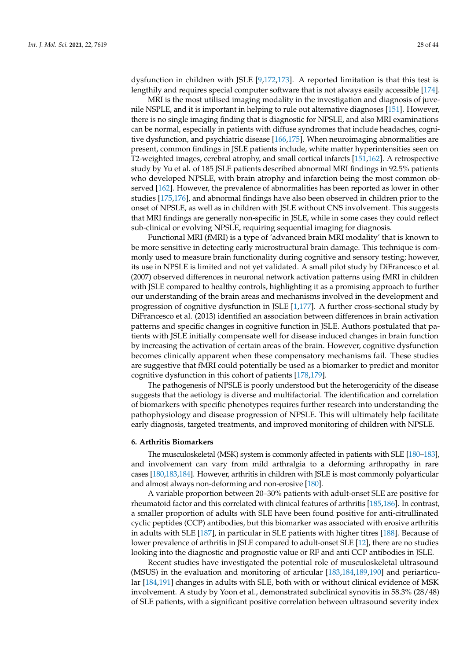dysfunction in children with JSLE [\[9,](#page-33-7)[172,](#page-40-3)[173\]](#page-40-4). A reported limitation is that this test is lengthily and requires special computer software that is not always easily accessible [\[174\]](#page-40-5).

MRI is the most utilised imaging modality in the investigation and diagnosis of juvenile NSPLE, and it is important in helping to rule out alternative diagnoses [\[151\]](#page-39-6). However, there is no single imaging finding that is diagnostic for NPSLE, and also MRI examinations can be normal, especially in patients with diffuse syndromes that include headaches, cognitive dysfunction, and psychiatric disease [\[166](#page-39-16)[,175\]](#page-40-6). When neuroimaging abnormalities are present, common findings in JSLE patients include, white matter hyperintensities seen on T2-weighted images, cerebral atrophy, and small cortical infarcts [\[151](#page-39-6)[,162\]](#page-39-19). A retrospective study by Yu et al. of 185 JSLE patients described abnormal MRI findings in 92.5% patients who developed NPSLE, with brain atrophy and infarction being the most common observed [\[162\]](#page-39-19). However, the prevalence of abnormalities has been reported as lower in other studies [\[175,](#page-40-6)[176\]](#page-40-7), and abnormal findings have also been observed in children prior to the onset of NPSLE, as well as in children with JSLE without CNS involvement. This suggests that MRI findings are generally non-specific in JSLE, while in some cases they could reflect sub-clinical or evolving NPSLE, requiring sequential imaging for diagnosis.

Functional MRI (fMRI) is a type of 'advanced brain MRI modality' that is known to be more sensitive in detecting early microstructural brain damage. This technique is commonly used to measure brain functionality during cognitive and sensory testing; however, its use in NPSLE is limited and not yet validated. A small pilot study by DiFrancesco et al. (2007) observed differences in neuronal network activation patterns using fMRI in children with JSLE compared to healthy controls, highlighting it as a promising approach to further our understanding of the brain areas and mechanisms involved in the development and progression of cognitive dysfunction in JSLE [\[1](#page-33-0)[,177\]](#page-40-8). A further cross-sectional study by DiFrancesco et al. (2013) identified an association between differences in brain activation patterns and specific changes in cognitive function in JSLE. Authors postulated that patients with JSLE initially compensate well for disease induced changes in brain function by increasing the activation of certain areas of the brain. However, cognitive dysfunction becomes clinically apparent when these compensatory mechanisms fail. These studies are suggestive that fMRI could potentially be used as a biomarker to predict and monitor cognitive dysfunction in this cohort of patients [\[178](#page-40-9)[,179\]](#page-40-10).

The pathogenesis of NPSLE is poorly understood but the heterogenicity of the disease suggests that the aetiology is diverse and multifactorial. The identification and correlation of biomarkers with specific phenotypes requires further research into understanding the pathophysiology and disease progression of NPSLE. This will ultimately help facilitate early diagnosis, targeted treatments, and improved monitoring of children with NPSLE.

### **6. Arthritis Biomarkers**

The musculoskeletal (MSK) system is commonly affected in patients with SLE [\[180](#page-40-11)[–183\]](#page-40-12), and involvement can vary from mild arthralgia to a deforming arthropathy in rare cases [\[180,](#page-40-11)[183](#page-40-12)[,184\]](#page-40-13). However, arthritis in children with JSLE is most commonly polyarticular and almost always non-deforming and non-erosive [\[180\]](#page-40-11).

A variable proportion between 20–30% patients with adult-onset SLE are positive for rheumatoid factor and this correlated with clinical features of arthritis [\[185](#page-40-14)[,186\]](#page-40-15). In contrast, a smaller proportion of adults with SLE have been found positive for anti-citrullinated cyclic peptides (CCP) antibodies, but this biomarker was associated with erosive arthritis in adults with SLE [\[187\]](#page-40-16), in particular in SLE patients with higher titres [\[188\]](#page-40-17). Because of lower prevalence of arthritis in JSLE compared to adult-onset SLE [\[12\]](#page-33-10), there are no studies looking into the diagnostic and prognostic value or RF and anti CCP antibodies in JSLE.

Recent studies have investigated the potential role of musculoskeletal ultrasound (MSUS) in the evaluation and monitoring of articular [\[183,](#page-40-12)[184,](#page-40-13)[189,](#page-40-18)[190\]](#page-40-19) and periarticular [\[184](#page-40-13)[,191\]](#page-40-20) changes in adults with SLE, both with or without clinical evidence of MSK involvement. A study by Yoon et al., demonstrated subclinical synovitis in 58.3% (28/48) of SLE patients, with a significant positive correlation between ultrasound severity index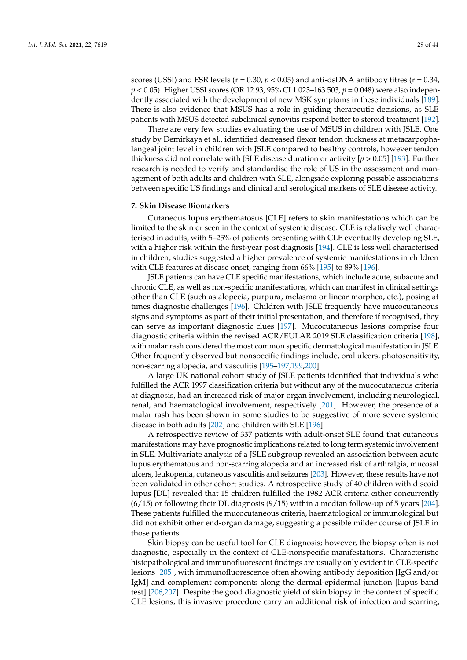scores (USSI) and ESR levels ( $r = 0.30$ ,  $p < 0.05$ ) and anti-dsDNA antibody titres ( $r = 0.34$ , *p* < 0.05). Higher USSI scores (OR 12.93, 95% CI 1.023–163.503, *p* = 0.048) were also independently associated with the development of new MSK symptoms in these individuals [\[189\]](#page-40-18). There is also evidence that MSUS has a role in guiding therapeutic decisions, as SLE patients with MSUS detected subclinical synovitis respond better to steroid treatment [\[192\]](#page-40-21).

There are very few studies evaluating the use of MSUS in children with JSLE. One study by Demirkaya et al., identified decreased flexor tendon thickness at metacarpophalangeal joint level in children with JSLE compared to healthy controls, however tendon thickness did not correlate with JSLE disease duration or activity [*p* > 0.05] [\[193\]](#page-40-22). Further research is needed to verify and standardise the role of US in the assessment and management of both adults and children with SLE, alongside exploring possible associations between specific US findings and clinical and serological markers of SLE disease activity.

### **7. Skin Disease Biomarkers**

Cutaneous lupus erythematosus [CLE] refers to skin manifestations which can be limited to the skin or seen in the context of systemic disease. CLE is relatively well characterised in adults, with 5–25% of patients presenting with CLE eventually developing SLE, with a higher risk within the first-year post diagnosis [\[194\]](#page-41-0). CLE is less well characterised in children; studies suggested a higher prevalence of systemic manifestations in children with CLE features at disease onset, ranging from 66% [\[195\]](#page-41-1) to 89% [\[196\]](#page-41-2).

JSLE patients can have CLE specific manifestations, which include acute, subacute and chronic CLE, as well as non-specific manifestations, which can manifest in clinical settings other than CLE (such as alopecia, purpura, melasma or linear morphea, etc.), posing at times diagnostic challenges [\[196\]](#page-41-2). Children with JSLE frequently have mucocutaneous signs and symptoms as part of their initial presentation, and therefore if recognised, they can serve as important diagnostic clues [\[197\]](#page-41-3). Mucocutaneous lesions comprise four diagnostic criteria within the revised ACR/EULAR 2019 SLE classification criteria [\[198\]](#page-41-4), with malar rash considered the most common specific dermatological manifestation in JSLE. Other frequently observed but nonspecific findings include, oral ulcers, photosensitivity, non-scarring alopecia, and vasculitis [\[195–](#page-41-1)[197,](#page-41-3)[199,](#page-41-5)[200\]](#page-41-6).

A large UK national cohort study of JSLE patients identified that individuals who fulfilled the ACR 1997 classification criteria but without any of the mucocutaneous criteria at diagnosis, had an increased risk of major organ involvement, including neurological, renal, and haematological involvement, respectively [\[201\]](#page-41-7). However, the presence of a malar rash has been shown in some studies to be suggestive of more severe systemic disease in both adults [\[202\]](#page-41-8) and children with SLE [\[196\]](#page-41-2).

A retrospective review of 337 patients with adult-onset SLE found that cutaneous manifestations may have prognostic implications related to long term systemic involvement in SLE. Multivariate analysis of a JSLE subgroup revealed an association between acute lupus erythematous and non-scarring alopecia and an increased risk of arthralgia, mucosal ulcers, leukopenia, cutaneous vasculitis and seizures [\[203\]](#page-41-9). However, these results have not been validated in other cohort studies. A retrospective study of 40 children with discoid lupus [DL] revealed that 15 children fulfilled the 1982 ACR criteria either concurrently  $(6/15)$  or following their DL diagnosis  $(9/15)$  within a median follow-up of 5 years [\[204\]](#page-41-10). These patients fulfilled the mucocutaneous criteria, haematological or immunological but did not exhibit other end-organ damage, suggesting a possible milder course of JSLE in those patients.

Skin biopsy can be useful tool for CLE diagnosis; however, the biopsy often is not diagnostic, especially in the context of CLE-nonspecific manifestations. Characteristic histopathological and immunofluorescent findings are usually only evident in CLE-specific lesions [\[205\]](#page-41-11), with immunofluorescence often showing antibody deposition [IgG and/or IgM] and complement components along the dermal-epidermal junction [lupus band test] [\[206,](#page-41-12)[207\]](#page-41-13). Despite the good diagnostic yield of skin biopsy in the context of specific CLE lesions, this invasive procedure carry an additional risk of infection and scarring,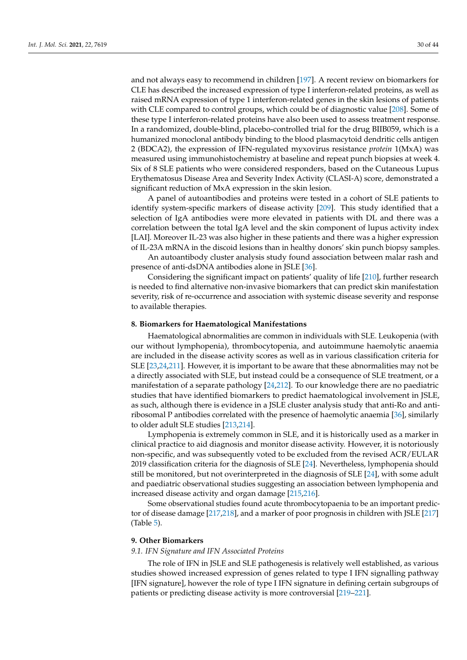and not always easy to recommend in children [\[197\]](#page-41-3). A recent review on biomarkers for CLE has described the increased expression of type I interferon-related proteins, as well as raised mRNA expression of type 1 interferon-related genes in the skin lesions of patients with CLE compared to control groups, which could be of diagnostic value [\[208\]](#page-41-14). Some of these type I interferon-related proteins have also been used to assess treatment response. In a randomized, double-blind, placebo-controlled trial for the drug BIIB059, which is a humanized monoclonal antibody binding to the blood plasmacytoid dendritic cells antigen 2 (BDCA2), the expression of IFN-regulated myxovirus resistance *protein* 1(MxA) was measured using immunohistochemistry at baseline and repeat punch biopsies at week 4. Six of 8 SLE patients who were considered responders, based on the Cutaneous Lupus Erythematosus Disease Area and Severity Index Activity (CLASI-A) score, demonstrated a significant reduction of MxA expression in the skin lesion.

A panel of autoantibodies and proteins were tested in a cohort of SLE patients to identify system-specific markers of disease activity [\[209\]](#page-41-15). This study identified that a selection of IgA antibodies were more elevated in patients with DL and there was a correlation between the total IgA level and the skin component of lupus activity index [LAI]. Moreover IL-23 was also higher in these patients and there was a higher expression of IL-23A mRNA in the discoid lesions than in healthy donors' skin punch biopsy samples.

An autoantibody cluster analysis study found association between malar rash and presence of anti-dsDNA antibodies alone in JSLE [\[36\]](#page-34-9).

Considering the significant impact on patients' quality of life [\[210\]](#page-41-16), further research is needed to find alternative non-invasive biomarkers that can predict skin manifestation severity, risk of re-occurrence and association with systemic disease severity and response to available therapies.

#### **8. Biomarkers for Haematological Manifestations**

Haematological abnormalities are common in individuals with SLE. Leukopenia (with our without lymphopenia), thrombocytopenia, and autoimmune haemolytic anaemia are included in the disease activity scores as well as in various classification criteria for SLE [\[23](#page-33-21)[,24](#page-33-22)[,211\]](#page-41-17). However, it is important to be aware that these abnormalities may not be a directly associated with SLE, but instead could be a consequence of SLE treatment, or a manifestation of a separate pathology [\[24,](#page-33-22)[212\]](#page-41-18). To our knowledge there are no paediatric studies that have identified biomarkers to predict haematological involvement in JSLE, as such, although there is evidence in a JSLE cluster analysis study that anti-Ro and antiribosomal P antibodies correlated with the presence of haemolytic anaemia [\[36\]](#page-34-9), similarly to older adult SLE studies [\[213](#page-41-19)[,214\]](#page-41-20).

Lymphopenia is extremely common in SLE, and it is historically used as a marker in clinical practice to aid diagnosis and monitor disease activity. However, it is notoriously non-specific, and was subsequently voted to be excluded from the revised ACR/EULAR 2019 classification criteria for the diagnosis of SLE [\[24\]](#page-33-22). Nevertheless, lymphopenia should still be monitored, but not overinterpreted in the diagnosis of SLE [\[24\]](#page-33-22), with some adult and paediatric observational studies suggesting an association between lymphopenia and increased disease activity and organ damage [\[215,](#page-41-21)[216\]](#page-41-22).

Some observational studies found acute thrombocytopaenia to be an important predictor of disease damage [\[217,](#page-41-23)[218\]](#page-41-24), and a marker of poor prognosis in children with JSLE [\[217\]](#page-41-23) (Table [5\)](#page-23-0).

### **9. Other Biomarkers**

### *9.1. IFN Signature and IFN Associated Proteins*

The role of IFN in JSLE and SLE pathogenesis is relatively well established, as various studies showed increased expression of genes related to type I IFN signalling pathway [IFN signature], however the role of type I IFN signature in defining certain subgroups of patients or predicting disease activity is more controversial [\[219](#page-42-0)[–221\]](#page-42-1).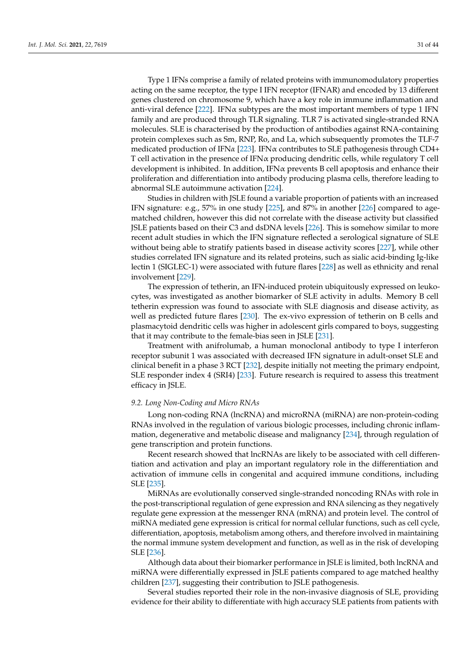Type 1 IFNs comprise a family of related proteins with immunomodulatory properties acting on the same receptor, the type I IFN receptor (IFNAR) and encoded by 13 different genes clustered on chromosome 9, which have a key role in immune inflammation and anti-viral defence [\[222\]](#page-42-2). IFN $\alpha$  subtypes are the most important members of type 1 IFN family and are produced through TLR signaling. TLR 7 is activated single-stranded RNA molecules. SLE is characterised by the production of antibodies against RNA-containing protein complexes such as Sm, RNP, Ro, and La, which subsequently promotes the TLF-7 medicated production of IFN*α* [\[223\]](#page-42-3). IFNα contributes to SLE pathogenesis through CD4+ T cell activation in the presence of IFN $\alpha$  producing dendritic cells, while regulatory T cell development is inhibited. In addition, IFN $\alpha$  prevents B cell apoptosis and enhance their proliferation and differentiation into antibody producing plasma cells, therefore leading to abnormal SLE autoimmune activation [\[224\]](#page-42-4).

Studies in children with JSLE found a variable proportion of patients with an increased IFN signature: e.g., 57% in one study [\[225\]](#page-42-5), and 87% in another [\[226\]](#page-42-6) compared to agematched children, however this did not correlate with the disease activity but classified JSLE patients based on their C3 and dsDNA levels [\[226\]](#page-42-6). This is somehow similar to more recent adult studies in which the IFN signature reflected a serological signature of SLE without being able to stratify patients based in disease activity scores [\[227\]](#page-42-7), while other studies correlated IFN signature and its related proteins, such as sialic acid-binding Ig-like lectin 1 (SIGLEC-1) were associated with future flares [\[228\]](#page-42-8) as well as ethnicity and renal involvement [\[229\]](#page-42-9).

The expression of tetherin, an IFN-induced protein ubiquitously expressed on leukocytes, was investigated as another biomarker of SLE activity in adults. Memory B cell tetherin expression was found to associate with SLE diagnosis and disease activity, as well as predicted future flares [\[230\]](#page-42-10). The ex-vivo expression of tetherin on B cells and plasmacytoid dendritic cells was higher in adolescent girls compared to boys, suggesting that it may contribute to the female-bias seen in JSLE [\[231\]](#page-42-11).

Treatment with anifrolumab, a human monoclonal antibody to type I interferon receptor subunit 1 was associated with decreased IFN signature in adult-onset SLE and clinical benefit in a phase 3 RCT [\[232\]](#page-42-12), despite initially not meeting the primary endpoint, SLE responder index 4 (SRI4) [\[233\]](#page-42-13). Future research is required to assess this treatment efficacy in JSLE.

### *9.2. Long Non-Coding and Micro RNAs*

Long non-coding RNA (lncRNA) and microRNA (miRNA) are non-protein-coding RNAs involved in the regulation of various biologic processes, including chronic inflammation, degenerative and metabolic disease and malignancy [\[234\]](#page-42-14), through regulation of gene transcription and protein functions.

Recent research showed that lncRNAs are likely to be associated with cell differentiation and activation and play an important regulatory role in the differentiation and activation of immune cells in congenital and acquired immune conditions, including SLE [\[235\]](#page-42-15).

MiRNAs are evolutionally conserved single-stranded noncoding RNAs with role in the post-transcriptional regulation of gene expression and RNA silencing as they negatively regulate gene expression at the messenger RNA (mRNA) and protein level. The control of miRNA mediated gene expression is critical for normal cellular functions, such as cell cycle, differentiation, apoptosis, metabolism among others, and therefore involved in maintaining the normal immune system development and function, as well as in the risk of developing SLE [\[236\]](#page-42-16).

Although data about their biomarker performance in JSLE is limited, both lncRNA and miRNA were differentially expressed in JSLE patients compared to age matched healthy children [\[237\]](#page-42-17), suggesting their contribution to JSLE pathogenesis.

Several studies reported their role in the non-invasive diagnosis of SLE, providing evidence for their ability to differentiate with high accuracy SLE patients from patients with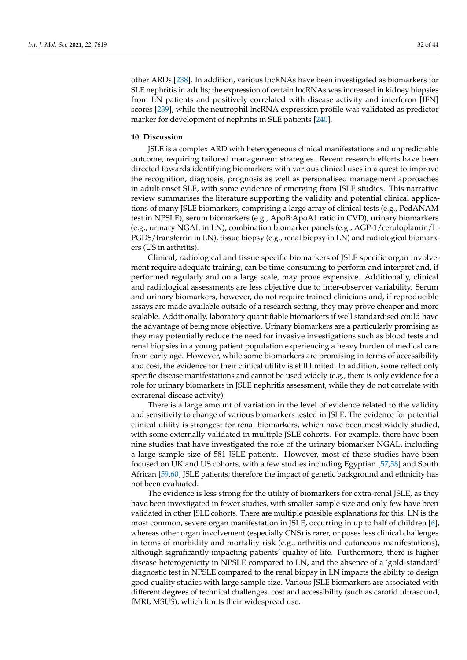other ARDs [\[238\]](#page-42-18). In addition, various lncRNAs have been investigated as biomarkers for SLE nephritis in adults; the expression of certain lncRNAs was increased in kidney biopsies from LN patients and positively correlated with disease activity and interferon [IFN] scores [\[239\]](#page-42-19), while the neutrophil lncRNA expression profile was validated as predictor marker for development of nephritis in SLE patients [\[240\]](#page-42-20).

### **10. Discussion**

JSLE is a complex ARD with heterogeneous clinical manifestations and unpredictable outcome, requiring tailored management strategies. Recent research efforts have been directed towards identifying biomarkers with various clinical uses in a quest to improve the recognition, diagnosis, prognosis as well as personalised management approaches in adult-onset SLE, with some evidence of emerging from JSLE studies. This narrative review summarises the literature supporting the validity and potential clinical applications of many JSLE biomarkers, comprising a large array of clinical tests (e.g., PedANAM test in NPSLE), serum biomarkers (e.g., ApoB:ApoA1 ratio in CVD), urinary biomarkers (e.g., urinary NGAL in LN), combination biomarker panels (e.g., AGP-1/ceruloplamin/L-PGDS/transferrin in LN), tissue biopsy (e.g., renal biopsy in LN) and radiological biomarkers (US in arthritis).

Clinical, radiological and tissue specific biomarkers of JSLE specific organ involvement require adequate training, can be time-consuming to perform and interpret and, if performed regularly and on a large scale, may prove expensive. Additionally, clinical and radiological assessments are less objective due to inter-observer variability. Serum and urinary biomarkers, however, do not require trained clinicians and, if reproducible assays are made available outside of a research setting, they may prove cheaper and more scalable. Additionally, laboratory quantifiable biomarkers if well standardised could have the advantage of being more objective. Urinary biomarkers are a particularly promising as they may potentially reduce the need for invasive investigations such as blood tests and renal biopsies in a young patient population experiencing a heavy burden of medical care from early age. However, while some biomarkers are promising in terms of accessibility and cost, the evidence for their clinical utility is still limited. In addition, some reflect only specific disease manifestations and cannot be used widely (e.g., there is only evidence for a role for urinary biomarkers in JSLE nephritis assessment, while they do not correlate with extrarenal disease activity).

There is a large amount of variation in the level of evidence related to the validity and sensitivity to change of various biomarkers tested in JSLE. The evidence for potential clinical utility is strongest for renal biomarkers, which have been most widely studied, with some externally validated in multiple JSLE cohorts. For example, there have been nine studies that have investigated the role of the urinary biomarker NGAL, including a large sample size of 581 JSLE patients. However, most of these studies have been focused on UK and US cohorts, with a few studies including Egyptian [\[57](#page-35-29)[,58\]](#page-35-13) and South African [\[59,](#page-35-27)[60\]](#page-35-26) JSLE patients; therefore the impact of genetic background and ethnicity has not been evaluated.

The evidence is less strong for the utility of biomarkers for extra-renal JSLE, as they have been investigated in fewer studies, with smaller sample size and only few have been validated in other JSLE cohorts. There are multiple possible explanations for this. LN is the most common, severe organ manifestation in JSLE, occurring in up to half of children [\[6\]](#page-33-4), whereas other organ involvement (especially CNS) is rarer, or poses less clinical challenges in terms of morbidity and mortality risk (e.g., arthritis and cutaneous manifestations), although significantly impacting patients' quality of life. Furthermore, there is higher disease heterogenicity in NPSLE compared to LN, and the absence of a 'gold-standard' diagnostic test in NPSLE compared to the renal biopsy in LN impacts the ability to design good quality studies with large sample size. Various JSLE biomarkers are associated with different degrees of technical challenges, cost and accessibility (such as carotid ultrasound, fMRI, MSUS), which limits their widespread use.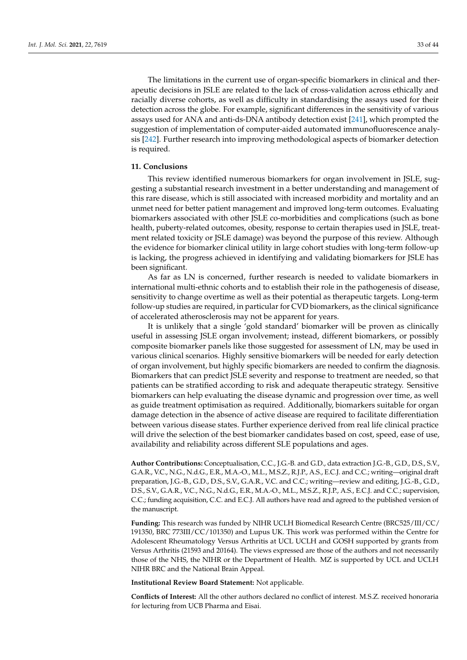The limitations in the current use of organ-specific biomarkers in clinical and therapeutic decisions in JSLE are related to the lack of cross-validation across ethically and racially diverse cohorts, as well as difficulty in standardising the assays used for their detection across the globe. For example, significant differences in the sensitivity of various assays used for ANA and anti-ds-DNA antibody detection exist [\[241\]](#page-43-0), which prompted the suggestion of implementation of computer-aided automated immunofluorescence analysis [\[242\]](#page-43-1). Further research into improving methodological aspects of biomarker detection is required.

### **11. Conclusions**

This review identified numerous biomarkers for organ involvement in JSLE, suggesting a substantial research investment in a better understanding and management of this rare disease, which is still associated with increased morbidity and mortality and an unmet need for better patient management and improved long-term outcomes. Evaluating biomarkers associated with other JSLE co-morbidities and complications (such as bone health, puberty-related outcomes, obesity, response to certain therapies used in JSLE, treatment related toxicity or JSLE damage) was beyond the purpose of this review. Although the evidence for biomarker clinical utility in large cohort studies with long-term follow-up is lacking, the progress achieved in identifying and validating biomarkers for JSLE has been significant.

As far as LN is concerned, further research is needed to validate biomarkers in international multi-ethnic cohorts and to establish their role in the pathogenesis of disease, sensitivity to change overtime as well as their potential as therapeutic targets. Long-term follow-up studies are required, in particular for CVD biomarkers, as the clinical significance of accelerated atherosclerosis may not be apparent for years.

It is unlikely that a single 'gold standard' biomarker will be proven as clinically useful in assessing JSLE organ involvement; instead, different biomarkers, or possibly composite biomarker panels like those suggested for assessment of LN, may be used in various clinical scenarios. Highly sensitive biomarkers will be needed for early detection of organ involvement, but highly specific biomarkers are needed to confirm the diagnosis. Biomarkers that can predict JSLE severity and response to treatment are needed, so that patients can be stratified according to risk and adequate therapeutic strategy. Sensitive biomarkers can help evaluating the disease dynamic and progression over time, as well as guide treatment optimisation as required. Additionally, biomarkers suitable for organ damage detection in the absence of active disease are required to facilitate differentiation between various disease states. Further experience derived from real life clinical practice will drive the selection of the best biomarker candidates based on cost, speed, ease of use, availability and reliability across different SLE populations and ages.

**Author Contributions:** Conceptualisation, C.C., J.G.-B. and G.D., data extraction J.G.-B., G.D., D.S., S.V., G.A.R., V.C., N.G., N.d.G., E.R., M.A.-O., M.L., M.S.Z., R.J.P., A.S., E.C.J. and C.C.; writing—original draft preparation, J.G.-B., G.D., D.S., S.V., G.A.R., V.C. and C.C.; writing—review and editing, J.G.-B., G.D., D.S., S.V., G.A.R., V.C., N.G., N.d.G., E.R., M.A.-O., M.L., M.S.Z., R.J.P., A.S., E.C.J. and C.C.; supervision, C.C.; funding acquisition, C.C. and E.C.J. All authors have read and agreed to the published version of the manuscript.

**Funding:** This research was funded by NIHR UCLH Biomedical Research Centre (BRC525/III/CC/ 191350, BRC 773III/CC/101350) and Lupus UK. This work was performed within the Centre for Adolescent Rheumatology Versus Arthritis at UCL UCLH and GOSH supported by grants from Versus Arthritis (21593 and 20164). The views expressed are those of the authors and not necessarily those of the NHS, the NIHR or the Department of Health. MZ is supported by UCL and UCLH NIHR BRC and the National Brain Appeal.

**Institutional Review Board Statement:** Not applicable.

**Conflicts of Interest:** All the other authors declared no conflict of interest. M.S.Z. received honoraria for lecturing from UCB Pharma and Eisai.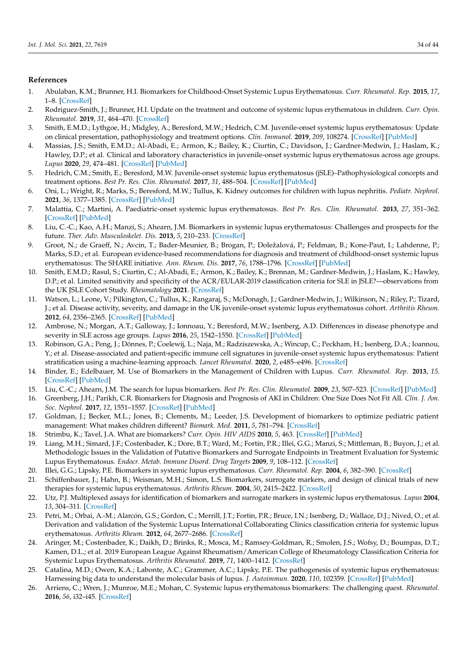### **References**

- <span id="page-33-0"></span>1. Abulaban, K.M.; Brunner, H.I. Biomarkers for Childhood-Onset Systemic Lupus Erythematosus. *Curr. Rheumatol. Rep.* **2015**, *17*, 1–8. [\[CrossRef\]](http://doi.org/10.1007/s11926-014-0471-2)
- <span id="page-33-25"></span>2. Rodriguez-Smith, J.; Brunner, H.I. Update on the treatment and outcome of systemic lupus erythematous in children. *Curr. Opin. Rheumatol.* **2019**, *31*, 464–470. [\[CrossRef\]](http://doi.org/10.1097/BOR.0000000000000621)
- <span id="page-33-2"></span>3. Smith, E.M.D.; Lythgoe, H.; Midgley, A.; Beresford, M.W.; Hedrich, C.M. Juvenile-onset systemic lupus erythematosus: Update on clinical presentation, pathophysiology and treatment options. *Clin. Immunol.* **2019**, *209*, 108274. [\[CrossRef\]](http://doi.org/10.1016/j.clim.2019.108274) [\[PubMed\]](http://www.ncbi.nlm.nih.gov/pubmed/31678365)
- <span id="page-33-1"></span>4. Massias, J.S.; Smith, E.M.D.; Al-Abadi, E.; Armon, K.; Bailey, K.; Ciurtin, C.; Davidson, J.; Gardner-Medwin, J.; Haslam, K.; Hawley, D.P.; et al. Clinical and laboratory characteristics in juvenile-onset systemic lupus erythematosus across age groups. *Lupus* **2020**, *29*, 474–481. [\[CrossRef\]](http://doi.org/10.1177/0961203320909156) [\[PubMed\]](http://www.ncbi.nlm.nih.gov/pubmed/32233733)
- <span id="page-33-3"></span>5. Hedrich, C.M.; Smith, E.; Beresford, M.W. Juvenile-onset systemic lupus erythematosus (jSLE)–Pathophysiological concepts and treatment options. *Best Pr. Res. Clin. Rheumatol.* **2017**, *31*, 488–504. [\[CrossRef\]](http://doi.org/10.1016/j.berh.2018.02.001) [\[PubMed\]](http://www.ncbi.nlm.nih.gov/pubmed/29773269)
- <span id="page-33-4"></span>6. Oni, L.; Wright, R.; Marks, S.; Beresford, M.W.; Tullus, K. Kidney outcomes for children with lupus nephritis. *Pediatr. Nephrol.* **2021**, *36*, 1377–1385. [\[CrossRef\]](http://doi.org/10.1007/s00467-020-04686-1) [\[PubMed\]](http://www.ncbi.nlm.nih.gov/pubmed/32725543)
- <span id="page-33-5"></span>7. Malattia, C.; Martini, A. Paediatric-onset systemic lupus erythematosus. *Best Pr. Res. Clin. Rheumatol.* **2013**, *27*, 351–362. [\[CrossRef\]](http://doi.org/10.1016/j.berh.2013.07.007) [\[PubMed\]](http://www.ncbi.nlm.nih.gov/pubmed/24238692)
- <span id="page-33-6"></span>8. Liu, C.-C.; Kao, A.H.; Manzi, S.; Ahearn, J.M. Biomarkers in systemic lupus erythematosus: Challenges and prospects for the future. *Ther. Adv. Musculoskelet. Dis.* **2013**, *5*, 210–233. [\[CrossRef\]](http://doi.org/10.1177/1759720X13485503)
- <span id="page-33-7"></span>9. Groot, N.; de Graeff, N.; Avcin, T.; Bader-Meunier, B.; Brogan, P.; Doležalová, P.; Feldman, B.; Kone-Paut, I.; Lahdenne, P.; Marks, S.D.; et al. European evidence-based recommendations for diagnosis and treatment of childhood-onset systemic lupus erythematosus: The SHARE initiative. *Ann. Rheum. Dis.* **2017**, *76*, 1788–1796. [\[CrossRef\]](http://doi.org/10.1136/annrheumdis-2016-210960) [\[PubMed\]](http://www.ncbi.nlm.nih.gov/pubmed/28630236)
- <span id="page-33-8"></span>10. Smith, E.M.D.; Rasul, S.; Ciurtin, C.; Al-Abadi, E.; Armon, K.; Bailey, K.; Brennan, M.; Gardner-Medwin, J.; Haslam, K.; Hawley, D.P.; et al. Limited sensitivity and specificity of the ACR/EULAR-2019 classification criteria for SLE in JSLE?—observations from the UK JSLE Cohort Study. *Rheumatology* **2021**. [\[CrossRef\]](http://doi.org/10.1093/rheumatology/keab210)
- <span id="page-33-9"></span>11. Watson, L.; Leone, V.; Pilkington, C.; Tullus, K.; Rangaraj, S.; McDonagh, J.; Gardner-Medwin, J.; Wilkinson, N.; Riley, P.; Tizard, J.; et al. Disease activity, severity, and damage in the UK juvenile-onset systemic lupus erythematosus cohort. *Arthritis Rheum.* **2012**, *64*, 2356–2365. [\[CrossRef\]](http://doi.org/10.1002/art.34410) [\[PubMed\]](http://www.ncbi.nlm.nih.gov/pubmed/22294381)
- <span id="page-33-10"></span>12. Ambrose, N.; Morgan, A.T.; Galloway, J.; Ionnoau, Y.; Beresford, M.W.; Isenberg, A.D. Differences in disease phenotype and severity in SLE across age groups. *Lupus* **2016**, *25*, 1542–1550. [\[CrossRef\]](http://doi.org/10.1177/0961203316644333) [\[PubMed\]](http://www.ncbi.nlm.nih.gov/pubmed/27147622)
- <span id="page-33-11"></span>13. Robinson, G.A.; Peng, J.; Dönnes, P.; Coelewij, L.; Naja, M.; Radziszewska, A.; Wincup, C.; Peckham, H.; Isenberg, D.A.; Ioannou, Y.; et al. Disease-associated and patient-specific immune cell signatures in juvenile-onset systemic lupus erythematosus: Patient stratification using a machine-learning approach. *Lancet Rheumatol.* **2020**, *2*, e485–e496. [\[CrossRef\]](http://doi.org/10.1016/S2665-9913(20)30168-5)
- <span id="page-33-12"></span>14. Binder, E.; Edelbauer, M. Use of Biomarkers in the Management of Children with Lupus. *Curr. Rheumatol. Rep.* **2013**, *15*. [\[CrossRef\]](http://doi.org/10.1007/s11926-012-0312-0) [\[PubMed\]](http://www.ncbi.nlm.nih.gov/pubmed/23355230)
- <span id="page-33-13"></span>15. Liu, C.-C.; Ahearn, J.M. The search for lupus biomarkers. *Best Pr. Res. Clin. Rheumatol.* **2009**, *23*, 507–523. [\[CrossRef\]](http://doi.org/10.1016/j.berh.2009.01.008) [\[PubMed\]](http://www.ncbi.nlm.nih.gov/pubmed/19591781)
- <span id="page-33-14"></span>16. Greenberg, J.H.; Parikh, C.R. Biomarkers for Diagnosis and Prognosis of AKI in Children: One Size Does Not Fit All. *Clin. J. Am. Soc. Nephrol.* **2017**, *12*, 1551–1557. [\[CrossRef\]](http://doi.org/10.2215/CJN.12851216) [\[PubMed\]](http://www.ncbi.nlm.nih.gov/pubmed/28667085)
- <span id="page-33-15"></span>17. Goldman, J.; Becker, M.L.; Jones, B.; Clements, M.; Leeder, J.S. Development of biomarkers to optimize pediatric patient management: What makes children different? *Biomark. Med.* **2011**, *5*, 781–794. [\[CrossRef\]](http://doi.org/10.2217/bmm.11.96)
- <span id="page-33-16"></span>18. Strimbu, K.; Tavel, J.A. What are biomarkers? *Curr. Opin. HIV AIDS* **2010**, *5*, 463. [\[CrossRef\]](http://doi.org/10.1097/COH.0b013e32833ed177) [\[PubMed\]](http://www.ncbi.nlm.nih.gov/pubmed/20978388)
- <span id="page-33-17"></span>19. Liang, M.H.; Simard, J.F.; Costenbader, K.; Dore, B.T.; Ward, M.; Fortin, P.R.; Illei, G.G.; Manzi, S.; Mittleman, B.; Buyon, J.; et al. Methodologic Issues in the Validation of Putative Biomarkers and Surrogate Endpoints in Treatment Evaluation for Systemic Lupus Erythematosus. *Endocr. Metab. Immune Disord. Drug Targets* **2009**, *9*, 108–112. [\[CrossRef\]](http://doi.org/10.2174/187153009787582388)
- <span id="page-33-18"></span>20. Illei, G.G.; Lipsky, P.E. Biomarkers in systemic lupus erythematosus. *Curr. Rheumatol. Rep.* **2004**, *6*, 382–390. [\[CrossRef\]](http://doi.org/10.1007/s11926-004-0013-4)
- <span id="page-33-19"></span>21. Schiffenbauer, J.; Hahn, B.; Weisman, M.H.; Simon, L.S. Biomarkers, surrogate markers, and design of clinical trials of new therapies for systemic lupus erythematosus. *Arthritis Rheum.* **2004**, *50*, 2415–2422. [\[CrossRef\]](http://doi.org/10.1002/art.20353)
- <span id="page-33-20"></span>22. Utz, P.J. Multiplexed assays for identification of biomarkers and surrogate markers in systemic lupus erythematosus. *Lupus* **2004**, *13*, 304–311. [\[CrossRef\]](http://doi.org/10.1191/0961203303lu1017oa)
- <span id="page-33-21"></span>23. Petri, M.; Orbai, A.-M.; Alarcón, G.S.; Gordon, C.; Merrill, J.T.; Fortin, P.R.; Bruce, I.N.; Isenberg, D.; Wallace, D.J.; Nived, O.; et al. Derivation and validation of the Systemic Lupus International Collaborating Clinics classification criteria for systemic lupus erythematosus. *Arthritis Rheum.* **2012**, *64*, 2677–2686. [\[CrossRef\]](http://doi.org/10.1002/art.34473)
- <span id="page-33-22"></span>24. Aringer, M.; Costenbader, K.; Daikh, D.; Brinks, R.; Mosca, M.; Ramsey-Goldman, R.; Smolen, J.S.; Wofsy, D.; Boumpas, D.T.; Kamen, D.L.; et al. 2019 European League Against Rheumatism/American College of Rheumatology Classification Criteria for Systemic Lupus Erythematosus. *Arthritis Rheumatol.* **2019**, *71*, 1400–1412. [\[CrossRef\]](http://doi.org/10.1002/art.40930)
- <span id="page-33-23"></span>25. Catalina, M.D.; Owen, K.A.; Labonte, A.C.; Grammer, A.C.; Lipsky, P.E. The pathogenesis of systemic lupus erythematosus: Harnessing big data to understand the molecular basis of lupus. *J. Autoimmun.* **2020**, *110*, 102359. [\[CrossRef\]](http://doi.org/10.1016/j.jaut.2019.102359) [\[PubMed\]](http://www.ncbi.nlm.nih.gov/pubmed/31806421)
- <span id="page-33-24"></span>26. Arriens, C.; Wren, J.; Munroe, M.E.; Mohan, C. Systemic lupus erythematosus biomarkers: The challenging quest. *Rheumatol.* **2016**, *56*, i32–i45. [\[CrossRef\]](http://doi.org/10.1093/rheumatology/kew407)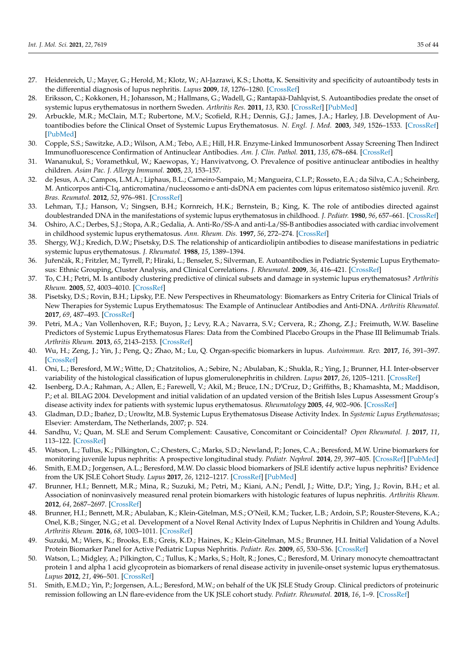- <span id="page-34-33"></span><span id="page-34-0"></span>27. Heidenreich, U.; Mayer, G.; Herold, M.; Klotz, W.; Al-Jazrawi, K.S.; Lhotta, K. Sensitivity and specificity of autoantibody tests in the differential diagnosis of lupus nephritis. *Lupus* **2009**, *18*, 1276–1280. [\[CrossRef\]](http://doi.org/10.1177/0961203309345753)
- <span id="page-34-1"></span>28. Eriksson, C.; Kokkonen, H.; Johansson, M.; Hallmans, G.; Wadell, G.; Rantapää-Dahlqvist, S. Autoantibodies predate the onset of systemic lupus erythematosus in northern Sweden. *Arthritis Res.* **2011**, *13*, R30. [\[CrossRef\]](http://doi.org/10.1186/ar3258) [\[PubMed\]](http://www.ncbi.nlm.nih.gov/pubmed/21342502)
- <span id="page-34-2"></span>29. Arbuckle, M.R.; McClain, M.T.; Rubertone, M.V.; Scofield, R.H.; Dennis, G.J.; James, J.A.; Harley, J.B. Development of Autoantibodies before the Clinical Onset of Systemic Lupus Erythematosus. *N. Engl. J. Med.* **2003**, *349*, 1526–1533. [\[CrossRef\]](http://doi.org/10.1056/NEJMoa021933) [\[PubMed\]](http://www.ncbi.nlm.nih.gov/pubmed/14561795)
- <span id="page-34-3"></span>30. Copple, S.S.; Sawitzke, A.D.; Wilson, A.M.; Tebo, A.E.; Hill, H.R. Enzyme-Linked Immunosorbent Assay Screening Then Indirect Immunofluorescence Confirmation of Antinuclear Antibodies. *Am. J. Clin. Pathol.* **2011**, *135*, 678–684. [\[CrossRef\]](http://doi.org/10.1309/AJCP6R8EELGODAYW)
- <span id="page-34-4"></span>31. Wananukul, S.; Voramethkul, W.; Kaewopas, Y.; Hanvivatvong, O. Prevalence of positive antinuclear antibodies in healthy children. *Asian Pac. J. Allergy Immunol.* **2005**, *23*, 153–157.
- <span id="page-34-5"></span>32. de Jesus, A.A.; Campos, L.M.A.; Liphaus, B.L.; Carneiro-Sampaio, M.; Mangueira, C.L.P.; Rosseto, E.A.; da Silva, C.A.; Scheinberg, M. Anticorpos anti-C1q, anticromatina/nucleossomo e anti-dsDNA em pacientes com lúpus eritematoso sistêmico juvenil. *Rev. Bras. Reumatol.* **2012**, *52*, 976–981. [\[CrossRef\]](http://doi.org/10.1590/S0482-50042012000600015)
- <span id="page-34-6"></span>33. Lehman, T.J.; Hanson, V.; Singsen, B.H.; Kornreich, H.K.; Bernstein, B.; King, K. The role of antibodies directed against doublestranded DNA in the manifestations of systemic lupus erythematosus in childhood. *J. Pediatr.* **1980**, *96*, 657–661. [\[CrossRef\]](http://doi.org/10.1016/S0022-3476(80)80733-5)
- <span id="page-34-7"></span>34. Oshiro, A.C.; Derbes, S.J.; Stopa, A.R.; Gedalia, A. Anti-Ro/SS-A and anti-La/SS-B antibodies associated with cardiac involvement in childhood systemic lupus erythematosus. *Ann. Rheum. Dis.* **1997**, *56*, 272–274. [\[CrossRef\]](http://doi.org/10.1136/ard.56.4.272)
- <span id="page-34-20"></span><span id="page-34-8"></span>35. Shergy, W.J.; Kredich, D.W.; Pisetsky, D.S. The relationship of anticardiolipin antibodies to disease manifestations in pediatric systemic lupus erythematosus. *J. Rheumatol.* **1988**, *15*, 1389–1394.
- <span id="page-34-21"></span><span id="page-34-9"></span>36. Juřenčák, R.; Fritzler, M.; Tyrrell, P.; Hiraki, L.; Benseler, S.; Silverman, E. Autoantibodies in Pediatric Systemic Lupus Erythematosus: Ethnic Grouping, Cluster Analysis, and Clinical Correlations. *J. Rheumatol.* **2009**, *36*, 416–421. [\[CrossRef\]](http://doi.org/10.3899/jrheum.080588)
- <span id="page-34-22"></span><span id="page-34-10"></span>37. To, C.H.; Petri, M. Is antibody clustering predictive of clinical subsets and damage in systemic lupus erythematosus? *Arthritis Rheum.* **2005**, *52*, 4003–4010. [\[CrossRef\]](http://doi.org/10.1002/art.21414)
- <span id="page-34-23"></span><span id="page-34-11"></span>38. Pisetsky, D.S.; Rovin, B.H.; Lipsky, P.E. New Perspectives in Rheumatology: Biomarkers as Entry Criteria for Clinical Trials of New Therapies for Systemic Lupus Erythematosus: The Example of Antinuclear Antibodies and Anti-DNA. *Arthritis Rheumatol.* **2017**, *69*, 487–493. [\[CrossRef\]](http://doi.org/10.1002/art.40008)
- <span id="page-34-24"></span><span id="page-34-12"></span>39. Petri, M.A.; Van Vollenhoven, R.F.; Buyon, J.; Levy, R.A.; Navarra, S.V.; Cervera, R.; Zhong, Z.J.; Freimuth, W.W. Baseline Predictors of Systemic Lupus Erythematosus Flares: Data from the Combined Placebo Groups in the Phase III Belimumab Trials. *Arthritis Rheum.* **2013**, *65*, 2143–2153. [\[CrossRef\]](http://doi.org/10.1002/art.37995)
- <span id="page-34-25"></span><span id="page-34-13"></span>40. Wu, H.; Zeng, J.; Yin, J.; Peng, Q.; Zhao, M.; Lu, Q. Organ-specific biomarkers in lupus. *Autoimmun. Rev.* **2017**, *16*, 391–397. [\[CrossRef\]](http://doi.org/10.1016/j.autrev.2017.02.011)
- <span id="page-34-26"></span><span id="page-34-14"></span>41. Oni, L.; Beresford, M.W.; Witte, D.; Chatzitolios, A.; Sebire, N.; Abulaban, K.; Shukla, R.; Ying, J.; Brunner, H.I. Inter-observer variability of the histological classification of lupus glomerulonephritis in children. *Lupus* **2017**, *26*, 1205–1211. [\[CrossRef\]](http://doi.org/10.1177/0961203317706558)
- <span id="page-34-27"></span><span id="page-34-15"></span>42. Isenberg, D.A.; Rahman, A.; Allen, E.; Farewell, V.; Akil, M.; Bruce, I.N.; D'Cruz, D.; Griffiths, B.; Khamashta, M.; Maddison, P.; et al. BILAG 2004. Development and initial validation of an updated version of the British Isles Lupus Assessment Group's disease activity index for patients with systemic lupus erythematosus. *Rheumatology* **2005**, *44*, 902–906. [\[CrossRef\]](http://doi.org/10.1093/rheumatology/keh624)
- <span id="page-34-16"></span>43. Gladman, D.D.; Ibañez, D.; Urowltz, M.B. Systemic Lupus Erythematosus Disease Activity Index. In *Systemic Lupus Erythematosus*; Elsevier: Amsterdam, The Netherlands, 2007; p. 524.
- <span id="page-34-17"></span>44. Sandhu, V.; Quan, M. SLE and Serum Complement: Causative, Concomitant or Coincidental? *Open Rheumatol. J.* **2017**, *11*, 113–122. [\[CrossRef\]](http://doi.org/10.2174/1874312901711010113)
- <span id="page-34-32"></span>45. Watson, L.; Tullus, K.; Pilkington, C.; Chesters, C.; Marks, S.D.; Newland, P.; Jones, C.A.; Beresford, M.W. Urine biomarkers for monitoring juvenile lupus nephritis: A prospective longitudinal study. *Pediatr. Nephrol.* **2014**, *29*, 397–405. [\[CrossRef\]](http://doi.org/10.1007/s00467-013-2668-4) [\[PubMed\]](http://www.ncbi.nlm.nih.gov/pubmed/24241909)
- <span id="page-34-28"></span>46. Smith, E.M.D.; Jorgensen, A.L.; Beresford, M.W. Do classic blood biomarkers of JSLE identify active lupus nephritis? Evidence from the UK JSLE Cohort Study. *Lupus* **2017**, *26*, 1212–1217. [\[CrossRef\]](http://doi.org/10.1177/0961203317702253) [\[PubMed\]](http://www.ncbi.nlm.nih.gov/pubmed/28385126)
- <span id="page-34-30"></span>47. Brunner, H.I.; Bennett, M.R.; Mina, R.; Suzuki, M.; Petri, M.; Kiani, A.N.; Pendl, J.; Witte, D.P.; Ying, J.; Rovin, B.H.; et al. Association of noninvasively measured renal protein biomarkers with histologic features of lupus nephritis. *Arthritis Rheum.* **2012**, *64*, 2687–2697. [\[CrossRef\]](http://doi.org/10.1002/art.34426)
- <span id="page-34-18"></span>48. Brunner, H.I.; Bennett, M.R.; Abulaban, K.; Klein-Gitelman, M.S.; O'Neil, K.M.; Tucker, L.B.; Ardoin, S.P.; Rouster-Stevens, K.A.; Onel, K.B.; Singer, N.G.; et al. Development of a Novel Renal Activity Index of Lupus Nephritis in Children and Young Adults. *Arthritis Rheum.* **2016**, *68*, 1003–1011. [\[CrossRef\]](http://doi.org/10.1002/acr.22762)
- <span id="page-34-29"></span>49. Suzuki, M.; Wiers, K.; Brooks, E.B.; Greis, K.D.; Haines, K.; Klein-Gitelman, M.S.; Brunner, H.I. Initial Validation of a Novel Protein Biomarker Panel for Active Pediatric Lupus Nephritis. *Pediatr. Res.* **2009**, *65*, 530–536. [\[CrossRef\]](http://doi.org/10.1203/PDR.0b013e31819e4305)
- <span id="page-34-19"></span>50. Watson, L.; Midgley, A.; Pilkington, C.; Tullus, K.; Marks, S.; Holt, R.; Jones, C.; Beresford, M. Urinary monocyte chemoattractant protein 1 and alpha 1 acid glycoprotein as biomarkers of renal disease activity in juvenile-onset systemic lupus erythematosus. *Lupus* **2012**, *21*, 496–501. [\[CrossRef\]](http://doi.org/10.1177/0961203311431249)
- <span id="page-34-31"></span>51. Smith, E.M.D.; Yin, P.; Jorgensen, A.L.; Beresford, M.W.; on behalf of the UK JSLE Study Group. Clinical predictors of proteinuric remission following an LN flare-evidence from the UK JSLE cohort study. *Pediatr. Rheumatol.* **2018**, *16*, 1–9. [\[CrossRef\]](http://doi.org/10.1186/s12969-018-0230-4)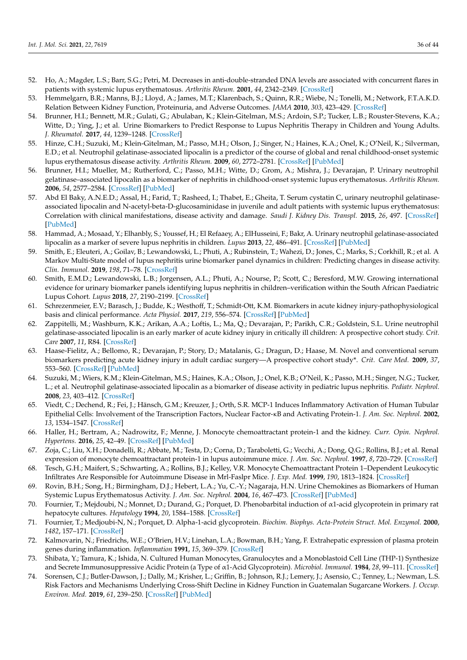- <span id="page-35-8"></span><span id="page-35-7"></span><span id="page-35-6"></span><span id="page-35-5"></span><span id="page-35-4"></span><span id="page-35-3"></span><span id="page-35-2"></span><span id="page-35-0"></span>52. Ho, A.; Magder, L.S.; Barr, S.G.; Petri, M. Decreases in anti-double-stranded DNA levels are associated with concurrent flares in patients with systemic lupus erythematosus. *Arthritis Rheum.* **2001**, *44*, 2342–2349. [\[CrossRef\]](http://doi.org/10.1002/1529-0131(200110)44:10<2342::AID-ART397>3.0.CO;2-8)
- <span id="page-35-1"></span>53. Hemmelgarn, B.R.; Manns, B.J.; Lloyd, A.; James, M.T.; Klarenbach, S.; Quinn, R.R.; Wiebe, N.; Tonelli, M.; Network, F.T.A.K.D. Relation Between Kidney Function, Proteinuria, and Adverse Outcomes. *JAMA* **2010**, *303*, 423–429. [\[CrossRef\]](http://doi.org/10.1001/jama.2010.39)
- <span id="page-35-28"></span><span id="page-35-20"></span>54. Brunner, H.I.; Bennett, M.R.; Gulati, G.; Abulaban, K.; Klein-Gitelman, M.S.; Ardoin, S.P.; Tucker, L.B.; Rouster-Stevens, K.A.; Witte, D.; Ying, J.; et al. Urine Biomarkers to Predict Response to Lupus Nephritis Therapy in Children and Young Adults. *J. Rheumatol.* **2017**, *44*, 1239–1248. [\[CrossRef\]](http://doi.org/10.3899/jrheum.161128)
- <span id="page-35-15"></span>55. Hinze, C.H.; Suzuki, M.; Klein-Gitelman, M.; Passo, M.H.; Olson, J.; Singer, N.; Haines, K.A.; Onel, K.; O'Neil, K.; Silverman, E.D.; et al. Neutrophil gelatinase-associated lipocalin is a predictor of the course of global and renal childhood-onset systemic lupus erythematosus disease activity. *Arthritis Rheum.* **2009**, *60*, 2772–2781. [\[CrossRef\]](http://doi.org/10.1002/art.24751) [\[PubMed\]](http://www.ncbi.nlm.nih.gov/pubmed/19714584)
- <span id="page-35-12"></span>56. Brunner, H.I.; Mueller, M.; Rutherford, C.; Passo, M.H.; Witte, D.; Grom, A.; Mishra, J.; Devarajan, P. Urinary neutrophil gelatinase–associated lipocalin as a biomarker of nephritis in childhood-onset systemic lupus erythematosus. *Arthritis Rheum.* **2006**, *54*, 2577–2584. [\[CrossRef\]](http://doi.org/10.1002/art.22008) [\[PubMed\]](http://www.ncbi.nlm.nih.gov/pubmed/16868980)
- <span id="page-35-29"></span>57. Abd El Baky, A.N.E.D.; Assal, H.; Farid, T.; Rasheed, I.; Thabet, E.; Gheita, T. Serum cystatin C, urinary neutrophil gelatinaseassociated lipocalin and N-acetyl-beta-D-glucosaminidase in juvenile and adult patients with systemic lupus erythematosus: Correlation with clinical manifestations, disease activity and damage. *Saudi J. Kidney Dis. Transpl.* **2015**, *26*, 497. [\[CrossRef\]](http://doi.org/10.4103/1319-2442.157336) [\[PubMed\]](http://www.ncbi.nlm.nih.gov/pubmed/26022020)
- <span id="page-35-13"></span>58. Hammad, A.; Mosaad, Y.; Elhanbly, S.; Youssef, H.; El Refaaey, A.; ElHusseini, F.; Bakr, A. Urinary neutrophil gelatinase-associated lipocalin as a marker of severe lupus nephritis in children. *Lupus* **2013**, *22*, 486–491. [\[CrossRef\]](http://doi.org/10.1177/0961203313479419) [\[PubMed\]](http://www.ncbi.nlm.nih.gov/pubmed/23554037)
- <span id="page-35-27"></span>59. Smith, E.; Eleuteri, A.; Goilav, B.; Lewandowski, L.; Phuti, A.; Rubinstein, T.; Wahezi, D.; Jones, C.; Marks, S.; Corkhill, R.; et al. A Markov Multi-State model of lupus nephritis urine biomarker panel dynamics in children: Predicting changes in disease activity. *Clin. Immunol.* **2019**, *198*, 71–78. [\[CrossRef\]](http://doi.org/10.1016/j.clim.2018.10.021)
- <span id="page-35-26"></span>60. Smith, E.M.D.; Lewandowski, L.B.; Jorgensen, A.L.; Phuti, A.; Nourse, P.; Scott, C.; Beresford, M.W. Growing international evidence for urinary biomarker panels identifying lupus nephritis in children–verification within the South African Paediatric Lupus Cohort. *Lupus* **2018**, *27*, 2190–2199. [\[CrossRef\]](http://doi.org/10.1177/0961203318808376)
- <span id="page-35-9"></span>61. Schrezenmeier, E.V.; Barasch, J.; Budde, K.; Westhoff, T.; Schmidt-Ott, K.M. Biomarkers in acute kidney injury-pathophysiological basis and clinical performance. *Acta Physiol.* **2017**, *219*, 556–574. [\[CrossRef\]](http://doi.org/10.1111/apha.12764) [\[PubMed\]](http://www.ncbi.nlm.nih.gov/pubmed/27474473)
- <span id="page-35-10"></span>62. Zappitelli, M.; Washburn, K.K.; Arikan, A.A.; Loftis, L.; Ma, Q.; Devarajan, P.; Parikh, C.R.; Goldstein, S.L. Urine neutrophil gelatinase-associated lipocalin is an early marker of acute kidney injury in critically ill children: A prospective cohort study. *Crit. Care* **2007**, *11*, R84. [\[CrossRef\]](http://doi.org/10.1186/cc6089)
- <span id="page-35-11"></span>63. Haase-Fielitz, A.; Bellomo, R.; Devarajan, P.; Story, D.; Matalanis, G.; Dragun, D.; Haase, M. Novel and conventional serum biomarkers predicting acute kidney injury in adult cardiac surgery—A prospective cohort study\*. *Crit. Care Med.* **2009**, *37*, 553–560. [\[CrossRef\]](http://doi.org/10.1097/CCM.0b013e318195846e) [\[PubMed\]](http://www.ncbi.nlm.nih.gov/pubmed/19114878)
- <span id="page-35-14"></span>64. Suzuki, M.; Wiers, K.M.; Klein-Gitelman, M.S.; Haines, K.A.; Olson, J.; Onel, K.B.; O'Neil, K.; Passo, M.H.; Singer, N.G.; Tucker, L.; et al. Neutrophil gelatinase-associated lipocalin as a biomarker of disease activity in pediatric lupus nephritis. *Pediatr. Nephrol.* **2008**, *23*, 403–412. [\[CrossRef\]](http://doi.org/10.1007/s00467-007-0685-x)
- <span id="page-35-16"></span>65. Viedt, C.; Dechend, R.; Fei, J.; Hänsch, G.M.; Kreuzer, J.; Orth, S.R. MCP-1 Induces Inflammatory Activation of Human Tubular Epithelial Cells: Involvement of the Transcription Factors, Nuclear Factor-κB and Activating Protein-1. *J. Am. Soc. Nephrol.* **2002**, *13*, 1534–1547. [\[CrossRef\]](http://doi.org/10.1097/01.ASN.0000015609.31253.7F)
- <span id="page-35-17"></span>66. Haller, H.; Bertram, A.; Nadrowitz, F.; Menne, J. Monocyte chemoattractant protein-1 and the kidney. *Curr. Opin. Nephrol. Hypertens.* **2016**, *25*, 42–49. [\[CrossRef\]](http://doi.org/10.1097/MNH.0000000000000186) [\[PubMed\]](http://www.ncbi.nlm.nih.gov/pubmed/26625862)
- <span id="page-35-18"></span>67. Zoja, C.; Liu, X.H.; Donadelli, R.; Abbate, M.; Testa, D.; Corna, D.; Taraboletti, G.; Vecchi, A.; Dong, Q.G.; Rollins, B.J.; et al. Renal expression of monocyte chemoattractant protein-1 in lupus autoimmune mice. *J. Am. Soc. Nephrol.* **1997**, *8*, 720–729. [\[CrossRef\]](http://doi.org/10.1681/ASN.V85720)
- <span id="page-35-19"></span>68. Tesch, G.H.; Maifert, S.; Schwarting, A.; Rollins, B.J.; Kelley, V.R. Monocyte Chemoattractant Protein 1–Dependent Leukocytic Infiltrates Are Responsible for Autoimmune Disease in Mrl-Faslpr Mice. *J. Exp. Med.* **1999**, *190*, 1813–1824. [\[CrossRef\]](http://doi.org/10.1084/jem.190.12.1813)
- <span id="page-35-21"></span>69. Rovin, B.H.; Song, H.; Birmingham, D.J.; Hebert, L.A.; Yu, C.-Y.; Nagaraja, H.N. Urine Chemokines as Biomarkers of Human Systemic Lupus Erythematosus Activity. *J. Am. Soc. Nephrol.* **2004**, *16*, 467–473. [\[CrossRef\]](http://doi.org/10.1681/ASN.2004080658) [\[PubMed\]](http://www.ncbi.nlm.nih.gov/pubmed/15601744)
- <span id="page-35-22"></span>70. Fournier, T.; Mejdoubi, N.; Monnet, D.; Durand, G.; Porquet, D. Phenobarbital induction of α1-acid glycoprotein in primary rat hepatocyte cultures. *Hepatology* **1994**, *20*, 1584–1588. [\[CrossRef\]](http://doi.org/10.1002/hep.1840200630)
- <span id="page-35-23"></span>71. Fournier, T.; Medjoubi-N, N.; Porquet, D. Alpha-1-acid glycoprotein. *Biochim. Biophys. Acta-Protein Struct. Mol. Enzymol.* **2000**, *1482*, 157–171. [\[CrossRef\]](http://doi.org/10.1016/S0167-4838(00)00153-9)
- <span id="page-35-24"></span>72. Kalmovarin, N.; Friedrichs, W.E.; O'Brien, H.V.; Linehan, L.A.; Bowman, B.H.; Yang, F. Extrahepatic expression of plasma protein genes during inflammation. *Inflammation* **1991**, *15*, 369–379. [\[CrossRef\]](http://doi.org/10.1007/BF00917353)
- 73. Shibata, Y.; Tamura, K.; Ishida, N. Cultured Human Monocytes, Granulocytes and a Monoblastoid Cell Line (THP-1) Synthesize and Secrete Immunosuppressive Acidic Protein (a Type of α1-Acid Glycoprotein). *Microbiol. Immunol.* **1984**, *28*, 99–111. [\[CrossRef\]](http://doi.org/10.1111/j.1348-0421.1984.tb02950.x)
- <span id="page-35-25"></span>74. Sorensen, C.J.; Butler-Dawson, J.; Dally, M.; Krisher, L.; Griffin, B.; Johnson, R.J.; Lemery, J.; Asensio, C.; Tenney, L.; Newman, L.S. Risk Factors and Mechanisms Underlying Cross-Shift Decline in Kidney Function in Guatemalan Sugarcane Workers. *J. Occup. Environ. Med.* **2019**, *61*, 239–250. [\[CrossRef\]](http://doi.org/10.1097/JOM.0000000000001529) [\[PubMed\]](http://www.ncbi.nlm.nih.gov/pubmed/30575695)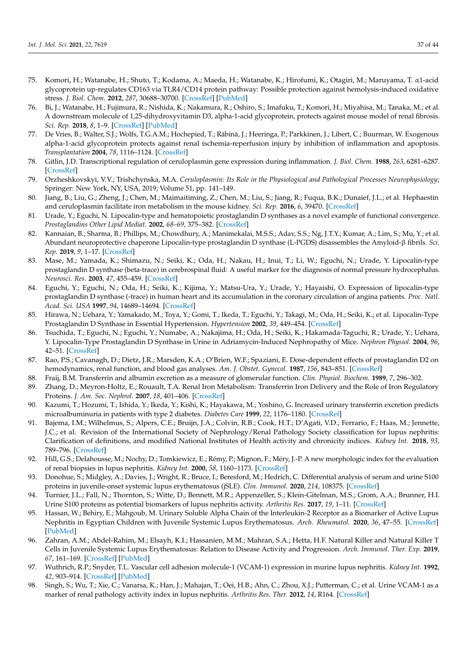- <span id="page-36-0"></span>75. Komori, H.; Watanabe, H.; Shuto, T.; Kodama, A.; Maeda, H.; Watanabe, K.; Hirofumi, K.; Otagiri, M.; Maruyama, T. α1-acid glycoprotein up-regulates CD163 via TLR4/CD14 protein pathway: Possible protection against hemolysis-induced oxidative stress. *J. Biol. Chem.* **2012**, *287*, 30688–30700. [\[CrossRef\]](http://doi.org/10.1074/jbc.M112.353771) [\[PubMed\]](http://www.ncbi.nlm.nih.gov/pubmed/22807450)
- <span id="page-36-1"></span>76. Bi, J.; Watanabe, H.; Fujimura, R.; Nishida, K.; Nakamura, R.; Oshiro, S.; Imafuku, T.; Komori, H.; Miyahisa, M.; Tanaka, M.; et al. A downstream molecule of 1,25-dihydroxyvitamin D3, alpha-1-acid glycoprotein, protects against mouse model of renal fibrosis. *Sci. Rep.* **2018**, *8*, 1–9. [\[CrossRef\]](http://doi.org/10.1038/s41598-018-35339-x) [\[PubMed\]](http://www.ncbi.nlm.nih.gov/pubmed/30478350)
- <span id="page-36-2"></span>77. De Vries, B.; Walter, S.J.; Wolfs, T.G.A.M.; Hochepied, T.; Räbinä, J.; Heeringa, P.; Parkkinen, J.; Libert, C.; Buurman, W. Exogenous alpha-1-acid glycoprotein protects against renal ischemia-reperfusion injury by inhibition of inflammation and apoptosis. *Transplantation* **2004**, *78*, 1116–1124. [\[CrossRef\]](http://doi.org/10.1097/01.TP.0000138096.14126.CA)
- <span id="page-36-3"></span>78. Gitlin, J.D. Transcriptional regulation of ceruloplasmin gene expression during inflammation. *J. Biol. Chem.* **1988**, *263*, 6281–6287. [\[CrossRef\]](http://doi.org/10.1016/S0021-9258(18)68783-6)
- <span id="page-36-4"></span>79. Orzheshkovskyi, V.V.; Trishchynska, M.A. *Ceruloplasmin: Its Role in the Physiological and Pathological Processes Neurophysiology*; Springer: New York, NY, USA, 2019; Volume 51, pp. 141–149.
- <span id="page-36-5"></span>80. Jiang, B.; Liu, G.; Zheng, J.; Chen, M.; Maimaitiming, Z.; Chen, M.; Liu, S.; Jiang, R.; Fuqua, B.K.; Dunaief, J.L.; et al. Hephaestin and ceruloplasmin facilitate iron metabolism in the mouse kidney. *Sci. Rep.* **2016**, *6*, 39470. [\[CrossRef\]](http://doi.org/10.1038/srep39470)
- <span id="page-36-6"></span>81. Urade, Y.; Eguchi, N. Lipocalin-type and hematopoietic prostaglandin D synthases as a novel example of functional convergence. *Prostaglandins Other Lipid Mediat.* **2002**, *68–69*, 375–382. [\[CrossRef\]](http://doi.org/10.1016/S0090-6980(02)00042-4)
- <span id="page-36-7"></span>82. Kannaian, B.; Sharma, B.; Phillips, M.; Chowdhury, A.; Manimekalai, M.S.S.; Adav, S.S.; Ng, J.T.Y.; Kumar, A.; Lim, S.; Mu, Y.; et al. Abundant neuroprotective chaperone Lipocalin-type prostaglandin D synthase (L-PGDS) disassembles the Amyloid-β fibrils. *Sci. Rep.* **2019**, *9*, 1–17. [\[CrossRef\]](http://doi.org/10.1038/s41598-019-48819-5)
- <span id="page-36-8"></span>83. Mase, M.; Yamada, K.; Shimazu, N.; Seiki, K.; Oda, H.; Nakau, H.; Inui, T.; Li, W.; Eguchi, N.; Urade, Y. Lipocalin-type prostaglandin D synthase (beta-trace) in cerebrospinal fluid: A useful marker for the diagnosis of normal pressure hydrocephalus. *Neurosci. Res.* **2003**, *47*, 455–459. [\[CrossRef\]](http://doi.org/10.1016/j.neures.2003.08.009)
- <span id="page-36-19"></span><span id="page-36-18"></span><span id="page-36-9"></span>84. Eguchi, Y.; Eguchi, N.; Oda, H.; Seiki, K.; Kijima, Y.; Matsu-Ura, Y.; Urade, Y.; Hayaishi, O. Expression of lipocalin-type prostaglandin D synthase (-trace) in human heart and its accumulation in the coronary circulation of angina patients. *Proc. Natl. Acad. Sci. USA* **1997**, *94*, 14689–14694. [\[CrossRef\]](http://doi.org/10.1073/pnas.94.26.14689)
- <span id="page-36-20"></span><span id="page-36-10"></span>85. Hirawa, N.; Uehara, Y.; Yamakado, M.; Toya, Y.; Gomi, T.; Ikeda, T.; Eguchi, Y.; Takagi, M.; Oda, H.; Seiki, K.; et al. Lipocalin-Type Prostaglandin D Synthase in Essential Hypertension. *Hypertension* **2002**, *39*, 449–454. [\[CrossRef\]](http://doi.org/10.1161/hy0202.102835)
- <span id="page-36-21"></span><span id="page-36-11"></span>86. Tsuchida, T.; Eguchi, N.; Eguchi, Y.; Numabe, A.; Nakajima, H.; Oda, H.; Seiki, K.; Hakamada-Taguchi, R.; Urade, Y.; Uehara, Y. Lipocalin-Type Prostaglandin D Synthase in Urine in Adriamycin-Induced Nephropathy of Mice. *Nephron Physiol.* **2004**, *96*, 42–51. [\[CrossRef\]](http://doi.org/10.1159/000076407)
- <span id="page-36-12"></span>87. Rao, P.S.; Cavanagh, D.; Dietz, J.R.; Marsden, K.A.; O'Brien, W.F.; Spaziani, E. Dose-dependent effects of prostaglandin D2 on hemodynamics, renal function, and blood gas analyses. *Am. J. Obstet. Gynecol.* **1987**, *156*, 843–851. [\[CrossRef\]](http://doi.org/10.1016/0002-9378(87)90340-1)
- <span id="page-36-13"></span>88. Fraij, B.M. Transferrin and albumin excretion as a measure of glomerular function. *Clin. Physiol. Biochem.* **1989**, *7*, 296–302.
- <span id="page-36-14"></span>89. Zhang, D.; Meyron-Holtz, E.; Rouault, T.A. Renal Iron Metabolism: Transferrin Iron Delivery and the Role of Iron Regulatory Proteins. *J. Am. Soc. Nephrol.* **2007**, *18*, 401–406. [\[CrossRef\]](http://doi.org/10.1681/ASN.2006080908)
- <span id="page-36-15"></span>90. Kazumi, T.; Hozumi, T.; Ishida, Y.; Ikeda, Y.; Kishi, K.; Hayakawa, M.; Yoshino, G. Increased urinary transferrin excretion predicts microalbuminuria in patients with type 2 diabetes. *Diabetes Care* **1999**, *22*, 1176–1180. [\[CrossRef\]](http://doi.org/10.2337/diacare.22.7.1176)
- <span id="page-36-16"></span>91. Bajema, I.M.; Wilhelmus, S.; Alpers, C.E.; Bruijn, J.A.; Colvin, R.B.; Cook, H.T.; D'Agati, V.D.; Ferrario, F.; Haas, M.; Jennette, J.C.; et al. Revision of the International Society of Nephrology/Renal Pathology Society classification for lupus nephritis: Clarification of definitions, and modified National Institutes of Health activity and chronicity indices. *Kidney Int.* **2018**, *93*, 789–796. [\[CrossRef\]](http://doi.org/10.1016/j.kint.2017.11.023)
- <span id="page-36-17"></span>92. Hill, G.S.; Delahousse, M.; Nochy, D.; Tomkiewicz, E.; Rémy, P.; Mignon, F.; Méry, J.-P. A new morphologic index for the evaluation of renal biopsies in lupus nephritis. *Kidney Int.* **2000**, *58*, 1160–1173. [\[CrossRef\]](http://doi.org/10.1046/j.1523-1755.2000.00272.x)
- <span id="page-36-24"></span>93. Donohue, S.; Midgley, A.; Davies, J.; Wright, R.; Bruce, I.; Beresford, M.; Hedrich, C. Differential analysis of serum and urine S100 proteins in juvenile-onset systemic lupus erythematosus (jSLE). *Clin. Immunol.* **2020**, *214*, 108375. [\[CrossRef\]](http://doi.org/10.1016/j.clim.2020.108375)
- <span id="page-36-25"></span>94. Turnier, J.L.; Fall, N.; Thornton, S.; Witte, D.; Bennett, M.R.; Appenzeller, S.; Klein-Gitelman, M.S.; Grom, A.A.; Brunner, H.I. Urine S100 proteins as potential biomarkers of lupus nephritis activity. *Arthritis Res.* **2017**, *19*, 1–11. [\[CrossRef\]](http://doi.org/10.1186/s13075-017-1444-4)
- <span id="page-36-26"></span>95. Hassan, W.; Behiry, E.; Mahgoub, M. Urinary Soluble Alpha Chain of the Interleukin-2 Receptor as a Biomarker of Active Lupus Nephritis in Egyptian Children with Juvenile Systemic Lupus Erythematosus. *Arch. Rheumatol.* **2020**, *36*, 47–55. [\[CrossRef\]](http://doi.org/10.46497/ArchRheumatol.2021.8001) [\[PubMed\]](http://www.ncbi.nlm.nih.gov/pubmed/34046568)
- <span id="page-36-27"></span>96. Zahran, A.M.; Abdel-Rahim, M.; Elsayh, K.I.; Hassanien, M.M.; Mahran, S.A.; Hetta, H.F. Natural Killer and Natural Killer T Cells in Juvenile Systemic Lupus Erythematosus: Relation to Disease Activity and Progression. *Arch. Immunol. Ther. Exp.* **2019**, *67*, 161–169. [\[CrossRef\]](http://doi.org/10.1007/s00005-019-00537-6) [\[PubMed\]](http://www.ncbi.nlm.nih.gov/pubmed/30944972)
- <span id="page-36-22"></span>97. Wuthrich, R.P.; Snyder, T.L. Vascular cell adhesion molecule-1 (VCAM-1) expression in murine lupus nephritis. *Kidney Int.* **1992**, *42*, 903–914. [\[CrossRef\]](http://doi.org/10.1038/ki.1992.367) [\[PubMed\]](http://www.ncbi.nlm.nih.gov/pubmed/1280699)
- <span id="page-36-23"></span>98. Singh, S.; Wu, T.; Xie, C.; Vanarsa, K.; Han, J.; Mahajan, T.; Oei, H.B.; Ahn, C.; Zhou, X.J.; Putterman, C.; et al. Urine VCAM-1 as a marker of renal pathology activity index in lupus nephritis. *Arthritis Res. Ther.* **2012**, *14*, R164. [\[CrossRef\]](http://doi.org/10.1186/ar3912)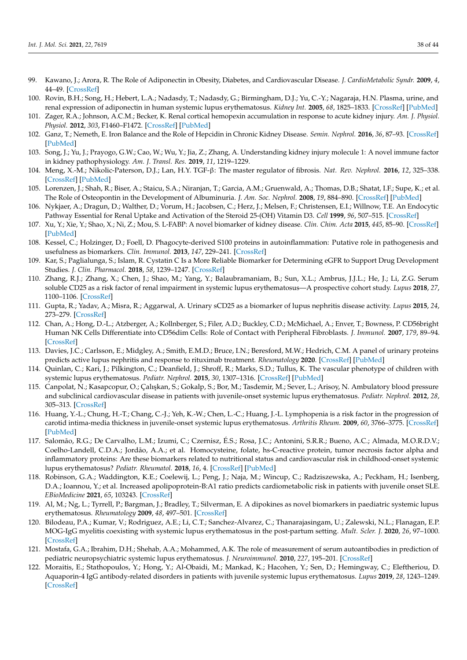- <span id="page-37-0"></span>99. Kawano, J.; Arora, R. The Role of Adiponectin in Obesity, Diabetes, and Cardiovascular Disease. *J. CardioMetabolic Syndr.* **2009**, *4*, 44–49. [\[CrossRef\]](http://doi.org/10.1111/j.1559-4572.2008.00030.x)
- <span id="page-37-1"></span>100. Rovin, B.H.; Song, H.; Hebert, L.A.; Nadasdy, T.; Nadasdy, G.; Birmingham, D.J.; Yu, C.-Y.; Nagaraja, H.N. Plasma, urine, and renal expression of adiponectin in human systemic lupus erythematosus. *Kidney Int.* **2005**, *68*, 1825–1833. [\[CrossRef\]](http://doi.org/10.1111/j.1523-1755.2005.00601.x) [\[PubMed\]](http://www.ncbi.nlm.nih.gov/pubmed/16164660)
- <span id="page-37-2"></span>101. Zager, R.A.; Johnson, A.C.M.; Becker, K. Renal cortical hemopexin accumulation in response to acute kidney injury. *Am. J. Physiol. Physiol.* **2012**, *303*, F1460–F1472. [\[CrossRef\]](http://doi.org/10.1152/ajprenal.00426.2012) [\[PubMed\]](http://www.ncbi.nlm.nih.gov/pubmed/22993068)
- <span id="page-37-3"></span>102. Ganz, T.; Nemeth, E. Iron Balance and the Role of Hepcidin in Chronic Kidney Disease. *Semin. Nephrol.* **2016**, *36*, 87–93. [\[CrossRef\]](http://doi.org/10.1016/j.semnephrol.2016.02.001) [\[PubMed\]](http://www.ncbi.nlm.nih.gov/pubmed/27236128)
- <span id="page-37-4"></span>103. Song, J.; Yu, J.; Prayogo, G.W.; Cao, W.; Wu, Y.; Jia, Z.; Zhang, A. Understanding kidney injury molecule 1: A novel immune factor in kidney pathophysiology. *Am. J. Transl. Res.* **2019**, *11*, 1219–1229.
- <span id="page-37-15"></span><span id="page-37-5"></span>104. Meng, X.-M.; Nikolic-Paterson, D.J.; Lan, H.Y. TGF-β: The master regulator of fibrosis. *Nat. Rev. Nephrol.* **2016**, *12*, 325–338. [\[CrossRef\]](http://doi.org/10.1038/nrneph.2016.48) [\[PubMed\]](http://www.ncbi.nlm.nih.gov/pubmed/27108839)
- <span id="page-37-16"></span><span id="page-37-6"></span>105. Lorenzen, J.; Shah, R.; Biser, A.; Staicu, S.A.; Niranjan, T.; Garcia, A.M.; Gruenwald, A.; Thomas, D.B.; Shatat, I.F.; Supe, K.; et al. The Role of Osteopontin in the Development of Albuminuria. *J. Am. Soc. Nephrol.* **2008**, *19*, 884–890. [\[CrossRef\]](http://doi.org/10.1681/ASN.2007040486) [\[PubMed\]](http://www.ncbi.nlm.nih.gov/pubmed/18443355)
- <span id="page-37-7"></span>106. Nykjaer, A.; Dragun, D.; Walther, D.; Vorum, H.; Jacobsen, C.; Herz, J.; Melsen, F.; Christensen, E.I.; Willnow, T.E. An Endocytic Pathway Essential for Renal Uptake and Activation of the Steroid 25-(OH) Vitamin D3. *Cell* **1999**, *96*, 507–515. [\[CrossRef\]](http://doi.org/10.1016/S0092-8674(00)80655-8)
- <span id="page-37-17"></span><span id="page-37-8"></span>107. Xu, Y.; Xie, Y.; Shao, X.; Ni, Z.; Mou, S. L-FABP: A novel biomarker of kidney disease. *Clin. Chim. Acta* **2015**, *445*, 85–90. [\[CrossRef\]](http://doi.org/10.1016/j.cca.2015.03.017) [\[PubMed\]](http://www.ncbi.nlm.nih.gov/pubmed/25797895)
- <span id="page-37-18"></span><span id="page-37-9"></span>108. Kessel, C.; Holzinger, D.; Foell, D. Phagocyte-derived S100 proteins in autoinflammation: Putative role in pathogenesis and usefulness as biomarkers. *Clin. Immunol.* **2013**, *147*, 229–241. [\[CrossRef\]](http://doi.org/10.1016/j.clim.2012.11.008)
- <span id="page-37-10"></span>109. Kar, S.; Paglialunga, S.; Islam, R. Cystatin C Is a More Reliable Biomarker for Determining eGFR to Support Drug Development Studies. *J. Clin. Pharmacol.* **2018**, *58*, 1239–1247. [\[CrossRef\]](http://doi.org/10.1002/jcph.1132)
- <span id="page-37-19"></span><span id="page-37-11"></span>110. Zhang, R.J.; Zhang, X.; Chen, J.; Shao, M.; Yang, Y.; Balaubramaniam, B.; Sun, X.L.; Ambrus, J.J.L.; He, J.; Li, Z.G. Serum soluble CD25 as a risk factor of renal impairment in systemic lupus erythematosus—A prospective cohort study. *Lupus* **2018**, *27*, 1100–1106. [\[CrossRef\]](http://doi.org/10.1177/0961203318760993)
- <span id="page-37-20"></span><span id="page-37-12"></span>111. Gupta, R.; Yadav, A.; Misra, R.; Aggarwal, A. Urinary sCD25 as a biomarker of lupus nephritis disease activity. *Lupus* **2015**, *24*, 273–279. [\[CrossRef\]](http://doi.org/10.1177/0961203314555174)
- <span id="page-37-21"></span><span id="page-37-13"></span>112. Chan, A.; Hong, D.-L.; Atzberger, A.; Kollnberger, S.; Filer, A.D.; Buckley, C.D.; McMichael, A.; Enver, T.; Bowness, P. CD56bright Human NK Cells Differentiate into CD56dim Cells: Role of Contact with Peripheral Fibroblasts. *J. Immunol.* **2007**, *179*, 89–94. [\[CrossRef\]](http://doi.org/10.4049/jimmunol.179.1.89)
- <span id="page-37-22"></span><span id="page-37-14"></span>113. Davies, J.C.; Carlsson, E.; Midgley, A.; Smith, E.M.D.; Bruce, I.N.; Beresford, M.W.; Hedrich, C.M. A panel of urinary proteins predicts active lupus nephritis and response to rituximab treatment. *Rheumatology* **2020**. [\[CrossRef\]](http://doi.org/10.1093/rheumatology/keaa851) [\[PubMed\]](http://www.ncbi.nlm.nih.gov/pubmed/33313921)
- <span id="page-37-24"></span><span id="page-37-23"></span>114. Quinlan, C.; Kari, J.; Pilkington, C.; Deanfield, J.; Shroff, R.; Marks, S.D.; Tullus, K. The vascular phenotype of children with systemic lupus erythematosus. *Pediatr. Nephrol.* **2015**, *30*, 1307–1316. [\[CrossRef\]](http://doi.org/10.1007/s00467-015-3059-9) [\[PubMed\]](http://www.ncbi.nlm.nih.gov/pubmed/26001699)
- <span id="page-37-25"></span>115. Canpolat, N.; Kasapcopur, O.; Çalışkan, S.; Gokalp, S.; Bor, M.; Tasdemir, M.; Sever, L.; Arisoy, N. Ambulatory blood pressure and subclinical cardiovascular disease in patients with juvenile-onset systemic lupus erythematosus. *Pediatr. Nephrol.* **2012**, *28*, 305–313. [\[CrossRef\]](http://doi.org/10.1007/s00467-012-2317-3)
- <span id="page-37-26"></span>116. Huang, Y.-L.; Chung, H.-T.; Chang, C.-J.; Yeh, K.-W.; Chen, L.-C.; Huang, J.-L. Lymphopenia is a risk factor in the progression of carotid intima-media thickness in juvenile-onset systemic lupus erythematosus. *Arthritis Rheum.* **2009**, *60*, 3766–3775. [\[CrossRef\]](http://doi.org/10.1002/art.25019) [\[PubMed\]](http://www.ncbi.nlm.nih.gov/pubmed/19950269)
- <span id="page-37-27"></span>117. Salomão, R.G.; De Carvalho, L.M.; Izumi, C.; Czernisz, É.S.; Rosa, J.C.; Antonini, S.R.R.; Bueno, A.C.; Almada, M.O.R.D.V.; Coelho-Landell, C.D.A.; Jordão, A.A.; et al. Homocysteine, folate, hs-C-reactive protein, tumor necrosis factor alpha and inflammatory proteins: Are these biomarkers related to nutritional status and cardiovascular risk in childhood-onset systemic lupus erythematosus? *Pediatr. Rheumatol.* **2018**, *16*, 4. [\[CrossRef\]](http://doi.org/10.1186/s12969-017-0220-y) [\[PubMed\]](http://www.ncbi.nlm.nih.gov/pubmed/29316941)
- <span id="page-37-28"></span>118. Robinson, G.A.; Waddington, K.E.; Coelewij, L.; Peng, J.; Naja, M.; Wincup, C.; Radziszewska, A.; Peckham, H.; Isenberg, D.A.; Ioannou, Y.; et al. Increased apolipoprotein-B:A1 ratio predicts cardiometabolic risk in patients with juvenile onset SLE. *EBioMedicine* **2021**, *65*, 103243. [\[CrossRef\]](http://doi.org/10.1016/j.ebiom.2021.103243)
- <span id="page-37-29"></span>119. Al, M.; Ng, L.; Tyrrell, P.; Bargman, J.; Bradley, T.; Silverman, E. A dipokines as novel biomarkers in paediatric systemic lupus erythematosus. *Rheumatology* **2009**, *48*, 497–501. [\[CrossRef\]](http://doi.org/10.1093/rheumatology/kep030)
- <span id="page-37-32"></span>120. Bilodeau, P.A.; Kumar, V.; Rodriguez, A.E.; Li, C.T.; Sanchez-Alvarez, C.; Thanarajasingam, U.; Zalewski, N.L.; Flanagan, E.P. MOG-IgG myelitis coexisting with systemic lupus erythematosus in the post-partum setting. *Mult. Scler. J.* **2020**, *26*, 97–1000. [\[CrossRef\]](http://doi.org/10.1177/1352458519872895)
- <span id="page-37-30"></span>121. Mostafa, G.A.; Ibrahim, D.H.; Shehab, A.A.; Mohammed, A.K. The role of measurement of serum autoantibodies in prediction of pediatric neuropsychiatric systemic lupus erythematosus. *J. Neuroimmunol.* **2010**, *227*, 195–201. [\[CrossRef\]](http://doi.org/10.1016/j.jneuroim.2010.07.014)
- <span id="page-37-31"></span>122. Moraitis, E.; Stathopoulos, Y.; Hong, Y.; Al-Obaidi, M.; Mankad, K.; Hacohen, Y.; Sen, D.; Hemingway, C.; Eleftheriou, D. Aquaporin-4 IgG antibody-related disorders in patients with juvenile systemic lupus erythematosus. *Lupus* **2019**, *28*, 1243–1249. [\[CrossRef\]](http://doi.org/10.1177/0961203319855125)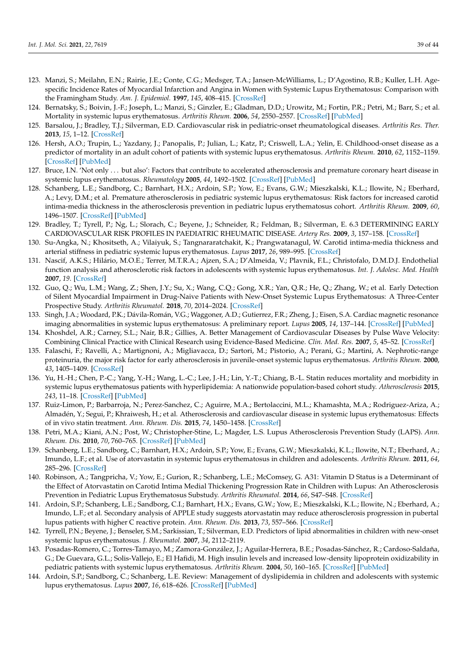- <span id="page-38-0"></span>123. Manzi, S.; Meilahn, E.N.; Rairie, J.E.; Conte, C.G.; Medsger, T.A.; Jansen-McWilliams, L.; D'Agostino, R.B.; Kuller, L.H. Agespecific Incidence Rates of Myocardial Infarction and Angina in Women with Systemic Lupus Erythematosus: Comparison with the Framingham Study. *Am. J. Epidemiol.* **1997**, *145*, 408–415. [\[CrossRef\]](http://doi.org/10.1093/oxfordjournals.aje.a009122)
- <span id="page-38-1"></span>124. Bernatsky, S.; Boivin, J.-F.; Joseph, L.; Manzi, S.; Ginzler, E.; Gladman, D.D.; Urowitz, M.; Fortin, P.R.; Petri, M.; Barr, S.; et al. Mortality in systemic lupus erythematosus. *Arthritis Rheum.* **2006**, *54*, 2550–2557. [\[CrossRef\]](http://doi.org/10.1002/art.21955) [\[PubMed\]](http://www.ncbi.nlm.nih.gov/pubmed/16868977)
- <span id="page-38-2"></span>125. Barsalou, J.; Bradley, T.J.; Silverman, E.D. Cardiovascular risk in pediatric-onset rheumatological diseases. *Arthritis Res. Ther.* **2013**, *15*, 1–12. [\[CrossRef\]](http://doi.org/10.1186/ar4212)
- <span id="page-38-3"></span>126. Hersh, A.O.; Trupin, L.; Yazdany, J.; Panopalis, P.; Julian, L.; Katz, P.; Criswell, L.A.; Yelin, E. Childhood-onset disease as a predictor of mortality in an adult cohort of patients with systemic lupus erythematosus. *Arthritis Rheum.* **2010**, *62*, 1152–1159. [\[CrossRef\]](http://doi.org/10.1002/acr.20179) [\[PubMed\]](http://www.ncbi.nlm.nih.gov/pubmed/20235215)
- <span id="page-38-4"></span>127. Bruce, I.N. 'Not only . . . but also': Factors that contribute to accelerated atherosclerosis and premature coronary heart disease in systemic lupus erythematosus. *Rheumatology* **2005**, *44*, 1492–1502. [\[CrossRef\]](http://doi.org/10.1093/rheumatology/kei142) [\[PubMed\]](http://www.ncbi.nlm.nih.gov/pubmed/16234277)
- <span id="page-38-5"></span>128. Schanberg, L.E.; Sandborg, C.; Barnhart, H.X.; Ardoin, S.P.; Yow, E.; Evans, G.W.; Mieszkalski, K.L.; Ilowite, N.; Eberhard, A.; Levy, D.M.; et al. Premature atherosclerosis in pediatric systemic lupus erythematosus: Risk factors for increased carotid intima-media thickness in the atherosclerosis prevention in pediatric lupus erythematosus cohort. *Arthritis Rheum.* **2009**, *60*, 1496–1507. [\[CrossRef\]](http://doi.org/10.1002/art.24469) [\[PubMed\]](http://www.ncbi.nlm.nih.gov/pubmed/19404953)
- <span id="page-38-6"></span>129. Bradley, T.; Tyrell, P.; Ng, L.; Slorach, C.; Beyene, J.; Schneider, R.; Feldman, B.; Silverman, E. 6.3 DETERMINING EARLY CARDIOVASCULAR RISK PROFILES IN PAEDIATRIC RHEUMATIC DISEASE. *Artery Res.* **2009**, *3*, 157–158. [\[CrossRef\]](http://doi.org/10.1016/j.artres.2009.10.168)
- <span id="page-38-7"></span>130. Su-Angka, N.; Khositseth, A.; Vilaiyuk, S.; Tangnararatchakit, K.; Prangwatanagul, W. Carotid intima-media thickness and arterial stiffness in pediatric systemic lupus erythematosus. *Lupus* **2017**, *26*, 989–995. [\[CrossRef\]](http://doi.org/10.1177/0961203317692434)
- <span id="page-38-8"></span>131. Nascif, A.K.S.; Hilário, M.O.E.; Terrer, M.T.R.A.; Ajzen, S.A.; D'Almeida, V.; Plavnik, F.L.; Christofalo, D.M.D.J. Endothelial function analysis and atherosclerotic risk factors in adolescents with systemic lupus erythematosus. *Int. J. Adolesc. Med. Health* **2007**, *19*. [\[CrossRef\]](http://doi.org/10.1515/IJAMH.2007.19.4.497)
- <span id="page-38-9"></span>132. Guo, Q.; Wu, L.M.; Wang, Z.; Shen, J.Y.; Su, X.; Wang, C.Q.; Gong, X.R.; Yan, Q.R.; He, Q.; Zhang, W.; et al. Early Detection of Silent Myocardial Impairment in Drug-Naive Patients with New-Onset Systemic Lupus Erythematosus: A Three-Center Prospective Study. *Arthritis Rheumatol.* **2018**, *70*, 2014–2024. [\[CrossRef\]](http://doi.org/10.1002/art.40671)
- <span id="page-38-10"></span>133. Singh, J.A.; Woodard, P.K.; Dávila-Román, V.G.; Waggoner, A.D.; Gutierrez, F.R.; Zheng, J.; Eisen, S.A. Cardiac magnetic resonance imaging abnormalities in systemic lupus erythematosus: A preliminary report. *Lupus* **2005**, *14*, 137–144. [\[CrossRef\]](http://doi.org/10.1191/0961203305lu2050oa) [\[PubMed\]](http://www.ncbi.nlm.nih.gov/pubmed/15751818)
- <span id="page-38-11"></span>134. Khoshdel, A.R.; Carney, S.L.; Nair, B.R.; Gillies, A. Better Management of Cardiovascular Diseases by Pulse Wave Velocity: Combining Clinical Practice with Clinical Research using Evidence-Based Medicine. *Clin. Med. Res.* **2007**, *5*, 45–52. [\[CrossRef\]](http://doi.org/10.3121/cmr.2007.708)
- <span id="page-38-12"></span>135. Falaschi, F.; Ravelli, A.; Martignoni, A.; Migliavacca, D.; Sartori, M.; Pistorio, A.; Perani, G.; Martini, A. Nephrotic-range proteinuria, the major risk factor for early atherosclerosis in juvenile-onset systemic lupus erythematosus. *Arthritis Rheum.* **2000**, *43*, 1405–1409. [\[CrossRef\]](http://doi.org/10.1002/1529-0131(200006)43:6<1405::AID-ANR26>3.0.CO;2-V)
- <span id="page-38-13"></span>136. Yu, H.-H.; Chen, P.-C.; Yang, Y.-H.; Wang, L.-C.; Lee, J.-H.; Lin, Y.-T.; Chiang, B.-L. Statin reduces mortality and morbidity in systemic lupus erythematosus patients with hyperlipidemia: A nationwide population-based cohort study. *Atherosclerosis* **2015**, *243*, 11–18. [\[CrossRef\]](http://doi.org/10.1016/j.atherosclerosis.2015.08.030) [\[PubMed\]](http://www.ncbi.nlm.nih.gov/pubmed/26342937)
- <span id="page-38-14"></span>137. Ruiz-Limon, P.; Barbarroja, N.; Perez-Sanchez, C.; Aguirre, M.A.; Bertolaccini, M.L.; Khamashta, M.A.; Rodriguez-Ariza, A.; Almadén, Y.; Segui, P.; Khraiwesh, H.; et al. Atherosclerosis and cardiovascular disease in systemic lupus erythematosus: Effects of in vivo statin treatment. *Ann. Rheum. Dis.* **2015**, *74*, 1450–1458. [\[CrossRef\]](http://doi.org/10.1136/annrheumdis-2013-204351)
- <span id="page-38-15"></span>138. Petri, M.A.; Kiani, A.N.; Post, W.; Christopher-Stine, L.; Magder, L.S. Lupus Atherosclerosis Prevention Study (LAPS). *Ann. Rheum. Dis.* **2010**, *70*, 760–765. [\[CrossRef\]](http://doi.org/10.1136/ard.2010.136762) [\[PubMed\]](http://www.ncbi.nlm.nih.gov/pubmed/21177297)
- <span id="page-38-16"></span>139. Schanberg, L.E.; Sandborg, C.; Barnhart, H.X.; Ardoin, S.P.; Yow, E.; Evans, G.W.; Mieszkalski, K.L.; Ilowite, N.T.; Eberhard, A.; Imundo, L.F.; et al. Use of atorvastatin in systemic lupus erythematosus in children and adolescents. *Arthritis Rheum.* **2011**, *64*, 285–296. [\[CrossRef\]](http://doi.org/10.1002/art.30645)
- <span id="page-38-17"></span>140. Robinson, A.; Tangpricha, V.; Yow, E.; Gurion, R.; Schanberg, L.E.; McComsey, G. A31: Vitamin D Status is a Determinant of the Effect of Atorvastatin on Carotid Intima Medial Thickening Progression Rate in Children with Lupus: An Atherosclerosis Prevention in Pediatric Lupus Erythematosus Substudy. *Arthritis Rheumatol.* **2014**, *66*, S47–S48. [\[CrossRef\]](http://doi.org/10.1002/art.38447)
- <span id="page-38-18"></span>141. Ardoin, S.P.; Schanberg, L.E.; Sandborg, C.I.; Barnhart, H.X.; Evans, G.W.; Yow, E.; Mieszkalski, K.L.; Ilowite, N.; Eberhard, A.; Imundo, L.F.; et al. Secondary analysis of APPLE study suggests atorvastatin may reduce atherosclerosis progression in pubertal lupus patients with higher C reactive protein. *Ann. Rheum. Dis.* **2013**, *73*, 557–566. [\[CrossRef\]](http://doi.org/10.1136/annrheumdis-2012-202315)
- <span id="page-38-19"></span>142. Tyrrell, P.N.; Beyene, J.; Benseler, S.M.; Sarkissian, T.; Silverman, E.D. Predictors of lipid abnormalities in children with new-onset systemic lupus erythematosus. *J. Rheumatol.* **2007**, *34*, 2112–2119.
- 143. Posadas-Romero, C.; Torres-Tamayo, M.; Zamora-González, J.; Aguilar-Herrera, B.E.; Posadas-Sánchez, R.; Cardoso-Saldaña, G.; De Guevara, G.L.; Solis-Vallejo, E.; El Hafidi, M. High insulin levels and increased low-density lipoprotein oxidizability in pediatric patients with systemic lupus erythematosus. *Arthritis Rheum.* **2004**, *50*, 160–165. [\[CrossRef\]](http://doi.org/10.1002/art.11472) [\[PubMed\]](http://www.ncbi.nlm.nih.gov/pubmed/14730612)
- 144. Ardoin, S.P.; Sandborg, C.; Schanberg, L.E. Review: Management of dyslipidemia in children and adolescents with systemic lupus erythematosus. *Lupus* **2007**, *16*, 618–626. [\[CrossRef\]](http://doi.org/10.1177/0961203307079566) [\[PubMed\]](http://www.ncbi.nlm.nih.gov/pubmed/17711898)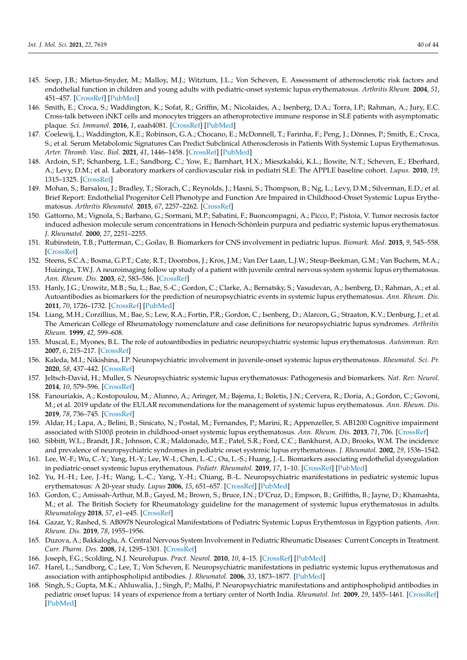- <span id="page-39-0"></span>145. Soep, J.B.; Mietus-Snyder, M.; Malloy, M.J.; Witztum, J.L.; Von Scheven, E. Assessment of atherosclerotic risk factors and endothelial function in children and young adults with pediatric-onset systemic lupus erythematosus. *Arthritis Rheum.* **2004**, *51*, 451–457. [\[CrossRef\]](http://doi.org/10.1002/art.20392) [\[PubMed\]](http://www.ncbi.nlm.nih.gov/pubmed/15188333)
- <span id="page-39-1"></span>146. Smith, E.; Croca, S.; Waddington, K.; Sofat, R.; Griffin, M.; Nicolaides, A.; Isenberg, D.A.; Torra, I.P.; Rahman, A.; Jury, E.C. Cross-talk between iNKT cells and monocytes triggers an atheroprotective immune response in SLE patients with asymptomatic plaque. *Sci. Immunol.* **2016**, *1*, eaah4081. [\[CrossRef\]](http://doi.org/10.1126/sciimmunol.aah4081) [\[PubMed\]](http://www.ncbi.nlm.nih.gov/pubmed/28783690)
- <span id="page-39-2"></span>147. Coelewij, L.; Waddington, K.E.; Robinson, G.A.; Chocano, E.; McDonnell, T.; Farinha, F.; Peng, J.; Dönnes, P.; Smith, E.; Croca, S.; et al. Serum Metabolomic Signatures Can Predict Subclinical Atherosclerosis in Patients With Systemic Lupus Erythematosus. *Arter. Thromb. Vasc. Biol.* **2021**, *41*, 1446–1458. [\[CrossRef\]](http://doi.org/10.1161/ATVBAHA.120.315321) [\[PubMed\]](http://www.ncbi.nlm.nih.gov/pubmed/33535791)
- <span id="page-39-3"></span>148. Ardoin, S.P.; Schanberg, L.E.; Sandborg, C.; Yow, E.; Barnhart, H.X.; Mieszkalski, K.L.; Ilowite, N.T.; Scheven, E.; Eberhard, A.; Levy, D.M.; et al. Laboratory markers of cardiovascular risk in pediatri SLE: The APPLE baseline cohort. *Lupus.* **2010**, *19*, 1315–1325. [\[CrossRef\]](http://doi.org/10.1177/0961203310373937)
- <span id="page-39-4"></span>149. Mohan, S.; Barsalou, J.; Bradley, T.; Slorach, C.; Reynolds, J.; Hasni, S.; Thompson, B.; Ng, L.; Levy, D.M.; Silverman, E.D.; et al. Brief Report: Endothelial Progenitor Cell Phenotype and Function Are Impaired in Childhood-Onset Systemic Lupus Erythematosus. *Arthritis Rheumatol.* **2015**, *67*, 2257–2262. [\[CrossRef\]](http://doi.org/10.1002/art.39149)
- <span id="page-39-5"></span>150. Gattorno, M.; Vignola, S.; Barbano, G.; Sormani, M.P.; Sabatini, F.; Buoncompagni, A.; Picco, P.; Pistoia, V. Tumor necrosis factor induced adhesion molecule serum concentrations in Henoch-Schönlein purpura and pediatric systemic lupus erythematosus. *J. Rheumatol.* **2000**, *27*, 2251–2255.
- <span id="page-39-6"></span>151. Rubinstein, T.B.; Putterman, C.; Goilav, B. Biomarkers for CNS involvement in pediatric lupus. *Biomark. Med.* **2015**, *9*, 545–558. [\[CrossRef\]](http://doi.org/10.2217/bmm.15.26)
- <span id="page-39-7"></span>152. Steens, S.C.A.; Bosma, G.P.T.; Cate, R.T.; Doornbos, J.; Kros, J.M.; Van Der Laan, L.J.W.; Steup-Beekman, G.M.; Van Buchem, M.A.; Huizinga, T.W.J. A neuroimaging follow up study of a patient with juvenile central nervous system systemic lupus erythematosus. *Ann. Rheum. Dis.* **2003**, *62*, 583–586. [\[CrossRef\]](http://doi.org/10.1136/ard.62.6.583)
- <span id="page-39-8"></span>153. Hanly, J.G.; Urowitz, M.B.; Su, L.; Bae, S.-C.; Gordon, C.; Clarke, A.; Bernatsky, S.; Vasudevan, A.; Isenberg, D.; Rahman, A.; et al. Autoantibodies as biomarkers for the prediction of neuropsychiatric events in systemic lupus erythematosus. *Ann. Rheum. Dis.* **2011**, *70*, 1726–1732. [\[CrossRef\]](http://doi.org/10.1136/ard.2010.148502) [\[PubMed\]](http://www.ncbi.nlm.nih.gov/pubmed/21893582)
- 154. Liang, M.H.; Corzillius, M.; Bae, S.; Lew, R.A.; Fortin, P.R.; Gordon, C.; Isenberg, D.; Alarcon, G.; Straaton, K.V.; Denburg, J.; et al. The American College of Rheumatology nomenclature and case definitions for neuropsychiatric lupus syndromes. *Arthritis Rheum.* **1999**, *42*, 599–608.
- <span id="page-39-12"></span>155. Muscal, E.; Myones, B.L. The role of autoantibodies in pediatric neuropsychiatric systemic lupus erythematosus. *Autoimmun. Rev.* **2007**, *6*, 215–217. [\[CrossRef\]](http://doi.org/10.1016/j.autrev.2006.08.003)
- <span id="page-39-9"></span>156. Kaleda, M.I.; Nikishina, I.P. Neuropsychiatric involvement in juvenile-onset systemic lupus erythematosus. *Rheumatol. Sci. Pr.* **2020**, *58*, 437–442. [\[CrossRef\]](http://doi.org/10.47360/1995-4484-2020-437-442)
- <span id="page-39-10"></span>157. Jeltsch-David, H.; Muller, S. Neuropsychiatric systemic lupus erythematosus: Pathogenesis and biomarkers. *Nat. Rev. Neurol.* **2014**, *10*, 579–596. [\[CrossRef\]](http://doi.org/10.1038/nrneurol.2014.148)
- <span id="page-39-11"></span>158. Fanouriakis, A.; Kostopoulou, M.; Alunno, A.; Aringer, M.; Bajema, I.; Boletis, J.N.; Cervera, R.; Doria, A.; Gordon, C.; Govoni, M.; et al. 2019 update of the EULAR recommendations for the management of systemic lupus erythematosus. *Ann. Rheum. Dis.* **2019**, *78*, 736–745. [\[CrossRef\]](http://doi.org/10.1136/annrheumdis-2019-215089)
- <span id="page-39-13"></span>159. Aldar, H.; Lapa, A.; Belini, B.; Sinicato, N.; Postal, M.; Fernandes, P.; Marini, R.; Appenzeller, S. AB1200 Cognitive impairment associated with S100β protein in childhood-onset systemic lupus erythematosus. *Ann. Rheum. Dis.* **2013**, *71*, 706. [\[CrossRef\]](http://doi.org/10.1136/annrheumdis-2012-eular.1198)
- 160. Sibbitt, W.L.; Brandt, J.R.; Johnson, C.R.; Maldonado, M.E.; Patel, S.R.; Ford, C.C.; Bankhurst, A.D.; Brooks, W.M. The incidence and prevalence of neuropsychiatric syndromes in pediatric onset systemic lupus erythematosus. *J. Rheumatol.* **2002**, *29*, 1536–1542.
- <span id="page-39-14"></span>161. Lee, W.-F.; Wu, C.-Y.; Yang, H.-Y.; Lee, W.-I.; Chen, L.-C.; Ou, L.-S.; Huang, J.-L. Biomarkers associating endothelial dysregulation in pediatric-onset systemic lupus erythematous. *Pediatr. Rheumatol.* **2019**, *17*, 1–10. [\[CrossRef\]](http://doi.org/10.1186/s12969-019-0369-7) [\[PubMed\]](http://www.ncbi.nlm.nih.gov/pubmed/31651352)
- <span id="page-39-19"></span>162. Yu, H.-H.; Lee, J.-H.; Wang, L.-C.; Yang, Y.-H.; Chiang, B.-L. Neuropsychiatric manifestations in pediatric systemic lupus erythematosus: A 20-year study. *Lupus* **2006**, *15*, 651–657. [\[CrossRef\]](http://doi.org/10.1177/0961203306070990) [\[PubMed\]](http://www.ncbi.nlm.nih.gov/pubmed/17120591)
- 163. Gordon, C.; Amissah-Arthur, M.B.; Gayed, M.; Brown, S.; Bruce, I.N.; D'Cruz, D.; Empson, B.; Griffiths, B.; Jayne, D.; Khamashta, M.; et al. The British Society for Rheumatology guideline for the management of systemic lupus erythematosus in adults. *Rheumatology* **2018**, *57*, e1–e45. [\[CrossRef\]](http://doi.org/10.1093/rheumatology/kex286)
- 164. Gazar, Y.; Rashed, S. AB0978 Neurological Manifestations of Pediatric Systemic Lupus Erythemtosus in Egyption patients. *Ann. Rheum. Dis.* **2019**, *78*, 1955–1956.
- <span id="page-39-15"></span>165. Duzova, A.; Bakkaloglu, A. Central Nervous System Involvement in Pediatric Rheumatic Diseases: Current Concepts in Treatment. *Curr. Pharm. Des.* **2008**, *14*, 1295–1301. [\[CrossRef\]](http://doi.org/10.2174/138161208799316339)
- <span id="page-39-16"></span>166. Joseph, F.G.; Scolding, N.J. Neurolupus. *Pract. Neurol.* **2010**, *10*, 4–15. [\[CrossRef\]](http://doi.org/10.1136/jnnp.2009.200071) [\[PubMed\]](http://www.ncbi.nlm.nih.gov/pubmed/20130291)
- <span id="page-39-17"></span>167. Harel, L.; Sandborg, C.; Lee, T.; Von Scheven, E. Neuropsychiatric manifestations in pediatric systemic lupus erythematosus and association with antiphospholipid antibodies. *J. Rheumatol.* **2006**, *33*, 1873–1877. [\[PubMed\]](http://www.ncbi.nlm.nih.gov/pubmed/16845706)
- <span id="page-39-18"></span>168. Singh, S.; Gupta, M.K.; Ahluwalia, J.; Singh, P.; Malhi, P. Neuropsychiatric manifestations and antiphospholipid antibodies in pediatric onset lupus: 14 years of experience from a tertiary center of North India. *Rheumatol. Int.* **2009**, *29*, 1455–1461. [\[CrossRef\]](http://doi.org/10.1007/s00296-009-0887-6) [\[PubMed\]](http://www.ncbi.nlm.nih.gov/pubmed/19306097)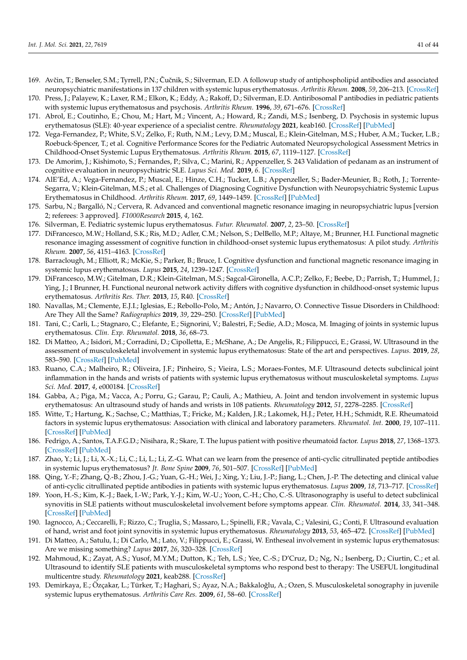- <span id="page-40-0"></span>169. Avčin, T.; Benseler, S.M.; Tyrrell, P.N.; Čučnik, S.; Silverman, E.D. A followup study of antiphospholipid antibodies and associated neuropsychiatric manifestations in 137 children with systemic lupus erythematosus. *Arthritis Rheum.* **2008**, *59*, 206–213. [\[CrossRef\]](http://doi.org/10.1002/art.23334)
- <span id="page-40-1"></span>170. Press, J.; Palayew, K.; Laxer, R.M.; Elkon, K.; Eddy, A.; Rakoff, D.; Silverman, E.D. Antiribosomal P antibodies in pediatric patients with systemic lupus erythematosus and psychosis. *Arthritis Rheum.* **1996**, *39*, 671–676. [\[CrossRef\]](http://doi.org/10.1002/art.1780390420)
- <span id="page-40-2"></span>171. Abrol, E.; Coutinho, E.; Chou, M.; Hart, M.; Vincent, A.; Howard, R.; Zandi, M.S.; Isenberg, D. Psychosis in systemic lupus erythematosus (SLE): 40-year experience of a specialist centre. *Rheumatology* **2021**, keab160. [\[CrossRef\]](http://doi.org/10.1093/rheumatology/keab160) [\[PubMed\]](http://www.ncbi.nlm.nih.gov/pubmed/33629101)
- <span id="page-40-3"></span>172. Vega-Fernandez, P.; White, S.V.; Zelko, F.; Ruth, N.M.; Levy, D.M.; Muscal, E.; Klein-Gitelman, M.S.; Huber, A.M.; Tucker, L.B.; Roebuck-Spencer, T.; et al. Cognitive Performance Scores for the Pediatric Automated Neuropsychological Assessment Metrics in Childhood-Onset Systemic Lupus Erythematosus. *Arthritis Rheum.* **2015**, *67*, 1119–1127. [\[CrossRef\]](http://doi.org/10.1002/acr.22571)
- <span id="page-40-4"></span>173. De Amorim, J.; Kishimoto, S.; Fernandes, P.; Silva, C.; Marini, R.; Appenzeller, S. 243 Validation of pedanam as an instrument of cognitive evaluation in neuropsychiatric SLE. *Lupus Sci. Med.* **2019**, *6*. [\[CrossRef\]](http://doi.org/10.1136/lupus-2019-lsm.243)
- <span id="page-40-5"></span>174. AlE'Ed, A.; Vega-Fernandez, P.; Muscal, E.; Hinze, C.H.; Tucker, L.B.; Appenzeller, S.; Bader-Meunier, B.; Roth, J.; Torrente-Segarra, V.; Klein-Gitelman, M.S.; et al. Challenges of Diagnosing Cognitive Dysfunction with Neuropsychiatric Systemic Lupus Erythematosus in Childhood. *Arthritis Rheum.* **2017**, *69*, 1449–1459. [\[CrossRef\]](http://doi.org/10.1002/acr.23163) [\[PubMed\]](http://www.ncbi.nlm.nih.gov/pubmed/27992660)
- <span id="page-40-6"></span>175. Sarbu, N.; Bargalló, N.; Cervera, R. Advanced and conventional magnetic resonance imaging in neuropsychiatric lupus [version 2; referees: 3 approved]. *F1000Research* **2015**, *4*, 162.
- <span id="page-40-7"></span>176. Silverman, E. Pediatric systemic lupus erythematosus. *Futur. Rheumatol.* **2007**, *2*, 23–50. [\[CrossRef\]](http://doi.org/10.2217/17460816.2.1.23)
- <span id="page-40-8"></span>177. DiFrancesco, M.W.; Holland, S.K.; Ris, M.D.; Adler, C.M.; Nelson, S.; DelBello, M.P.; Altaye, M.; Brunner, H.I. Functional magnetic resonance imaging assessment of cognitive function in childhood-onset systemic lupus erythematosus: A pilot study. *Arthritis Rheum.* **2007**, *56*, 4151–4163. [\[CrossRef\]](http://doi.org/10.1002/art.23132)
- <span id="page-40-9"></span>178. Barraclough, M.; Elliott, R.; McKie, S.; Parker, B.; Bruce, I. Cognitive dysfunction and functional magnetic resonance imaging in systemic lupus erythematosus. *Lupus* **2015**, *24*, 1239–1247. [\[CrossRef\]](http://doi.org/10.1177/0961203315593819)
- <span id="page-40-10"></span>179. DiFrancesco, M.W.; Gitelman, D.R.; Klein-Gitelman, M.S.; Sagcal-Gironella, A.C.P.; Zelko, F.; Beebe, D.; Parrish, T.; Hummel, J.; Ying, J.; I Brunner, H. Functional neuronal network activity differs with cognitive dysfunction in childhood-onset systemic lupus erythematosus. *Arthritis Res. Ther.* **2013**, *15*, R40. [\[CrossRef\]](http://doi.org/10.1186/ar4197)
- <span id="page-40-11"></span>180. Navallas, M.; Clemente, E.J.I.; Iglesias, E.; Rebollo-Polo, M.; Antón, J.; Navarro, O. Connective Tissue Disorders in Childhood: Are They All the Same? *Radiographics* **2019**, *39*, 229–250. [\[CrossRef\]](http://doi.org/10.1148/rg.2019180078) [\[PubMed\]](http://www.ncbi.nlm.nih.gov/pubmed/30620697)
- 181. Tani, C.; Carli, L.; Stagnaro, C.; Elefante, E.; Signorini, V.; Balestri, F.; Sedie, A.D.; Mosca, M. Imaging of joints in systemic lupus erythematosus. *Clin. Exp. Rheumatol.* **2018**, *36*, 68–73.
- 182. Di Matteo, A.; Isidori, M.; Corradini, D.; Cipolletta, E.; McShane, A.; De Angelis, R.; Filippucci, E.; Grassi, W. Ultrasound in the assessment of musculoskeletal involvement in systemic lupus erythematosus: State of the art and perspectives. *Lupus.* **2019**, *28*, 583–590. [\[CrossRef\]](http://doi.org/10.1177/0961203319834671) [\[PubMed\]](http://www.ncbi.nlm.nih.gov/pubmed/30841789)
- <span id="page-40-12"></span>183. Ruano, C.A.; Malheiro, R.; Oliveira, J.F.; Pinheiro, S.; Vieira, L.S.; Moraes-Fontes, M.F. Ultrasound detects subclinical joint inflammation in the hands and wrists of patients with systemic lupus erythematosus without musculoskeletal symptoms. *Lupus Sci. Med.* **2017**, *4*, e000184. [\[CrossRef\]](http://doi.org/10.1136/lupus-2016-000184)
- <span id="page-40-13"></span>184. Gabba, A.; Piga, M.; Vacca, A.; Porru, G.; Garau, P.; Cauli, A.; Mathieu, A. Joint and tendon involvement in systemic lupus erythematosus: An ultrasound study of hands and wrists in 108 patients. *Rheumatology* **2012**, *51*, 2278–2285. [\[CrossRef\]](http://doi.org/10.1093/rheumatology/kes226)
- <span id="page-40-14"></span>185. Witte, T.; Hartung, K.; Sachse, C.; Matthias, T.; Fricke, M.; Kalden, J.R.; Lakomek, H.J.; Peter, H.H.; Schmidt, R.E. Rheumatoid factors in systemic lupus erythematosus: Association with clinical and laboratory parameters. *Rheumatol. Int.* **2000**, *19*, 107–111. [\[CrossRef\]](http://doi.org/10.1007/s002960050112) [\[PubMed\]](http://www.ncbi.nlm.nih.gov/pubmed/10776689)
- <span id="page-40-15"></span>186. Fedrigo, A.; Santos, T.A.F.G.D.; Nisihara, R.; Skare, T. The lupus patient with positive rheumatoid factor. *Lupus* **2018**, *27*, 1368–1373. [\[CrossRef\]](http://doi.org/10.1177/0961203318759607) [\[PubMed\]](http://www.ncbi.nlm.nih.gov/pubmed/29460700)
- <span id="page-40-16"></span>187. Zhao, Y.; Li, J.; Li, X.-X.; Li, C.; Li, L.; Li, Z.-G. What can we learn from the presence of anti-cyclic citrullinated peptide antibodies in systemic lupus erythematosus? *Jt. Bone Spine* **2009**, *76*, 501–507. [\[CrossRef\]](http://doi.org/10.1016/j.jbspin.2008.11.007) [\[PubMed\]](http://www.ncbi.nlm.nih.gov/pubmed/19289297)
- <span id="page-40-17"></span>188. Qing, Y.-F.; Zhang, Q.-B.; Zhou, J.-G.; Yuan, G.-H.; Wei, J.; Xing, Y.; Liu, J.-P.; Jiang, L.; Chen, J.-P. The detecting and clinical value of anti-cyclic citrullinated peptide antibodies in patients with systemic lupus erythematosus. *Lupus* **2009**, *18*, 713–717. [\[CrossRef\]](http://doi.org/10.1177/0961203309102817)
- <span id="page-40-18"></span>189. Yoon, H.-S.; Kim, K.-J.; Baek, I.-W.; Park, Y.-J.; Kim, W.-U.; Yoon, C.-H.; Cho, C.-S. Ultrasonography is useful to detect subclinical synovitis in SLE patients without musculoskeletal involvement before symptoms appear. *Clin. Rheumatol.* **2014**, *33*, 341–348. [\[CrossRef\]](http://doi.org/10.1007/s10067-014-2502-9) [\[PubMed\]](http://www.ncbi.nlm.nih.gov/pubmed/24478125)
- <span id="page-40-19"></span>190. Iagnocco, A.; Ceccarelli, F.; Rizzo, C.; Truglia, S.; Massaro, L.; Spinelli, F.R.; Vavala, C.; Valesini, G.; Conti, F. Ultrasound evaluation of hand, wrist and foot joint synovitis in systemic lupus erythematosus. *Rheumatology* **2013**, *53*, 465–472. [\[CrossRef\]](http://doi.org/10.1093/rheumatology/ket376) [\[PubMed\]](http://www.ncbi.nlm.nih.gov/pubmed/24231444)
- <span id="page-40-20"></span>191. Di Matteo, A.; Satulu, I.; Di Carlo, M.; Lato, V.; Filippucci, E.; Grassi, W. Entheseal involvement in systemic lupus erythematosus: Are we missing something? *Lupus* **2017**, *26*, 320–328. [\[CrossRef\]](http://doi.org/10.1177/0961203316662723)
- <span id="page-40-21"></span>192. Mahmoud, K.; Zayat, A.S.; Yusof, M.Y.M.; Dutton, K.; Teh, L.S.; Yee, C.-S.; D'Cruz, D.; Ng, N.; Isenberg, D.; Ciurtin, C.; et al. Ultrasound to identify SLE patients with musculoskeletal symptoms who respond best to therapy: The USEFUL longitudinal multicentre study. *Rheumatology* **2021**, keab288. [\[CrossRef\]](http://doi.org/10.1093/rheumatology/keab288)
- <span id="page-40-22"></span>193. Demirkaya, E.; Özçakar, L.; Türker, T.; Haghari, S.; Ayaz, N.A.; Bakkaloğlu, A.; Ozen, S. Musculoskeletal sonography in juvenile systemic lupus erythematosus. *Arthritis Care Res.* **2009**, *61*, 58–60. [\[CrossRef\]](http://doi.org/10.1002/art.24090)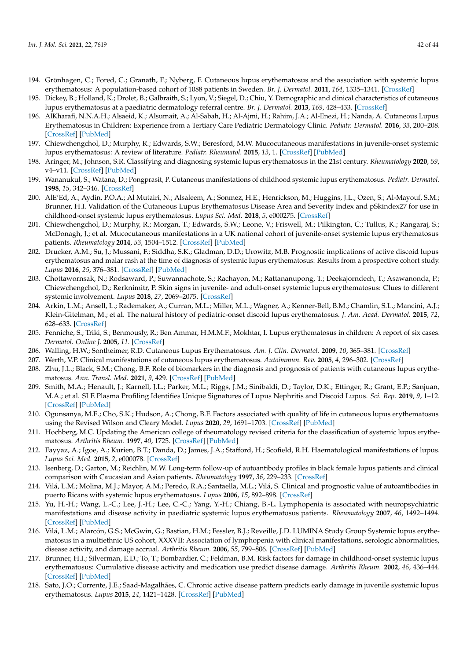- <span id="page-41-0"></span>194. Grönhagen, C.; Fored, C.; Granath, F.; Nyberg, F. Cutaneous lupus erythematosus and the association with systemic lupus erythematosus: A population-based cohort of 1088 patients in Sweden. *Br. J. Dermatol.* **2011**, *164*, 1335–1341. [\[CrossRef\]](http://doi.org/10.1111/j.1365-2133.2011.10272.x)
- <span id="page-41-1"></span>195. Dickey, B.; Holland, K.; Drolet, B.; Galbraith, S.; Lyon, V.; Siegel, D.; Chiu, Y. Demographic and clinical characteristics of cutaneous lupus erythematosus at a paediatric dermatology referral centre. *Br. J. Dermatol.* **2013**, *169*, 428–433. [\[CrossRef\]](http://doi.org/10.1111/bjd.12383)
- <span id="page-41-2"></span>196. AlKharafi, N.N.A.H.; Alsaeid, K.; Alsumait, A.; Al-Sabah, H.; Al-Ajmi, H.; Rahim, J.A.; Al-Enezi, H.; Nanda, A. Cutaneous Lupus Erythematosus in Children: Experience from a Tertiary Care Pediatric Dermatology Clinic. *Pediatr. Dermatol.* **2016**, *33*, 200–208. [\[CrossRef\]](http://doi.org/10.1111/pde.12788) [\[PubMed\]](http://www.ncbi.nlm.nih.gov/pubmed/27001318)
- <span id="page-41-3"></span>197. Chiewchengchol, D.; Murphy, R.; Edwards, S.W.; Beresford, M.W. Mucocutaneous manifestations in juvenile-onset systemic lupus erythematosus: A review of literature. *Pediatr. Rheumatol.* **2015**, *13*, 1. [\[CrossRef\]](http://doi.org/10.1186/1546-0096-13-1) [\[PubMed\]](http://www.ncbi.nlm.nih.gov/pubmed/25587243)
- <span id="page-41-4"></span>198. Aringer, M.; Johnson, S.R. Classifying and diagnosing systemic lupus erythematosus in the 21st century. *Rheumatology* **2020**, *59*, v4–v11. [\[CrossRef\]](http://doi.org/10.1093/rheumatology/keaa379) [\[PubMed\]](http://www.ncbi.nlm.nih.gov/pubmed/33280013)
- <span id="page-41-5"></span>199. Wananukul, S.; Watana, D.; Pongprasit, P. Cutaneous manifestations of childhood systemic lupus erythematosus. *Pediatr. Dermatol.* **1998**, *15*, 342–346. [\[CrossRef\]](http://doi.org/10.1046/j.1525-1470.1998.1998015342.x)
- <span id="page-41-6"></span>200. AlE'Ed, A.; Aydin, P.O.A.; Al Mutairi, N.; Alsaleem, A.; Sonmez, H.E.; Henrickson, M.; Huggins, J.L.; Ozen, S.; Al-Mayouf, S.M.; Brunner, H.I. Validation of the Cutaneous Lupus Erythematosus Disease Area and Severity Index and pSkindex27 for use in childhood-onset systemic lupus erythematosus. *Lupus Sci. Med.* **2018**, *5*, e000275. [\[CrossRef\]](http://doi.org/10.1136/lupus-2018-000275)
- <span id="page-41-7"></span>201. Chiewchengchol, D.; Murphy, R.; Morgan, T.; Edwards, S.W.; Leone, V.; Friswell, M.; Pilkington, C.; Tullus, K.; Rangaraj, S.; McDonagh, J.; et al. Mucocutaneous manifestations in a UK national cohort of juvenile-onset systemic lupus erythematosus patients. *Rheumatology* **2014**, *53*, 1504–1512. [\[CrossRef\]](http://doi.org/10.1093/rheumatology/keu137) [\[PubMed\]](http://www.ncbi.nlm.nih.gov/pubmed/24692572)
- <span id="page-41-8"></span>202. Drucker, A.M.; Su, J.; Mussani, F.; Siddha, S.K.; Gladman, D.D.; Urowitz, M.B. Prognostic implications of active discoid lupus erythematosus and malar rash at the time of diagnosis of systemic lupus erythematosus: Results from a prospective cohort study. *Lupus* **2016**, *25*, 376–381. [\[CrossRef\]](http://doi.org/10.1177/0961203315610645) [\[PubMed\]](http://www.ncbi.nlm.nih.gov/pubmed/26453664)
- <span id="page-41-9"></span>203. Chottawornsak, N.; Rodsaward, P.; Suwannachote, S.; Rachayon, M.; Rattananupong, T.; Deekajorndech, T.; Asawanonda, P.; Chiewchengchol, D.; Rerknimitr, P. Skin signs in juvenile- and adult-onset systemic lupus erythematosus: Clues to different systemic involvement. *Lupus* **2018**, *27*, 2069–2075. [\[CrossRef\]](http://doi.org/10.1177/0961203318805851)
- <span id="page-41-10"></span>204. Arkin, L.M.; Ansell, L.; Rademaker, A.; Curran, M.L.; Miller, M.L.; Wagner, A.; Kenner-Bell, B.M.; Chamlin, S.L.; Mancini, A.J.; Klein-Gitelman, M.; et al. The natural history of pediatric-onset discoid lupus erythematosus. *J. Am. Acad. Dermatol.* **2015**, *72*, 628–633. [\[CrossRef\]](http://doi.org/10.1016/j.jaad.2014.12.028)
- <span id="page-41-11"></span>205. Fenniche, S.; Triki, S.; Benmously, R.; Ben Ammar, H.M.M.F.; Mokhtar, I. Lupus erythematosus in children: A report of six cases. *Dermatol. Online J.* **2005**, *11*. [\[CrossRef\]](http://doi.org/10.5070/D31753D5VC)
- <span id="page-41-12"></span>206. Walling, H.W.; Sontheimer, R.D. Cutaneous Lupus Erythematosus. *Am. J. Clin. Dermatol.* **2009**, *10*, 365–381. [\[CrossRef\]](http://doi.org/10.2165/11310780-000000000-00000)
- <span id="page-41-13"></span>207. Werth, V.P. Clinical manifestations of cutaneous lupus erythematosus. *Autoimmun. Rev.* **2005**, *4*, 296–302. [\[CrossRef\]](http://doi.org/10.1016/j.autrev.2005.01.003)
- <span id="page-41-14"></span>208. Zhu, J.L.; Black, S.M.; Chong, B.F. Role of biomarkers in the diagnosis and prognosis of patients with cutaneous lupus erythematosus. *Ann. Transl. Med.* **2021**, *9*, 429. [\[CrossRef\]](http://doi.org/10.21037/atm-20-5232) [\[PubMed\]](http://www.ncbi.nlm.nih.gov/pubmed/33842650)
- <span id="page-41-15"></span>209. Smith, M.A.; Henault, J.; Karnell, J.L.; Parker, M.L.; Riggs, J.M.; Sinibaldi, D.; Taylor, D.K.; Ettinger, R.; Grant, E.P.; Sanjuan, M.A.; et al. SLE Plasma Profiling Identifies Unique Signatures of Lupus Nephritis and Discoid Lupus. *Sci. Rep.* **2019**, *9*, 1–12. [\[CrossRef\]](http://doi.org/10.1038/s41598-019-50231-y) [\[PubMed\]](http://www.ncbi.nlm.nih.gov/pubmed/31594956)
- <span id="page-41-16"></span>210. Ogunsanya, M.E.; Cho, S.K.; Hudson, A.; Chong, B.F. Factors associated with quality of life in cutaneous lupus erythematosus using the Revised Wilson and Cleary Model. *Lupus* **2020**, *29*, 1691–1703. [\[CrossRef\]](http://doi.org/10.1177/0961203320951842) [\[PubMed\]](http://www.ncbi.nlm.nih.gov/pubmed/32883161)
- <span id="page-41-17"></span>211. Hochberg, M.C. Updating the American college of rheumatology revised criteria for the classification of systemic lupus erythematosus. *Arthritis Rheum.* **1997**, *40*, 1725. [\[CrossRef\]](http://doi.org/10.1002/art.1780400928) [\[PubMed\]](http://www.ncbi.nlm.nih.gov/pubmed/9324032)
- <span id="page-41-18"></span>212. Fayyaz, A.; Igoe, A.; Kurien, B.T.; Danda, D.; James, J.A.; Stafford, H.; Scofield, R.H. Haematological manifestations of lupus. *Lupus Sci. Med.* **2015**, *2*, e000078. [\[CrossRef\]](http://doi.org/10.1136/lupus-2014-000078)
- <span id="page-41-19"></span>213. Isenberg, D.; Garton, M.; Reichlin, M.W. Long-term follow-up of autoantibody profiles in black female lupus patients and clinical comparison with Caucasian and Asian patients. *Rheumatology* **1997**, *36*, 229–233. [\[CrossRef\]](http://doi.org/10.1093/rheumatology/36.2.229)
- <span id="page-41-20"></span>214. Vilá, L.M.; Molina, M.J.; Mayor, A.M.; Peredo, R.A.; Santaella, M.L.; Vilá, S. Clinical and prognostic value of autoantibodies in puerto Ricans with systemic lupus erythematosus. *Lupus* **2006**, *15*, 892–898. [\[CrossRef\]](http://doi.org/10.1177/0961203306069352)
- <span id="page-41-21"></span>215. Yu, H.-H.; Wang, L.-C.; Lee, J.-H.; Lee, C.-C.; Yang, Y.-H.; Chiang, B.-L. Lymphopenia is associated with neuropsychiatric manifestations and disease activity in paediatric systemic lupus erythematosus patients. *Rheumatology* **2007**, *46*, 1492–1494. [\[CrossRef\]](http://doi.org/10.1093/rheumatology/kem182) [\[PubMed\]](http://www.ncbi.nlm.nih.gov/pubmed/17673480)
- <span id="page-41-22"></span>216. Vilá, L.M.; Alarcón, G.S.; McGwin, G.; Bastian, H.M.; Fessler, B.J.; Reveille, J.D. LUMINA Study Group Systemic lupus erythematosus in a multiethnic US cohort, XXXVII: Association of lymphopenia with clinical manifestations, serologic abnormalities, disease activity, and damage accrual. *Arthritis Rheum.* **2006**, *55*, 799–806. [\[CrossRef\]](http://doi.org/10.1002/art.22224) [\[PubMed\]](http://www.ncbi.nlm.nih.gov/pubmed/17013840)
- <span id="page-41-23"></span>217. Brunner, H.I.; Silverman, E.D.; To, T.; Bombardier, C.; Feldman, B.M. Risk factors for damage in childhood-onset systemic lupus erythematosus: Cumulative disease activity and medication use predict disease damage. *Arthritis Rheum.* **2002**, *46*, 436–444. [\[CrossRef\]](http://doi.org/10.1002/art.10072) [\[PubMed\]](http://www.ncbi.nlm.nih.gov/pubmed/11840446)
- <span id="page-41-24"></span>218. Sato, J.O.; Corrente, J.E.; Saad-Magalhães, C. Chronic active disease pattern predicts early damage in juvenile systemic lupus erythematosus. *Lupus* **2015**, *24*, 1421–1428. [\[CrossRef\]](http://doi.org/10.1177/0961203315599449) [\[PubMed\]](http://www.ncbi.nlm.nih.gov/pubmed/26253073)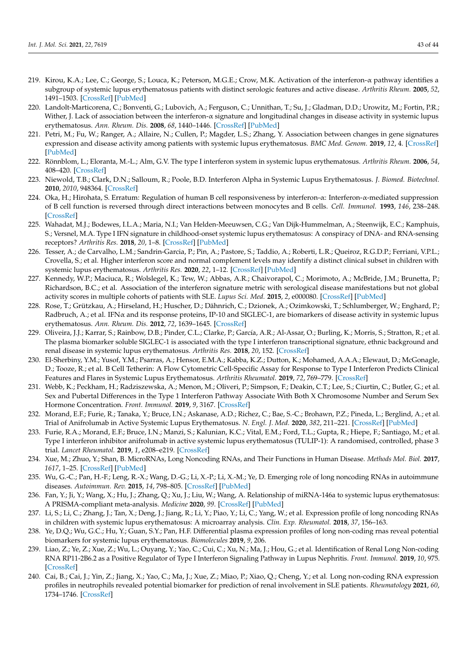- <span id="page-42-0"></span>219. Kirou, K.A.; Lee, C.; George, S.; Louca, K.; Peterson, M.G.E.; Crow, M.K. Activation of the interferon-α pathway identifies a subgroup of systemic lupus erythematosus patients with distinct serologic features and active disease. *Arthritis Rheum.* **2005**, *52*, 1491–1503. [\[CrossRef\]](http://doi.org/10.1002/art.21031) [\[PubMed\]](http://www.ncbi.nlm.nih.gov/pubmed/15880830)
- 220. Landolt-Marticorena, C.; Bonventi, G.; Lubovich, A.; Ferguson, C.; Unnithan, T.; Su, J.; Gladman, D.D.; Urowitz, M.; Fortin, P.R.; Wither, J. Lack of association between the interferon- $\alpha$  signature and longitudinal changes in disease activity in systemic lupus erythematosus. *Ann. Rheum. Dis.* **2008**, *68*, 1440–1446. [\[CrossRef\]](http://doi.org/10.1136/ard.2008.093146) [\[PubMed\]](http://www.ncbi.nlm.nih.gov/pubmed/18772188)
- <span id="page-42-1"></span>221. Petri, M.; Fu, W.; Ranger, A.; Allaire, N.; Cullen, P.; Magder, L.S.; Zhang, Y. Association between changes in gene signatures expression and disease activity among patients with systemic lupus erythematosus. *BMC Med. Genom.* **2019**, *12*, 4. [\[CrossRef\]](http://doi.org/10.1186/s12920-018-0468-1) [\[PubMed\]](http://www.ncbi.nlm.nih.gov/pubmed/30626389)
- <span id="page-42-2"></span>222. Rönnblom, L.; Eloranta, M.-L.; Alm, G.V. The type I interferon system in systemic lupus erythematosus. *Arthritis Rheum.* **2006**, *54*, 408–420. [\[CrossRef\]](http://doi.org/10.1002/art.21571)
- <span id="page-42-3"></span>223. Niewold, T.B.; Clark, D.N.; Salloum, R.; Poole, B.D. Interferon Alpha in Systemic Lupus Erythematosus. *J. Biomed. Biotechnol.* **2010**, *2010*, 948364. [\[CrossRef\]](http://doi.org/10.1155/2010/948364)
- <span id="page-42-4"></span>224. Oka, H.; Hirohata, S. Erratum: Regulation of human B cell responsiveness by interferon-α: Interferon-α-mediated suppression of B cell function is reversed through direct interactions between monocytes and B cells. *Cell. Immunol.* **1993**, *146*, 238–248. [\[CrossRef\]](http://doi.org/10.1006/cimm.1993.1023)
- <span id="page-42-5"></span>225. Wahadat, M.J.; Bodewes, I.L.A.; Maria, N.I.; Van Helden-Meeuwsen, C.G.; Van Dijk-Hummelman, A.; Steenwijk, E.C.; Kamphuis, S.; Versnel, M.A. Type I IFN signature in childhood-onset systemic lupus erythematosus: A conspiracy of DNA- and RNA-sensing receptors? *Arthritis Res.* **2018**, *20*, 1–8. [\[CrossRef\]](http://doi.org/10.1186/s13075-017-1501-z) [\[PubMed\]](http://www.ncbi.nlm.nih.gov/pubmed/29321042)
- <span id="page-42-6"></span>226. Tesser, A.; de Carvalho, L.M.; Sandrin-Garcia, P.; Pin, A.; Pastore, S.; Taddio, A.; Roberti, L.R.; Queiroz, R.G.D.P.; Ferriani, V.P.L.; Crovella, S.; et al. Higher interferon score and normal complement levels may identify a distinct clinical subset in children with systemic lupus erythematosus. *Arthritis Res.* **2020**, *22*, 1–12. [\[CrossRef\]](http://doi.org/10.1186/s13075-020-02161-8) [\[PubMed\]](http://www.ncbi.nlm.nih.gov/pubmed/32334613)
- <span id="page-42-7"></span>227. Kennedy, W.P.; Maciuca, R.; Wolslegel, K.; Tew, W.; Abbas, A.R.; Chaivorapol, C.; Morimoto, A.; McBride, J.M.; Brunetta, P.; Richardson, B.C.; et al. Association of the interferon signature metric with serological disease manifestations but not global activity scores in multiple cohorts of patients with SLE. *Lupus Sci. Med.* **2015**, *2*, e000080. [\[CrossRef\]](http://doi.org/10.1136/lupus-2014-000080) [\[PubMed\]](http://www.ncbi.nlm.nih.gov/pubmed/25861459)
- <span id="page-42-8"></span>228. Rose, T.; Grützkau, A.; Hirseland, H.; Huscher, D.; Dähnrich, C.; Dzionek, A.; Ozimkowski, T.; Schlumberger, W.; Enghard, P.; Radbruch, A.; et al. IFNα and its response proteins, IP-10 and SIGLEC-1, are biomarkers of disease activity in systemic lupus erythematosus. *Ann. Rheum. Dis.* **2012**, *72*, 1639–1645. [\[CrossRef\]](http://doi.org/10.1136/annrheumdis-2012-201586)
- <span id="page-42-9"></span>229. Oliveira, J.J.; Karrar, S.; Rainbow, D.B.; Pinder, C.L.; Clarke, P.; García, A.R.; Al-Assar, O.; Burling, K.; Morris, S.; Stratton, R.; et al. The plasma biomarker soluble SIGLEC-1 is associated with the type I interferon transcriptional signature, ethnic background and renal disease in systemic lupus erythematosus. *Arthritis Res.* **2018**, *20*, 152. [\[CrossRef\]](http://doi.org/10.1186/s13075-018-1649-1)
- <span id="page-42-10"></span>230. El-Sherbiny, Y.M.; Yusof, Y.M.; Psarras, A.; Hensor, E.M.A.; Kabba, K.Z.; Dutton, K.; Mohamed, A.A.A.; Elewaut, D.; McGonagle, D.; Tooze, R.; et al. B Cell Tetherin: A Flow Cytometric Cell-Specific Assay for Response to Type I Interferon Predicts Clinical Features and Flares in Systemic Lupus Erythematosus. *Arthritis Rheumatol.* **2019**, *72*, 769–779. [\[CrossRef\]](http://doi.org/10.1002/art.41187)
- <span id="page-42-11"></span>231. Webb, K.; Peckham, H.; Radziszewska, A.; Menon, M.; Oliveri, P.; Simpson, F.; Deakin, C.T.; Lee, S.; Ciurtin, C.; Butler, G.; et al. Sex and Pubertal Differences in the Type 1 Interferon Pathway Associate With Both X Chromosome Number and Serum Sex Hormone Concentration. *Front. Immunol.* **2019**, *9*, 3167. [\[CrossRef\]](http://doi.org/10.3389/fimmu.2018.03167)
- <span id="page-42-12"></span>232. Morand, E.F.; Furie, R.; Tanaka, Y.; Bruce, I.N.; Askanase, A.D.; Richez, C.; Bae, S.-C.; Brohawn, P.Z.; Pineda, L.; Berglind, A.; et al. Trial of Anifrolumab in Active Systemic Lupus Erythematosus. *N. Engl. J. Med.* **2020**, *382*, 211–221. [\[CrossRef\]](http://doi.org/10.1056/NEJMoa1912196) [\[PubMed\]](http://www.ncbi.nlm.nih.gov/pubmed/31851795)
- <span id="page-42-13"></span>233. Furie, R.A.; Morand, E.F.; Bruce, I.N.; Manzi, S.; Kalunian, K.C.; Vital, E.M.; Ford, T.L.; Gupta, R.; Hiepe, F.; Santiago, M.; et al. Type I interferon inhibitor anifrolumab in active systemic lupus erythematosus (TULIP-1): A randomised, controlled, phase 3 trial. *Lancet Rheumatol.* **2019**, *1*, e208–e219. [\[CrossRef\]](http://doi.org/10.1016/S2665-9913(19)30076-1)
- <span id="page-42-14"></span>234. Xue, M.; Zhuo, Y.; Shan, B. MicroRNAs, Long Noncoding RNAs, and Their Functions in Human Disease. *Methods Mol. Biol.* **2017**, *1617*, 1–25. [\[CrossRef\]](http://doi.org/10.1007/978-1-4939-7046-9_1) [\[PubMed\]](http://www.ncbi.nlm.nih.gov/pubmed/28540673)
- <span id="page-42-15"></span>235. Wu, G.-C.; Pan, H.-F.; Leng, R.-X.; Wang, D.-G.; Li, X.-P.; Li, X.-M.; Ye, D. Emerging role of long noncoding RNAs in autoimmune diseases. *Autoimmun. Rev.* **2015**, *14*, 798–805. [\[CrossRef\]](http://doi.org/10.1016/j.autrev.2015.05.004) [\[PubMed\]](http://www.ncbi.nlm.nih.gov/pubmed/25989481)
- <span id="page-42-16"></span>236. Fan, Y.; Ji, Y.; Wang, X.; Hu, J.; Zhang, Q.; Xu, J.; Liu, W.; Wang, A. Relationship of miRNA-146a to systemic lupus erythematosus: A PRISMA-compliant meta-analysis. *Medicine* **2020**, *99*. [\[CrossRef\]](http://doi.org/10.1097/MD.0000000000022444) [\[PubMed\]](http://www.ncbi.nlm.nih.gov/pubmed/33019429)
- <span id="page-42-17"></span>237. Li, S.; Li, C.; Zhang, J.; Tan, X.; Deng, J.; Jiang, R.; Li, Y.; Piao, Y.; Li, C.; Yang, W.; et al. Expression profile of long noncoding RNAs in children with systemic lupus erythematosus: A microarray analysis. *Clin. Exp. Rheumatol.* **2018**, *37*, 156–163.
- <span id="page-42-18"></span>238. Ye, D.Q.; Wu, G.C.; Hu, Y.; Guan, S.Y.; Pan, H.F. Differential plasma expression profiles of long non-coding rnas reveal potential biomarkers for systemic lupus erythematosus. *Biomolecules* **2019**, *9*, 206.
- <span id="page-42-19"></span>239. Liao, Z.; Ye, Z.; Xue, Z.; Wu, L.; Ouyang, Y.; Yao, C.; Cui, C.; Xu, N.; Ma, J.; Hou, G.; et al. Identification of Renal Long Non-coding RNA RP11-2B6.2 as a Positive Regulator of Type I Interferon Signaling Pathway in Lupus Nephritis. *Front. Immunol.* **2019**, *10*, 975. [\[CrossRef\]](http://doi.org/10.3389/fimmu.2019.00975)
- <span id="page-42-20"></span>240. Cai, B.; Cai, J.; Yin, Z.; Jiang, X.; Yao, C.; Ma, J.; Xue, Z.; Miao, P.; Xiao, Q.; Cheng, Y.; et al. Long non-coding RNA expression profiles in neutrophils revealed potential biomarker for prediction of renal involvement in SLE patients. *Rheumatology* **2021**, *60*, 1734–1746. [\[CrossRef\]](http://doi.org/10.1093/rheumatology/keaa575)